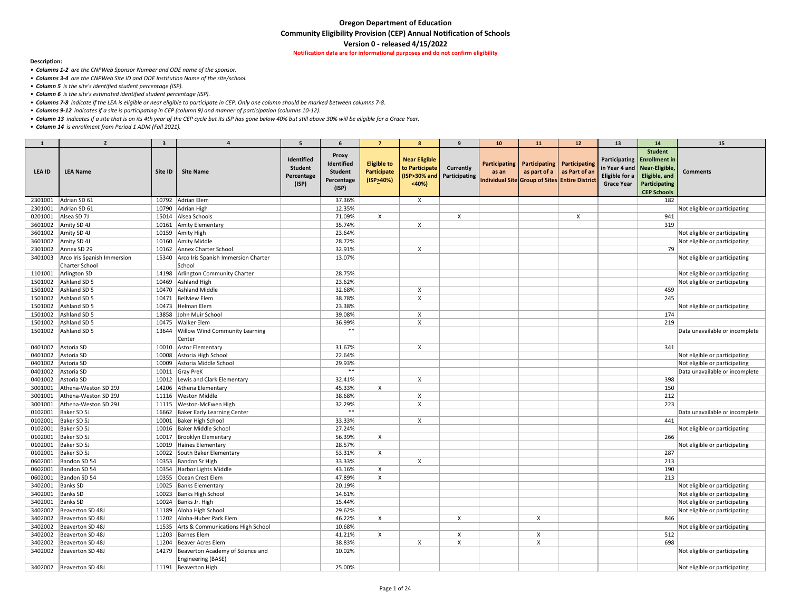**Notification data are for informational purposes and do not confirm eligibility** 

#### **Description:**

- *Columns 1-2 are the CNPWeb Sponsor Number and ODE name of the sponsor.*
- *Columns 3-4 are the CNPWeb Site ID and ODE Institution Name of the site/school.*
- *Column 5 is the site's identified student percentage (ISP).*
- *Column 6 is the site's estimated identified student percentage (ISP).*
- *Columns 7-8 indicate if the LEA is eligible or near eligible to participate in CEP. Only one column should be marked between columns 7-8.*
- *Columns 9-12 indicates if a site is participating in CEP (column 9) and manner of participation (columns 10-12).*
- *Column 13 indicates if a site that is on its 4th year of the CEP cycle but its ISP has gone below 40% but still above 30% will be eligible for a Grace Year.*
- *Column 14 is enrollment from Period 1 ADM (Fall 2021).*

| $\mathbf{1}$       | $\overline{2}$                                | $\overline{\mathbf{3}}$ |                                                     | 5.                                                  |                                                                     |                                                  | -8                                                                            | 9                | 10 <sub>1</sub>               | <b>11</b>                                                                      | 12                                   | 13 <sup>7</sup>                                                       | 14                                                                                                             | 15                             |
|--------------------|-----------------------------------------------|-------------------------|-----------------------------------------------------|-----------------------------------------------------|---------------------------------------------------------------------|--------------------------------------------------|-------------------------------------------------------------------------------|------------------|-------------------------------|--------------------------------------------------------------------------------|--------------------------------------|-----------------------------------------------------------------------|----------------------------------------------------------------------------------------------------------------|--------------------------------|
| <b>LEA ID</b>      | <b>LEA Name</b>                               | Site ID                 | <b>Site Name</b>                                    | Identified<br><b>Student</b><br>Percentage<br>(ISP) | <b>Proxy</b><br>Identified<br><b>Student</b><br>Percentage<br>(ISP) | <b>Eligible to</b><br>Participate<br>$(ISP_40%)$ | <b>Near Eligible</b><br>to Participate<br>(ISP>30% and Participating<br>$40%$ | <b>Currently</b> | <b>Participating</b><br>as an | as part of a   as Part of an<br>Individual Site Group of Sites Entire District | <b>Participating   Participating</b> | in Year 4 and   Near-Eligible,<br>Eligible for a<br><b>Grace Year</b> | <b>Student</b><br>Participating   Enrollment in<br>Eligible, and<br><b>Participating</b><br><b>CEP Schools</b> | <b>Comments</b>                |
| 2301001            | Adrian SD 61                                  |                         | 10792 Adrian Elem                                   |                                                     | 37.36%                                                              |                                                  | X                                                                             |                  |                               |                                                                                |                                      |                                                                       | 182                                                                                                            |                                |
| 2301001            | Adrian SD 61                                  |                         | 10790 Adrian High                                   |                                                     | 12.35%                                                              |                                                  |                                                                               |                  |                               |                                                                                |                                      |                                                                       |                                                                                                                | Not eligible or participating  |
| 0201001            | Alsea SD 7J                                   |                         | 15014 Alsea Schools                                 |                                                     | 71.09%                                                              | $\mathsf{X}$                                     |                                                                               | $\mathsf{X}$     |                               |                                                                                | X                                    |                                                                       | 941                                                                                                            |                                |
| 3601002            | Amity SD 4J                                   |                         | 10161 Amity Elementary                              |                                                     | 35.74%                                                              |                                                  |                                                                               |                  |                               |                                                                                |                                      |                                                                       | 319                                                                                                            |                                |
| 3601002            | Amity SD 4J                                   |                         | 10159 Amity High                                    |                                                     | 23.64%                                                              |                                                  |                                                                               |                  |                               |                                                                                |                                      |                                                                       |                                                                                                                | Not eligible or participating  |
| 3601002            | Amity SD 4J                                   |                         | 10160 Amity Middle                                  |                                                     | 28.72%                                                              |                                                  |                                                                               |                  |                               |                                                                                |                                      |                                                                       |                                                                                                                | Not eligible or participating  |
| 2301002            | Annex SD 29                                   |                         | 10162 Annex Charter School                          |                                                     | 32.91%                                                              |                                                  | $\boldsymbol{\mathsf{X}}$                                                     |                  |                               |                                                                                |                                      |                                                                       | 79                                                                                                             |                                |
| 3401003            | Arco Iris Spanish Immersion<br>Charter School |                         | 15340 Arco Iris Spanish Immersion Charter<br>School |                                                     | 13.07%                                                              |                                                  |                                                                               |                  |                               |                                                                                |                                      |                                                                       |                                                                                                                | Not eligible or participating  |
| 1101001            | Arlington SD                                  |                         | 14198 Arlington Community Charter                   |                                                     | 28.75%                                                              |                                                  |                                                                               |                  |                               |                                                                                |                                      |                                                                       |                                                                                                                | Not eligible or participating  |
| 1501002            | Ashland SD 5                                  |                         | 10469 Ashland High                                  |                                                     | 23.62%                                                              |                                                  |                                                                               |                  |                               |                                                                                |                                      |                                                                       |                                                                                                                | Not eligible or participating  |
| 1501002            | Ashland SD 5                                  |                         | 10470 Ashland Middle                                |                                                     | 32.68%                                                              |                                                  |                                                                               |                  |                               |                                                                                |                                      |                                                                       | 459                                                                                                            |                                |
| 1501002            | Ashland SD 5                                  |                         | 10471 Bellview Elem                                 |                                                     | 38.78%                                                              |                                                  |                                                                               |                  |                               |                                                                                |                                      |                                                                       | 245                                                                                                            |                                |
| 1501002            | Ashland SD 5                                  |                         | 10473 Helman Elem                                   |                                                     | 23.38%                                                              |                                                  |                                                                               |                  |                               |                                                                                |                                      |                                                                       |                                                                                                                | Not eligible or participating  |
| 1501002            | Ashland SD 5                                  |                         | 13858 John Muir School                              |                                                     | 39.08%                                                              |                                                  |                                                                               |                  |                               |                                                                                |                                      |                                                                       | 174                                                                                                            |                                |
| 1501002            | Ashland SD 5                                  |                         | 10475 Walker Elem                                   |                                                     | 36.99%                                                              |                                                  |                                                                               |                  |                               |                                                                                |                                      |                                                                       | 219                                                                                                            |                                |
| 1501002            | Ashland SD 5                                  | 13644                   | <b>Willow Wind Community Learning</b><br>Center     |                                                     | $***$                                                               |                                                  |                                                                               |                  |                               |                                                                                |                                      |                                                                       |                                                                                                                | Data unavailable or incomplete |
| 0401002            | Astoria SD                                    |                         | 10010 Astor Elementary                              |                                                     | 31.67%                                                              |                                                  | X                                                                             |                  |                               |                                                                                |                                      |                                                                       | 341                                                                                                            |                                |
| 0401002            | Astoria SD                                    |                         | 10008 Astoria High School                           |                                                     | 22.64%                                                              |                                                  |                                                                               |                  |                               |                                                                                |                                      |                                                                       |                                                                                                                | Not eligible or participating  |
| 0401002            | Astoria SD                                    | 10009                   | Astoria Middle School                               |                                                     | 29.93%                                                              |                                                  |                                                                               |                  |                               |                                                                                |                                      |                                                                       |                                                                                                                | Not eligible or participating  |
| 0401002            | Astoria SD                                    |                         | 10011 Gray PreK                                     |                                                     | $***$                                                               |                                                  |                                                                               |                  |                               |                                                                                |                                      |                                                                       |                                                                                                                | Data unavailable or incomplete |
| 0401002            | Astoria SD                                    |                         | 10012 Lewis and Clark Elementary                    |                                                     | 32.41%                                                              |                                                  | X                                                                             |                  |                               |                                                                                |                                      |                                                                       | 398                                                                                                            |                                |
| 3001001            | Athena-Weston SD 29J                          | 14206                   | Athena Elementary                                   |                                                     | 45.33%                                                              | X                                                |                                                                               |                  |                               |                                                                                |                                      |                                                                       | 150                                                                                                            |                                |
| 3001001            | Athena-Weston SD 29J                          |                         | 11116   Weston Middle                               |                                                     | 38.68%                                                              |                                                  |                                                                               |                  |                               |                                                                                |                                      |                                                                       | 212                                                                                                            |                                |
| 3001001            | Athena-Weston SD 29J                          |                         | 11115   Weston-McEwen High                          |                                                     | 32.29%                                                              |                                                  |                                                                               |                  |                               |                                                                                |                                      |                                                                       | 223                                                                                                            |                                |
| 0102001            | Baker SD 5J                                   |                         | 16662 Baker Early Learning Center                   |                                                     | $***$                                                               |                                                  |                                                                               |                  |                               |                                                                                |                                      |                                                                       |                                                                                                                | Data unavailable or incomplete |
| 0102001            | Baker SD 5J                                   |                         | 10001 Baker High School                             |                                                     | 33.33%                                                              |                                                  | X                                                                             |                  |                               |                                                                                |                                      |                                                                       | 441                                                                                                            |                                |
| 0102001            | Baker SD 5J                                   |                         | 10016   Baker Middle School                         |                                                     | 27.24%                                                              |                                                  |                                                                               |                  |                               |                                                                                |                                      |                                                                       |                                                                                                                | Not eligible or participating  |
| 0102001            | Baker SD 5J                                   |                         | 10017 Brooklyn Elementary                           |                                                     | 56.39%                                                              | X                                                |                                                                               |                  |                               |                                                                                |                                      |                                                                       | 266                                                                                                            |                                |
| 0102001            | Baker SD 5J                                   |                         | 10019 Haines Elementary                             |                                                     | 28.57%                                                              |                                                  |                                                                               |                  |                               |                                                                                |                                      |                                                                       |                                                                                                                | Not eligible or participating  |
| 0102001            | Baker SD 5J                                   |                         | 10022 South Baker Elementary                        |                                                     | 53.31%                                                              | $\mathsf{X}$                                     |                                                                               |                  |                               |                                                                                |                                      |                                                                       | 287                                                                                                            |                                |
| 0602001            | Bandon SD 54                                  |                         | 10353 Bandon Sr High                                |                                                     | 33.33%                                                              |                                                  |                                                                               |                  |                               |                                                                                |                                      |                                                                       | 213                                                                                                            |                                |
| 0602001            | Bandon SD 54                                  |                         | 10354 Harbor Lights Middle                          |                                                     | 43.16%                                                              | X                                                |                                                                               |                  |                               |                                                                                |                                      |                                                                       | 190                                                                                                            |                                |
| 0602001            | Bandon SD 54                                  |                         | 10355 Ocean Crest Elem                              |                                                     | 47.89%                                                              | X                                                |                                                                               |                  |                               |                                                                                |                                      |                                                                       | 213                                                                                                            |                                |
| 3402001            | Banks SD                                      |                         | 10025 Banks Elementary                              |                                                     | 20.19%                                                              |                                                  |                                                                               |                  |                               |                                                                                |                                      |                                                                       |                                                                                                                | Not eligible or participating  |
| 3402001   Banks SD |                                               |                         | 10023 Banks High School                             |                                                     | 14.61%                                                              |                                                  |                                                                               |                  |                               |                                                                                |                                      |                                                                       |                                                                                                                | Not eligible or participating  |
| 3402001            | Banks SD                                      |                         | 10024 Banks Jr. High                                |                                                     | 15.44%                                                              |                                                  |                                                                               |                  |                               |                                                                                |                                      |                                                                       |                                                                                                                | Not eligible or participating  |
| 3402002            | Beaverton SD 48J                              |                         | 11189 Aloha High School                             |                                                     | 29.62%                                                              |                                                  |                                                                               |                  |                               |                                                                                |                                      |                                                                       |                                                                                                                | Not eligible or participating  |
| 3402002            | Beaverton SD 48J                              |                         | 11202 Aloha-Huber Park Elem                         |                                                     | 46.22%                                                              | X                                                |                                                                               |                  |                               |                                                                                |                                      |                                                                       | 846                                                                                                            |                                |
| 3402002            | Beaverton SD 48J                              |                         | 11535 Arts & Communications High School             |                                                     | 10.68%                                                              |                                                  |                                                                               |                  |                               |                                                                                |                                      |                                                                       |                                                                                                                | Not eligible or participating  |
| 3402002            | Beaverton SD 48J                              |                         | 11203 Barnes Elem                                   |                                                     | 41.21%                                                              | X                                                |                                                                               | X                |                               | $\boldsymbol{\mathsf{X}}$                                                      |                                      |                                                                       | 512                                                                                                            |                                |
| 3402002            | Beaverton SD 48J                              |                         | 11204 Beaver Acres Elem                             |                                                     | 38.83%                                                              |                                                  | X                                                                             |                  |                               |                                                                                |                                      |                                                                       | 698                                                                                                            |                                |
| 3402002            | Beaverton SD 48J                              |                         | 14279 Beaverton Academy of Science and              |                                                     | 10.02%                                                              |                                                  |                                                                               |                  |                               |                                                                                |                                      |                                                                       |                                                                                                                | Not eligible or participating  |
|                    |                                               |                         | Engineering (BASE)                                  |                                                     |                                                                     |                                                  |                                                                               |                  |                               |                                                                                |                                      |                                                                       |                                                                                                                |                                |
|                    | 3402002   Beaverton SD 48J                    |                         | 11191 Beaverton High                                |                                                     | 25.00%                                                              |                                                  |                                                                               |                  |                               |                                                                                |                                      |                                                                       |                                                                                                                | Not eligible or participating  |
|                    |                                               |                         |                                                     |                                                     |                                                                     |                                                  |                                                                               |                  |                               |                                                                                |                                      |                                                                       |                                                                                                                |                                |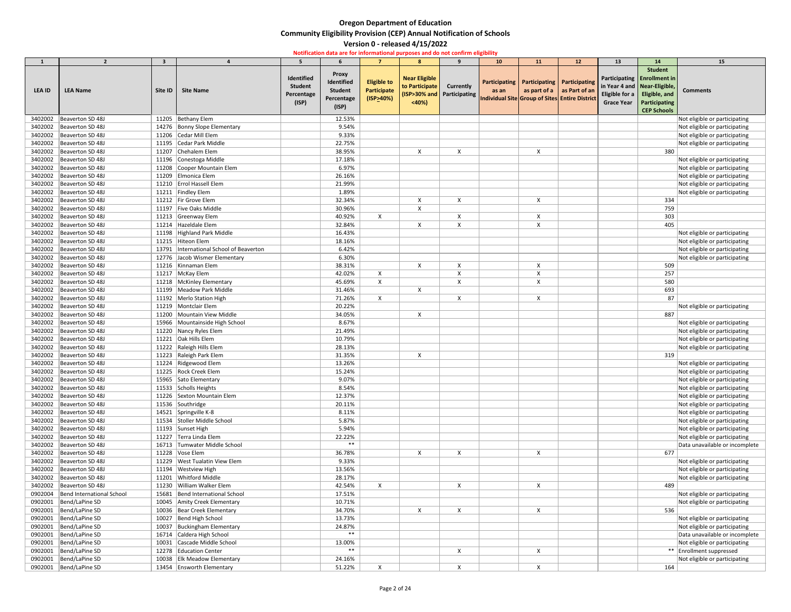|         | $\overline{2}$             | $\overline{\mathbf{3}}$ |                                          | 5.                                                  |                                                                     |                                                       | 8                                               | $\mathbf{q}$                                     | 10 <sup>1</sup>          | 11                            | 12                                                                               | 13                                                                    | 14 <sup>14</sup>                                                                                        | 15                             |
|---------|----------------------------|-------------------------|------------------------------------------|-----------------------------------------------------|---------------------------------------------------------------------|-------------------------------------------------------|-------------------------------------------------|--------------------------------------------------|--------------------------|-------------------------------|----------------------------------------------------------------------------------|-----------------------------------------------------------------------|---------------------------------------------------------------------------------------------------------|--------------------------------|
| LEA ID  | <b>LEA Name</b>            | Site ID                 | <b>Site Name</b>                         | Identified<br><b>Student</b><br>Percentage<br>(ISP) | <b>Proxy</b><br>Identified<br><b>Student</b><br>Percentage<br>(ISP) | <b>Eligible to</b><br><b>Participate</b><br>(ISP>40%) | <b>Near Eligible</b><br>to Participate<br>< 40% | <b>Currently</b><br>(ISP>30% and   Participating | Participating  <br>as an | Participating   Participating | as part of a $ $ as Part of an<br>Individual Site Group of Sites Entire District | in Year 4 and   Near-Eligible,<br>Eligible for a<br><b>Grace Year</b> | <b>Student</b><br>Participating   Enrollment in<br>Eligible, and<br>Participating<br><b>CEP Schools</b> | <b>Comments</b>                |
| 3402002 | Beaverton SD 48J           |                         | 11205 Bethany Elem                       |                                                     | 12.53%                                                              |                                                       |                                                 |                                                  |                          |                               |                                                                                  |                                                                       |                                                                                                         | Not eligible or participating  |
| 3402002 | Beaverton SD 48J           |                         | 14276 Bonny Slope Elementary             |                                                     | 9.54%                                                               |                                                       |                                                 |                                                  |                          |                               |                                                                                  |                                                                       |                                                                                                         | Not eligible or participating  |
| 3402002 | Beaverton SD 48J           |                         | 11206 Cedar Mill Elem                    |                                                     | 9.33%                                                               |                                                       |                                                 |                                                  |                          |                               |                                                                                  |                                                                       |                                                                                                         | Not eligible or participating  |
| 3402002 | Beaverton SD 48J           |                         | 11195 Cedar Park Middle                  |                                                     | 22.75%                                                              |                                                       |                                                 |                                                  |                          |                               |                                                                                  |                                                                       |                                                                                                         | Not eligible or participating  |
| 3402002 | Beaverton SD 48J           |                         | 11207 Chehalem Elem                      |                                                     | 38.95%                                                              |                                                       | X                                               |                                                  |                          |                               |                                                                                  |                                                                       | 380                                                                                                     |                                |
| 3402002 | Beaverton SD 48J           |                         | 11196 Conestoga Middle                   |                                                     | 17.18%                                                              |                                                       |                                                 |                                                  |                          |                               |                                                                                  |                                                                       |                                                                                                         | Not eligible or participating  |
| 3402002 | Beaverton SD 48J           |                         | 11208 Cooper Mountain Elem               |                                                     | 6.97%                                                               |                                                       |                                                 |                                                  |                          |                               |                                                                                  |                                                                       |                                                                                                         | Not eligible or participating  |
| 3402002 | Beaverton SD 48J           |                         | 11209 Elmonica Elem                      |                                                     | 26.16%                                                              |                                                       |                                                 |                                                  |                          |                               |                                                                                  |                                                                       |                                                                                                         | Not eligible or participating  |
| 3402002 | Beaverton SD 48J           |                         | 11210   Errol Hassell Elem               |                                                     | 21.99%                                                              |                                                       |                                                 |                                                  |                          |                               |                                                                                  |                                                                       |                                                                                                         | Not eligible or participating  |
| 3402002 | Beaverton SD 48J           |                         | 11211 Findley Elem                       |                                                     | 1.89%                                                               |                                                       |                                                 |                                                  |                          |                               |                                                                                  |                                                                       |                                                                                                         | Not eligible or participating  |
| 3402002 | Beaverton SD 48J           |                         | 11212 Fir Grove Elem                     |                                                     | 32.34%                                                              |                                                       |                                                 |                                                  |                          |                               |                                                                                  |                                                                       | 334                                                                                                     |                                |
| 3402002 | Beaverton SD 48J           |                         | 11197 Five Oaks Middle                   |                                                     | 30.96%                                                              |                                                       |                                                 |                                                  |                          |                               |                                                                                  |                                                                       | 759                                                                                                     |                                |
| 3402002 | Beaverton SD 48J           |                         | 11213 Greenway Elem                      |                                                     | 40.92%                                                              | X                                                     |                                                 | X                                                |                          |                               |                                                                                  |                                                                       | 303                                                                                                     |                                |
| 3402002 | Beaverton SD 48J           |                         | 11214 Hazeldale Elem                     |                                                     | 32.84%                                                              |                                                       |                                                 |                                                  |                          |                               |                                                                                  |                                                                       | 405                                                                                                     |                                |
| 3402002 | Beaverton SD 48J           |                         | 11198 Highland Park Middle               |                                                     | 16.43%                                                              |                                                       |                                                 |                                                  |                          |                               |                                                                                  |                                                                       |                                                                                                         | Not eligible or participating  |
| 3402002 | Beaverton SD 48J           |                         | 11215 Hiteon Elem                        |                                                     | 18.16%                                                              |                                                       |                                                 |                                                  |                          |                               |                                                                                  |                                                                       |                                                                                                         | Not eligible or participating  |
| 3402002 | Beaverton SD 48J           |                         | 13791  International School of Beaverton |                                                     | 6.42%                                                               |                                                       |                                                 |                                                  |                          |                               |                                                                                  |                                                                       |                                                                                                         | Not eligible or participating  |
| 3402002 | Beaverton SD 48J           |                         | 12776 Jacob Wismer Elementary            |                                                     | 6.30%                                                               |                                                       |                                                 |                                                  |                          |                               |                                                                                  |                                                                       |                                                                                                         | Not eligible or participating  |
| 3402002 | Beaverton SD 48J           |                         | 11216 Kinnaman Elem                      |                                                     | 38.31%                                                              |                                                       | $\boldsymbol{\mathsf{X}}$                       |                                                  |                          |                               |                                                                                  |                                                                       | 509                                                                                                     |                                |
| 3402002 | Beaverton SD 48J           |                         | 11217   McKay Elem                       |                                                     | 42.02%                                                              | X                                                     |                                                 |                                                  |                          |                               |                                                                                  |                                                                       | 257                                                                                                     |                                |
| 3402002 | Beaverton SD 48J           |                         | 11218   McKinley Elementary              |                                                     | 45.69%                                                              | X                                                     |                                                 |                                                  |                          |                               |                                                                                  |                                                                       | 580                                                                                                     |                                |
| 3402002 | Beaverton SD 48J           |                         | 11199 Meadow Park Middle                 |                                                     | 31.46%                                                              |                                                       | $\times$                                        |                                                  |                          |                               |                                                                                  |                                                                       | 693                                                                                                     |                                |
| 3402002 | Beaverton SD 48J           |                         | 11192   Merlo Station High               |                                                     | 71.26%                                                              | X                                                     |                                                 |                                                  |                          |                               |                                                                                  |                                                                       | 87                                                                                                      |                                |
| 3402002 | Beaverton SD 48J           |                         | 11219   Montclair Elem                   |                                                     | 20.22%                                                              |                                                       |                                                 |                                                  |                          |                               |                                                                                  |                                                                       |                                                                                                         | Not eligible or participating  |
|         | 3402002   Beaverton SD 48J |                         | 11200 Mountain View Middle               |                                                     | 34.05%                                                              |                                                       | X                                               |                                                  |                          |                               |                                                                                  |                                                                       | 887                                                                                                     |                                |
| 3402002 | Beaverton SD 48J           |                         | 15966 Mountainside High School           |                                                     | 8.67%                                                               |                                                       |                                                 |                                                  |                          |                               |                                                                                  |                                                                       |                                                                                                         | Not eligible or participating  |
| 3402002 | Beaverton SD 48J           |                         | 11220 Nancy Ryles Elem                   |                                                     | 21.49%                                                              |                                                       |                                                 |                                                  |                          |                               |                                                                                  |                                                                       |                                                                                                         | Not eligible or participating  |
| 3402002 | Beaverton SD 48J           |                         | 11221 Oak Hills Elem                     |                                                     | 10.79%                                                              |                                                       |                                                 |                                                  |                          |                               |                                                                                  |                                                                       |                                                                                                         | Not eligible or participating  |
| 3402002 | Beaverton SD 48J           |                         | 11222 Raleigh Hills Elem                 |                                                     | 28.13%                                                              |                                                       |                                                 |                                                  |                          |                               |                                                                                  |                                                                       |                                                                                                         | Not eligible or participating  |
| 3402002 | Beaverton SD 48J           |                         | 11223 Raleigh Park Elem                  |                                                     | 31.35%                                                              |                                                       | $\mathsf{X}$                                    |                                                  |                          |                               |                                                                                  |                                                                       | 319                                                                                                     |                                |
| 3402002 | Beaverton SD 48J           |                         | 11224 Ridgewood Elem                     |                                                     | 13.26%                                                              |                                                       |                                                 |                                                  |                          |                               |                                                                                  |                                                                       |                                                                                                         | Not eligible or participating  |
| 3402002 | Beaverton SD 48J           |                         | 11225 Rock Creek Elem                    |                                                     | 15.24%                                                              |                                                       |                                                 |                                                  |                          |                               |                                                                                  |                                                                       |                                                                                                         | Not eligible or participating  |
| 3402002 | Beaverton SD 48J           |                         | 15965 Sato Elementary                    |                                                     | 9.07%                                                               |                                                       |                                                 |                                                  |                          |                               |                                                                                  |                                                                       |                                                                                                         | Not eligible or participating  |
| 3402002 | Beaverton SD 48J           |                         | 11533 Scholls Heights                    |                                                     | 8.54%                                                               |                                                       |                                                 |                                                  |                          |                               |                                                                                  |                                                                       |                                                                                                         | Not eligible or participating  |
| 3402002 | Beaverton SD 48J           |                         | 11226 Sexton Mountain Elem               |                                                     | 12.37%                                                              |                                                       |                                                 |                                                  |                          |                               |                                                                                  |                                                                       |                                                                                                         | Not eligible or participating  |
| 3402002 | Beaverton SD 48J           |                         | 11536 Southridge                         |                                                     | 20.11%                                                              |                                                       |                                                 |                                                  |                          |                               |                                                                                  |                                                                       |                                                                                                         | Not eligible or participating  |
| 3402002 | Beaverton SD 48J           |                         | 14521 Springville K-8                    |                                                     | 8.11%                                                               |                                                       |                                                 |                                                  |                          |                               |                                                                                  |                                                                       |                                                                                                         | Not eligible or participating  |
| 3402002 | Beaverton SD 48J           |                         | 11534 Stoller Middle School              |                                                     | 5.87%                                                               |                                                       |                                                 |                                                  |                          |                               |                                                                                  |                                                                       |                                                                                                         | Not eligible or participating  |
| 3402002 | Beaverton SD 48J           |                         | 11193 Sunset High                        |                                                     | 5.94%                                                               |                                                       |                                                 |                                                  |                          |                               |                                                                                  |                                                                       |                                                                                                         | Not eligible or participating  |
| 3402002 | Beaverton SD 48J           |                         | 11227 Terra Linda Elem                   |                                                     | 22.22%                                                              |                                                       |                                                 |                                                  |                          |                               |                                                                                  |                                                                       |                                                                                                         | Not eligible or participating  |
| 3402002 | Beaverton SD 48J           |                         | 16713 Tumwater Middle School             |                                                     | $***$                                                               |                                                       |                                                 |                                                  |                          |                               |                                                                                  |                                                                       |                                                                                                         | Data unavailable or incomplete |
| 3402002 | Beaverton SD 48J           |                         | 11228 Vose Elem                          |                                                     | 36.78%                                                              |                                                       | X                                               | X                                                |                          | X                             |                                                                                  |                                                                       | 677                                                                                                     |                                |
| 3402002 | Beaverton SD 48J           | 11229                   | <b>West Tualatin View Elem</b>           |                                                     | 9.33%                                                               |                                                       |                                                 |                                                  |                          |                               |                                                                                  |                                                                       |                                                                                                         | Not eligible or participating  |
| 3402002 | Beaverton SD 48J           |                         | 11194   Westview High                    |                                                     | 13.56%                                                              |                                                       |                                                 |                                                  |                          |                               |                                                                                  |                                                                       |                                                                                                         | Not eligible or participating  |
| 3402002 | Beaverton SD 48J           | 11201                   | Whitford Middle                          |                                                     | 28.17%                                                              |                                                       |                                                 |                                                  |                          |                               |                                                                                  |                                                                       |                                                                                                         | Not eligible or participating  |
| 3402002 | Beaverton SD 48J           | 11230                   | William Walker Elem                      |                                                     | 42.54%                                                              | X                                                     |                                                 |                                                  |                          |                               |                                                                                  |                                                                       | 489                                                                                                     |                                |
| 0902004 | Bend International School  |                         | 15681 Bend International School          |                                                     | 17.51%                                                              |                                                       |                                                 |                                                  |                          |                               |                                                                                  |                                                                       |                                                                                                         | Not eligible or participating  |
| 0902001 | Bend/LaPine SD             |                         | 10045 Amity Creek Elementary             |                                                     | 10.71%                                                              |                                                       |                                                 |                                                  |                          |                               |                                                                                  |                                                                       |                                                                                                         | Not eligible or participating  |
| 0902001 | Bend/LaPine SD             |                         | 10036 Bear Creek Elementary              |                                                     | 34.70%                                                              |                                                       |                                                 |                                                  |                          | X                             |                                                                                  |                                                                       | 536                                                                                                     |                                |
| 0902001 | Bend/LaPine SD             |                         | 10027 Bend High School                   |                                                     | 13.73%                                                              |                                                       |                                                 |                                                  |                          |                               |                                                                                  |                                                                       |                                                                                                         | Not eligible or participating  |
| 0902001 | Bend/LaPine SD             | 10037                   | Buckingham Elementary                    |                                                     | 24.87%                                                              |                                                       |                                                 |                                                  |                          |                               |                                                                                  |                                                                       |                                                                                                         | Not eligible or participating  |
|         | 0902001  Bend/LaPine SD    |                         | 16714 Caldera High School                |                                                     | $***$                                                               |                                                       |                                                 |                                                  |                          |                               |                                                                                  |                                                                       |                                                                                                         | Data unavailable or incomplete |
| 0902001 | Bend/LaPine SD             |                         | 10031 Cascade Middle School              |                                                     | 13.00%                                                              |                                                       |                                                 |                                                  |                          |                               |                                                                                  |                                                                       |                                                                                                         | Not eligible or participating  |
| 0902001 | Bend/LaPine SD             |                         | 12278 Education Center                   |                                                     | $***$                                                               |                                                       |                                                 |                                                  |                          |                               |                                                                                  |                                                                       |                                                                                                         | ** Enrollment suppressed       |
|         | 0902001   Bend/LaPine SD   |                         | 10038 Elk Meadow Elementary              |                                                     | 24.16%                                                              |                                                       |                                                 |                                                  |                          |                               |                                                                                  |                                                                       |                                                                                                         | Not eligible or participating  |
|         | 0902001  Bend/LaPine SD    |                         | 13454 Ensworth Elementary                |                                                     | 51.22%                                                              | X                                                     |                                                 | X                                                |                          | X                             |                                                                                  |                                                                       | 164                                                                                                     |                                |
|         |                            |                         |                                          |                                                     |                                                                     |                                                       |                                                 |                                                  |                          |                               |                                                                                  |                                                                       |                                                                                                         |                                |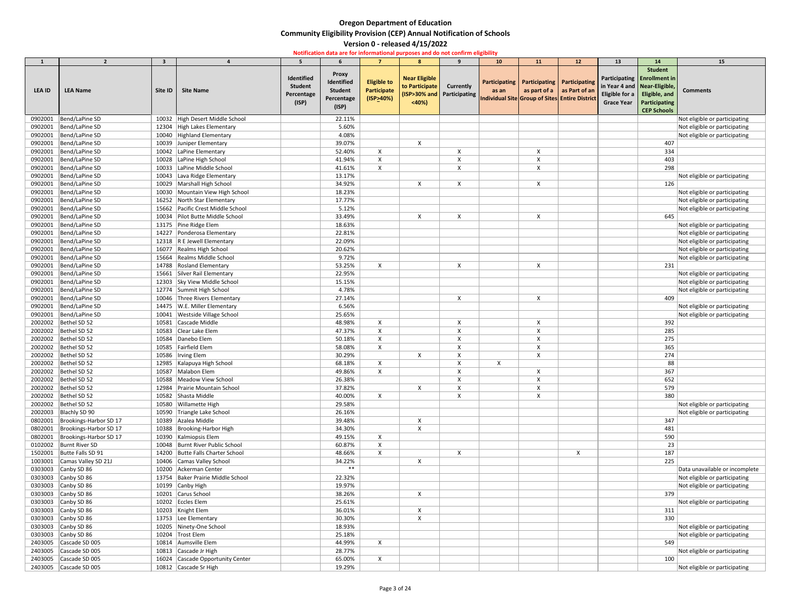|                    | $\overline{2}$                                   | $\overline{\mathbf{3}}$ |                                                   | 5.                                                  |                                                            | $\overline{7}$                                        | 8                                               | $\mathbf{q}$                                   | 10 <sub>1</sub> | 11 | 12                                                                                                                            | 13                                  | 14                                                                                                                         | 15                                                             |
|--------------------|--------------------------------------------------|-------------------------|---------------------------------------------------|-----------------------------------------------------|------------------------------------------------------------|-------------------------------------------------------|-------------------------------------------------|------------------------------------------------|-----------------|----|-------------------------------------------------------------------------------------------------------------------------------|-------------------------------------|----------------------------------------------------------------------------------------------------------------------------|----------------------------------------------------------------|
| <b>LEA ID</b>      | <b>LEA Name</b>                                  | Site ID                 | <b>Site Name</b>                                  | Identified<br><b>Student</b><br>Percentage<br>(ISP) | <b>Proxy</b><br>Identified<br><b>Student</b><br>Percentage | <b>Eligible to</b><br><b>Participate</b><br>(ISP>40%) | <b>Near Eligible</b><br>to Participate<br>< 40% | <b>Currently</b><br>(ISP>30% and Participating | as an           |    | Participating   Participating   Participating<br>as part of a as Part of an<br>Individual Site Group of Sites Entire District | Eligible for a<br><b>Grace Year</b> | <b>Student</b><br>Participating   Enrollment in<br>in Year 4 and   Near-Eligible,<br>Eligible, and<br><b>Participating</b> | <b>Comments</b>                                                |
|                    |                                                  |                         |                                                   |                                                     | (ISP)                                                      |                                                       |                                                 |                                                |                 |    |                                                                                                                               |                                     | <b>CEP Schools</b>                                                                                                         |                                                                |
| 0902001            | Bend/LaPine SD                                   |                         | 10032 High Desert Middle School                   |                                                     | 22.11%                                                     |                                                       |                                                 |                                                |                 |    |                                                                                                                               |                                     |                                                                                                                            | Not eligible or participating                                  |
| 0902001            | Bend/LaPine SD                                   |                         | 12304 High Lakes Elementary                       |                                                     | 5.60%                                                      |                                                       |                                                 |                                                |                 |    |                                                                                                                               |                                     |                                                                                                                            | Not eligible or participating                                  |
| 0902001            | Bend/LaPine SD                                   |                         | 10040 Highland Elementary                         |                                                     | 4.08%                                                      |                                                       |                                                 |                                                |                 |    |                                                                                                                               |                                     |                                                                                                                            | Not eligible or participating                                  |
| 0902001            | Bend/LaPine SD                                   |                         | 10039 Juniper Elementary                          |                                                     | 39.07%                                                     |                                                       |                                                 |                                                |                 |    |                                                                                                                               |                                     | 407                                                                                                                        |                                                                |
| 0902001            | Bend/LaPine SD                                   |                         | 10042 LaPine Elementary                           |                                                     | 52.40%                                                     | X                                                     |                                                 | X                                              |                 |    |                                                                                                                               |                                     | 334                                                                                                                        |                                                                |
| 0902001            | Bend/LaPine SD                                   |                         | 10028 LaPine High School                          |                                                     | 41.94%                                                     | X                                                     |                                                 |                                                |                 |    |                                                                                                                               |                                     | 403                                                                                                                        |                                                                |
| 0902001            | Bend/LaPine SD                                   | 10033                   | LaPine Middle School                              |                                                     | 41.61%                                                     | X                                                     |                                                 |                                                |                 |    |                                                                                                                               |                                     | 298                                                                                                                        |                                                                |
| 0902001            | Bend/LaPine SD                                   | 10043                   | Lava Ridge Elementary                             |                                                     | 13.17%                                                     |                                                       |                                                 |                                                |                 |    |                                                                                                                               |                                     |                                                                                                                            | Not eligible or participating                                  |
| 0902001            | Bend/LaPine SD                                   |                         | 10029   Marshall High School                      |                                                     | 34.92%                                                     |                                                       |                                                 |                                                |                 |    |                                                                                                                               |                                     | 126                                                                                                                        |                                                                |
| 0902001            | Bend/LaPine SD                                   | 10030                   | Mountain View High School                         |                                                     | 18.23%                                                     |                                                       |                                                 |                                                |                 |    |                                                                                                                               |                                     |                                                                                                                            | Not eligible or participating                                  |
| 0902001            | Bend/LaPine SD                                   |                         | 16252 North Star Elementary                       |                                                     | 17.77%                                                     |                                                       |                                                 |                                                |                 |    |                                                                                                                               |                                     |                                                                                                                            | Not eligible or participating                                  |
| 0902001            | Bend/LaPine SD                                   |                         | 15662 Pacific Crest Middle School                 |                                                     | 5.12%                                                      |                                                       |                                                 |                                                |                 |    |                                                                                                                               |                                     |                                                                                                                            | Not eligible or participating                                  |
| 0902001            | Bend/LaPine SD                                   | 10034                   | Pilot Butte Middle School                         |                                                     | 33.49%                                                     |                                                       |                                                 |                                                |                 |    |                                                                                                                               |                                     | 645                                                                                                                        |                                                                |
| 0902001            | Bend/LaPine SD                                   |                         | 13175   Pine Ridge Elem                           |                                                     | 18.63%                                                     |                                                       |                                                 |                                                |                 |    |                                                                                                                               |                                     |                                                                                                                            | Not eligible or participating                                  |
| 0902001            | Bend/LaPine SD                                   |                         | 14227 Ponderosa Elementary                        |                                                     | 22.81%                                                     |                                                       |                                                 |                                                |                 |    |                                                                                                                               |                                     |                                                                                                                            | Not eligible or participating                                  |
| 0902001<br>0902001 | Bend/LaPine SD<br>Bend/LaPine SD                 |                         | 12318 R E Jewell Elementary                       |                                                     | 22.09%<br>20.62%                                           |                                                       |                                                 |                                                |                 |    |                                                                                                                               |                                     |                                                                                                                            | Not eligible or participating                                  |
| 0902001            | Bend/LaPine SD                                   | 15664                   | 16077 Realms High School<br>Realms Middle School  |                                                     | 9.72%                                                      |                                                       |                                                 |                                                |                 |    |                                                                                                                               |                                     |                                                                                                                            | Not eligible or participating<br>Not eligible or participating |
| 0902001            | Bend/LaPine SD                                   | 14788                   | Rosland Elementary                                |                                                     | 53.25%                                                     | X                                                     |                                                 |                                                |                 |    |                                                                                                                               |                                     | 231                                                                                                                        |                                                                |
| 0902001            | Bend/LaPine SD                                   | 15661                   | Silver Rail Elementary                            |                                                     | 22.95%                                                     |                                                       |                                                 |                                                |                 |    |                                                                                                                               |                                     |                                                                                                                            | Not eligible or participating                                  |
| 0902001            | Bend/LaPine SD                                   |                         | 12303 Sky View Middle School                      |                                                     | 15.15%                                                     |                                                       |                                                 |                                                |                 |    |                                                                                                                               |                                     |                                                                                                                            | Not eligible or participating                                  |
| 0902001            | Bend/LaPine SD                                   |                         | 12774 Summit High School                          |                                                     | 4.78%                                                      |                                                       |                                                 |                                                |                 |    |                                                                                                                               |                                     |                                                                                                                            | Not eligible or participating                                  |
| 0902001            | Bend/LaPine SD                                   |                         | 10046 Three Rivers Elementary                     |                                                     | 27.14%                                                     |                                                       |                                                 |                                                |                 |    |                                                                                                                               |                                     | 409                                                                                                                        |                                                                |
| 0902001            | Bend/LaPine SD                                   |                         | 14475   W.E. Miller Elementary                    |                                                     | 6.56%                                                      |                                                       |                                                 |                                                |                 |    |                                                                                                                               |                                     |                                                                                                                            | Not eligible or participating                                  |
|                    | 0902001   Bend/LaPine SD                         |                         | 10041   Westside Village School                   |                                                     | 25.65%                                                     |                                                       |                                                 |                                                |                 |    |                                                                                                                               |                                     |                                                                                                                            | Not eligible or participating                                  |
| 2002002            | Bethel SD 52                                     |                         | 10581 Cascade Middle                              |                                                     | 48.98%                                                     |                                                       |                                                 |                                                |                 |    |                                                                                                                               |                                     | 392                                                                                                                        |                                                                |
| 2002002            | Bethel SD 52                                     |                         | 10583 Clear Lake Elem                             |                                                     | 47.37%                                                     |                                                       |                                                 |                                                |                 |    |                                                                                                                               |                                     | 285                                                                                                                        |                                                                |
|                    | 2002002   Bethel SD 52                           |                         | 10584 Danebo Elem                                 |                                                     | 50.18%                                                     |                                                       |                                                 |                                                |                 |    |                                                                                                                               |                                     | 275                                                                                                                        |                                                                |
| 2002002            | Bethel SD 52                                     |                         | 10585 Fairfield Elem                              |                                                     | 58.08%                                                     | $\boldsymbol{\mathsf{X}}$                             |                                                 |                                                |                 |    |                                                                                                                               |                                     | 365                                                                                                                        |                                                                |
| 2002002            | Bethel SD 52                                     |                         | 10586   Irving Elem                               |                                                     | 30.29%                                                     |                                                       |                                                 |                                                |                 |    |                                                                                                                               |                                     | 274                                                                                                                        |                                                                |
|                    | 2002002   Bethel SD 52                           |                         | 12985 Kalapuya High School                        |                                                     | 68.18%                                                     | $\mathsf{X}$                                          |                                                 |                                                | X               |    |                                                                                                                               |                                     | 88                                                                                                                         |                                                                |
| 2002002            | Bethel SD 52                                     |                         | 10587 Malabon Elem                                |                                                     | 49.86%                                                     | X                                                     |                                                 |                                                |                 |    |                                                                                                                               |                                     | 367                                                                                                                        |                                                                |
| 2002002            | Bethel SD 52                                     |                         | 10588   Meadow View School                        |                                                     | 26.38%                                                     |                                                       |                                                 |                                                |                 |    |                                                                                                                               |                                     | 652                                                                                                                        |                                                                |
|                    | 2002002   Bethel SD 52                           |                         | 12984 Prairie Mountain School                     |                                                     | 37.82%                                                     |                                                       | X                                               |                                                |                 |    |                                                                                                                               |                                     | 579                                                                                                                        |                                                                |
| 2002002            | Bethel SD 52                                     |                         | 10582 Shasta Middle                               |                                                     | 40.00%                                                     | X                                                     |                                                 |                                                |                 |    |                                                                                                                               |                                     | 380                                                                                                                        |                                                                |
|                    | 2002002   Bethel SD 52                           |                         | 10580 Willamette High                             |                                                     | 29.58%                                                     |                                                       |                                                 |                                                |                 |    |                                                                                                                               |                                     |                                                                                                                            | Not eligible or participating                                  |
|                    | 2002003 Blachly SD 90                            |                         | 10590 Triangle Lake School                        |                                                     | 26.16%                                                     |                                                       |                                                 |                                                |                 |    |                                                                                                                               |                                     |                                                                                                                            | Not eligible or participating                                  |
| 0802001            | 0802001  Brookings-Harbor SD 17                  |                         | 10389 Azalea Middle<br>10388 Brooking-Harbor High |                                                     | 39.48%<br>34.30%                                           |                                                       |                                                 |                                                |                 |    |                                                                                                                               |                                     | 347<br>481                                                                                                                 |                                                                |
| 0802001            | Brookings-Harbor SD 17<br>Brookings-Harbor SD 17 |                         | 10390 Kalmiopsis Elem                             |                                                     | 49.15%                                                     | X                                                     |                                                 |                                                |                 |    |                                                                                                                               |                                     | 590                                                                                                                        |                                                                |
|                    | 0102002 Burnt River SD                           |                         | 10048 Burnt River Public School                   |                                                     | 60.87%                                                     | $\boldsymbol{\mathsf{X}}$                             |                                                 |                                                |                 |    |                                                                                                                               |                                     | 23                                                                                                                         |                                                                |
| 1502001            | Butte Falls SD 91                                |                         | 14200 Butte Falls Charter School                  |                                                     | 48.66%                                                     | X                                                     |                                                 | $\mathsf{X}$                                   |                 |    |                                                                                                                               |                                     | 187                                                                                                                        |                                                                |
| 1003001            | Camas Valley SD 21J                              |                         | 10406 Camas Valley School                         |                                                     | 34.22%                                                     |                                                       |                                                 |                                                |                 |    |                                                                                                                               |                                     | 225                                                                                                                        |                                                                |
|                    | 0303003 Canby SD 86                              |                         | 10200 Ackerman Center                             |                                                     | $***$                                                      |                                                       |                                                 |                                                |                 |    |                                                                                                                               |                                     |                                                                                                                            | Data unavailable or incomplete                                 |
| 0303003            | Canby SD 86                                      |                         | 13754 Baker Prairie Middle School                 |                                                     | 22.32%                                                     |                                                       |                                                 |                                                |                 |    |                                                                                                                               |                                     |                                                                                                                            | Not eligible or participating                                  |
| 0303003            | Canby SD 86                                      |                         | 10199 Canby High                                  |                                                     | 19.97%                                                     |                                                       |                                                 |                                                |                 |    |                                                                                                                               |                                     |                                                                                                                            | Not eligible or participating                                  |
| 0303003            | Canby SD 86                                      |                         | 10201 Carus School                                |                                                     | 38.26%                                                     |                                                       | X                                               |                                                |                 |    |                                                                                                                               |                                     | 379                                                                                                                        |                                                                |
| 0303003            | Canby SD 86                                      |                         | 10202 Eccles Elem                                 |                                                     | 25.61%                                                     |                                                       |                                                 |                                                |                 |    |                                                                                                                               |                                     |                                                                                                                            | Not eligible or participating                                  |
| 0303003            | Canby SD 86                                      |                         | 10203 Knight Elem                                 |                                                     | 36.01%                                                     |                                                       |                                                 |                                                |                 |    |                                                                                                                               |                                     | 311                                                                                                                        |                                                                |
| 0303003            | Canby SD 86                                      |                         | 13753 Lee Elementary                              |                                                     | 30.30%                                                     |                                                       |                                                 |                                                |                 |    |                                                                                                                               |                                     | 330                                                                                                                        |                                                                |
| 0303003            | Canby SD 86                                      |                         | 10205 Ninety-One School                           |                                                     | 18.93%                                                     |                                                       |                                                 |                                                |                 |    |                                                                                                                               |                                     |                                                                                                                            | Not eligible or participating                                  |
| 0303003            | Canby SD 86                                      |                         | 10204 Trost Elem                                  |                                                     | 25.18%                                                     |                                                       |                                                 |                                                |                 |    |                                                                                                                               |                                     |                                                                                                                            | Not eligible or participating                                  |
| 2403005            | Cascade SD 005                                   |                         | 10814   Aumsville Elem                            |                                                     | 44.99%                                                     | $\mathsf{X}$                                          |                                                 |                                                |                 |    |                                                                                                                               |                                     | 549                                                                                                                        |                                                                |
| 2403005            | Cascade SD 005                                   |                         | 10813 Cascade Jr High                             |                                                     | 28.77%                                                     |                                                       |                                                 |                                                |                 |    |                                                                                                                               |                                     |                                                                                                                            | Not eligible or participating                                  |
| 2403005            | Cascade SD 005                                   |                         | 16024 Cascade Opportunity Center                  |                                                     | 65.00%                                                     | X                                                     |                                                 |                                                |                 |    |                                                                                                                               |                                     | 100                                                                                                                        |                                                                |
| 2403005            | Cascade SD 005                                   |                         | 10812 Cascade Sr High                             |                                                     | 19.29%                                                     |                                                       |                                                 |                                                |                 |    |                                                                                                                               |                                     |                                                                                                                            | Not eligible or participating                                  |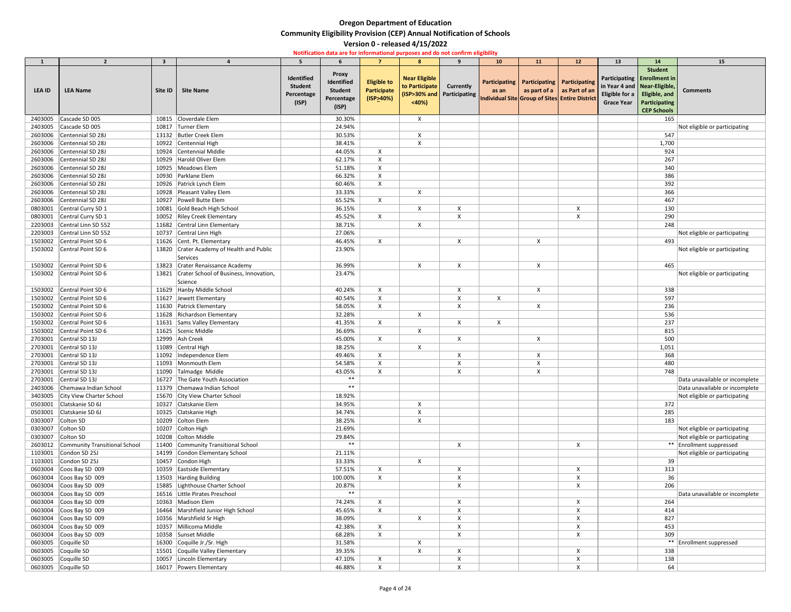| $\mathbf{1}$  | $\overline{2}$                   | $\overline{\mathbf{3}}$ |                                        |                                                     |                                                                     |                                                | $\mathbf{R}$                                    | $\mathbf{q}$                                     | 10    | <b>11</b>                                     | 12 <sup>7</sup>                                                                      | 13                | 14                                                                                                                                                             | <b>15</b>                      |
|---------------|----------------------------------|-------------------------|----------------------------------------|-----------------------------------------------------|---------------------------------------------------------------------|------------------------------------------------|-------------------------------------------------|--------------------------------------------------|-------|-----------------------------------------------|--------------------------------------------------------------------------------------|-------------------|----------------------------------------------------------------------------------------------------------------------------------------------------------------|--------------------------------|
| <b>LEA ID</b> | <b>LEA Name</b>                  | Site ID                 | <b>Site Name</b>                       | Identified<br><b>Student</b><br>Percentage<br>(ISP) | <b>Proxy</b><br>Identified<br><b>Student</b><br>Percentage<br>(ISP) | <b>Eligible to</b><br>Participate<br>(ISP>40%) | <b>Near Eligible</b><br>to Participate<br>< 40% | <b>Currently</b><br>(ISP>30% and   Participating | as an | Participating   Participating   Participating | as part of a $\vert$ as Part of an<br>Individual Site Group of Sites Entire District | <b>Grace Year</b> | <b>Student</b><br>Participating   Enrollment in<br>in Year 4 and Near-Eligible,<br>Eligible for a <b>Eligible</b> , and<br>Participating<br><b>CEP Schools</b> | <b>Comments</b>                |
| 2403005       | Cascade SD 005                   |                         | 10815 Cloverdale Elem                  |                                                     | 30.30%                                                              |                                                | X                                               |                                                  |       |                                               |                                                                                      |                   | 165                                                                                                                                                            |                                |
| 2403005       | Cascade SD 005                   |                         | 10817 Turner Elem                      |                                                     | 24.94%                                                              |                                                |                                                 |                                                  |       |                                               |                                                                                      |                   |                                                                                                                                                                | Not eligible or participating  |
| 2603006       | Centennial SD 28J                |                         | 13132 Butler Creek Elem                |                                                     | 30.53%                                                              |                                                |                                                 |                                                  |       |                                               |                                                                                      |                   | 547                                                                                                                                                            |                                |
| 2603006       | Centennial SD 28J                |                         | 10922 Centennial High                  |                                                     | 38.41%                                                              |                                                |                                                 |                                                  |       |                                               |                                                                                      |                   | 1,700                                                                                                                                                          |                                |
| 2603006       | Centennial SD 28J                |                         | 10924 Centennial Middle                |                                                     | 44.05%                                                              | X                                              |                                                 |                                                  |       |                                               |                                                                                      |                   | 924                                                                                                                                                            |                                |
| 2603006       | Centennial SD 28J                |                         | 10929 Harold Oliver Elem               |                                                     | 62.17%                                                              | $\boldsymbol{\mathsf{X}}$                      |                                                 |                                                  |       |                                               |                                                                                      |                   | 267                                                                                                                                                            |                                |
| 2603006       | Centennial SD 28J                |                         | 10925   Meadows Elem                   |                                                     | 51.18%                                                              | X                                              |                                                 |                                                  |       |                                               |                                                                                      |                   | 340                                                                                                                                                            |                                |
| 2603006       | Centennial SD 28J                |                         | 10930 Parklane Elem                    |                                                     | 66.32%                                                              | X                                              |                                                 |                                                  |       |                                               |                                                                                      |                   | 386                                                                                                                                                            |                                |
| 2603006       | Centennial SD 28J                |                         | 10926 Patrick Lynch Elem               |                                                     | 60.46%                                                              | $\boldsymbol{\mathsf{X}}$                      |                                                 |                                                  |       |                                               |                                                                                      |                   | 392                                                                                                                                                            |                                |
| 2603006       | Centennial SD 28J                |                         | 10928 Pleasant Valley Elem             |                                                     | 33.33%                                                              |                                                | X                                               |                                                  |       |                                               |                                                                                      |                   | 366                                                                                                                                                            |                                |
| 2603006       | Centennial SD 28J                |                         | 10927 Powell Butte Elem                |                                                     | 65.52%                                                              | X                                              |                                                 |                                                  |       |                                               |                                                                                      |                   | 467                                                                                                                                                            |                                |
| 0803001       | Central Curry SD 1               |                         | 10081 Gold Beach High School           |                                                     | 36.15%                                                              |                                                |                                                 |                                                  |       |                                               |                                                                                      |                   | 130                                                                                                                                                            |                                |
| 0803001       | Central Curry SD 1               |                         | 10052 Riley Creek Elementary           |                                                     | 45.52%                                                              | X                                              |                                                 |                                                  |       |                                               |                                                                                      |                   | 290                                                                                                                                                            |                                |
| 2203003       | Central Linn SD 552              |                         | 11682 Central Linn Elementary          |                                                     | 38.71%                                                              |                                                |                                                 |                                                  |       |                                               |                                                                                      |                   | 248                                                                                                                                                            |                                |
| 2203003       | Central Linn SD 552              |                         | 10737 Central Linn High                |                                                     | 27.06%                                                              |                                                |                                                 |                                                  |       |                                               |                                                                                      |                   |                                                                                                                                                                | Not eligible or participating  |
| 1503002       | Central Point SD 6               |                         | 11626 Cent. Pt. Elementary             |                                                     | 46.45%                                                              | X                                              |                                                 | X                                                |       | X                                             |                                                                                      |                   | 493                                                                                                                                                            |                                |
| 1503002       | Central Point SD 6               | 13820                   | Crater Academy of Health and Public    |                                                     | 23.90%                                                              |                                                |                                                 |                                                  |       |                                               |                                                                                      |                   |                                                                                                                                                                | Not eligible or participating  |
|               |                                  |                         | Services                               |                                                     |                                                                     |                                                |                                                 |                                                  |       |                                               |                                                                                      |                   |                                                                                                                                                                |                                |
| 1503002       | Central Point SD 6               |                         | 13823 Crater Renaissance Academy       |                                                     | 36.99%                                                              |                                                | X                                               | X                                                |       | X                                             |                                                                                      |                   | 465                                                                                                                                                            |                                |
| 1503002       | Central Point SD 6               | 13821                   | Crater School of Business, Innovation, |                                                     | 23.47%                                                              |                                                |                                                 |                                                  |       |                                               |                                                                                      |                   |                                                                                                                                                                | Not eligible or participating  |
|               |                                  |                         | Science                                |                                                     |                                                                     |                                                |                                                 |                                                  |       |                                               |                                                                                      |                   |                                                                                                                                                                |                                |
| 1503002       | Central Point SD 6               |                         | 11629 Hanby Middle School              |                                                     | 40.24%                                                              | $\boldsymbol{\mathsf{X}}$                      |                                                 | $\boldsymbol{\mathsf{x}}$                        |       | X                                             |                                                                                      |                   | 338                                                                                                                                                            |                                |
| 1503002       | Central Point SD 6               |                         | 11627 Jewett Elementary                |                                                     | 40.54%                                                              | $\boldsymbol{\mathsf{X}}$                      |                                                 |                                                  |       |                                               |                                                                                      |                   | 597                                                                                                                                                            |                                |
| 1503002       | Central Point SD 6               |                         | 11630 Patrick Elementary               |                                                     | 58.05%                                                              | X                                              |                                                 |                                                  |       | X                                             |                                                                                      |                   | 236                                                                                                                                                            |                                |
|               | 1503002 Central Point SD 6       |                         | 11628 Richardson Elementary            |                                                     | 32.28%                                                              |                                                | X                                               |                                                  |       |                                               |                                                                                      |                   | 536                                                                                                                                                            |                                |
|               | 1503002 Central Point SD 6       |                         | 11631 Sams Valley Elementary           |                                                     | 41.35%                                                              |                                                |                                                 |                                                  |       |                                               |                                                                                      |                   | 237                                                                                                                                                            |                                |
|               | 1503002 Central Point SD 6       |                         | 11625 Scenic Middle                    |                                                     | 36.69%                                                              |                                                | X                                               |                                                  |       |                                               |                                                                                      |                   | 815                                                                                                                                                            |                                |
|               | 2703001 Central SD 13J           |                         | 12999 Ash Creek                        |                                                     | 45.00%                                                              | X                                              |                                                 | X                                                |       | X                                             |                                                                                      |                   | 500                                                                                                                                                            |                                |
| 2703001       | Central SD 13J                   |                         | 11089 Central High                     |                                                     | 38.25%                                                              |                                                | $\boldsymbol{\mathsf{X}}$                       |                                                  |       |                                               |                                                                                      |                   | 1,051                                                                                                                                                          |                                |
|               | 2703001 Central SD 13J           |                         | 11092   Independence Elem              |                                                     | 49.46%                                                              | X                                              |                                                 |                                                  |       |                                               |                                                                                      |                   | 368                                                                                                                                                            |                                |
| 2703001       | Central SD 13J                   |                         | 11093 Monmouth Elem                    |                                                     | 54.58%                                                              | X                                              |                                                 |                                                  |       |                                               |                                                                                      |                   | 480                                                                                                                                                            |                                |
| 2703001       | Central SD 13J                   |                         | 11090 Talmadge Middle                  |                                                     | 43.05%                                                              | $\boldsymbol{\mathsf{X}}$                      |                                                 |                                                  |       |                                               |                                                                                      |                   | 748                                                                                                                                                            |                                |
| 2703001       | Central SD 13J                   |                         | 16727 The Gate Youth Association       |                                                     | $***$                                                               |                                                |                                                 |                                                  |       |                                               |                                                                                      |                   |                                                                                                                                                                | Data unavailable or incomplete |
| 2403006       | Chemawa Indian School            |                         | 11379 Chemawa Indian School            |                                                     | $***$                                                               |                                                |                                                 |                                                  |       |                                               |                                                                                      |                   |                                                                                                                                                                | Data unavailable or incomplete |
|               | 3403005 City View Charter School |                         | 15670 City View Charter School         |                                                     | 18.92%                                                              |                                                |                                                 |                                                  |       |                                               |                                                                                      |                   |                                                                                                                                                                | Not eligible or participating  |
|               | 0503001 Clatskanie SD 6J         |                         | 10327 Clatskanie Elem                  |                                                     | 34.95%                                                              |                                                |                                                 |                                                  |       |                                               |                                                                                      |                   | 372                                                                                                                                                            |                                |
|               | 0503001 Clatskanie SD 6J         |                         | 10325 Clatskanie High                  |                                                     | 34.74%                                                              |                                                |                                                 |                                                  |       |                                               |                                                                                      |                   | 285                                                                                                                                                            |                                |
| 0303007       | Colton SD                        |                         | 10209 Colton Elem                      |                                                     | 38.25%                                                              |                                                |                                                 |                                                  |       |                                               |                                                                                      |                   | 183                                                                                                                                                            |                                |
| 0303007       | Colton SD                        |                         | 10207 Colton High                      |                                                     | 21.69%                                                              |                                                |                                                 |                                                  |       |                                               |                                                                                      |                   |                                                                                                                                                                | Not eligible or participating  |
| 0303007       | Colton SD                        |                         | 10208 Colton Middle                    |                                                     | 29.84%                                                              |                                                |                                                 |                                                  |       |                                               |                                                                                      |                   |                                                                                                                                                                | Not eligible or participating  |
| 2603012       | Community Transitional School    |                         | 11400 Community Transitional School    |                                                     | $***$                                                               |                                                |                                                 |                                                  |       |                                               |                                                                                      |                   |                                                                                                                                                                | ** Enrollment suppressed       |
|               | 1103001 Condon SD 25J            |                         | 14199 Condon Elementary School         |                                                     | 21.11%                                                              |                                                |                                                 |                                                  |       |                                               |                                                                                      |                   |                                                                                                                                                                | Not eligible or participating  |
| 1103001       | Condon SD 25J                    |                         | 10457 Condon High                      |                                                     | 33.33%                                                              |                                                |                                                 |                                                  |       |                                               |                                                                                      |                   | 39                                                                                                                                                             |                                |
| 0603004       | Coos Bay SD 009                  |                         | 10359 Eastside Elementary              |                                                     | 57.51%                                                              | $\mathsf{X}$                                   |                                                 |                                                  |       |                                               |                                                                                      |                   | 313                                                                                                                                                            |                                |
| 0603004       | Coos Bay SD 009                  |                         | 13503 Harding Building                 |                                                     | 100.00%                                                             | X                                              |                                                 |                                                  |       |                                               |                                                                                      |                   | 36                                                                                                                                                             |                                |
| 0603004       | Coos Bay SD 009                  |                         | 15885 Lighthouse Charter School        |                                                     | 20.87%                                                              |                                                |                                                 | $\boldsymbol{\mathsf{X}}$                        |       |                                               |                                                                                      |                   | 206                                                                                                                                                            |                                |
| 0603004       | Coos Bay SD 009                  |                         | 16516 Little Pirates Preschool         |                                                     | $***$                                                               |                                                |                                                 |                                                  |       |                                               |                                                                                      |                   |                                                                                                                                                                | Data unavailable or incomplete |
|               | 0603004 Coos Bay SD 009          |                         | 10363 Madison Elem                     |                                                     | 74.24%                                                              | X                                              |                                                 | X                                                |       |                                               |                                                                                      |                   | 264                                                                                                                                                            |                                |
|               | 0603004 Coos Bay SD 009          |                         | 16464   Marshfield Junior High School  |                                                     | 45.65%                                                              | X                                              |                                                 |                                                  |       |                                               |                                                                                      |                   | 414                                                                                                                                                            |                                |
| 0603004       | Coos Bay SD 009                  |                         | 10356 Marshfield Sr High               |                                                     | 38.09%                                                              |                                                |                                                 |                                                  |       |                                               |                                                                                      |                   | 827                                                                                                                                                            |                                |
| 0603004       | Coos Bay SD 009                  |                         | 10357 Millicoma Middle                 |                                                     | 42.38%                                                              | X                                              |                                                 |                                                  |       |                                               |                                                                                      |                   | 453                                                                                                                                                            |                                |
|               | 0603004 Coos Bay SD 009          |                         | 10358 Sunset Middle                    |                                                     | 68.28%                                                              | $\boldsymbol{\mathsf{X}}$                      |                                                 | $\boldsymbol{\mathsf{X}}$                        |       |                                               |                                                                                      |                   | 309                                                                                                                                                            |                                |
| 0603005       | Coquille SD                      |                         | 16300 Coquille Jr./Sr. High            |                                                     | 31.58%                                                              |                                                |                                                 |                                                  |       |                                               |                                                                                      |                   |                                                                                                                                                                | ** Enrollment suppressed       |
|               | 0603005 Coquille SD              |                         | 15501 Coquille Valley Elementary       |                                                     | 39.35%                                                              |                                                | X                                               | X                                                |       |                                               |                                                                                      |                   | 338                                                                                                                                                            |                                |
|               | 0603005 Coquille SD              |                         | 10057 Lincoln Elementary               |                                                     | 47.10%                                                              | $\boldsymbol{\mathsf{X}}$                      |                                                 |                                                  |       |                                               |                                                                                      |                   | 138                                                                                                                                                            |                                |
|               | 0603005 Coquille SD              |                         | 16017 Powers Elementary                |                                                     | 46.88%                                                              | X                                              |                                                 |                                                  |       |                                               |                                                                                      |                   | 64                                                                                                                                                             |                                |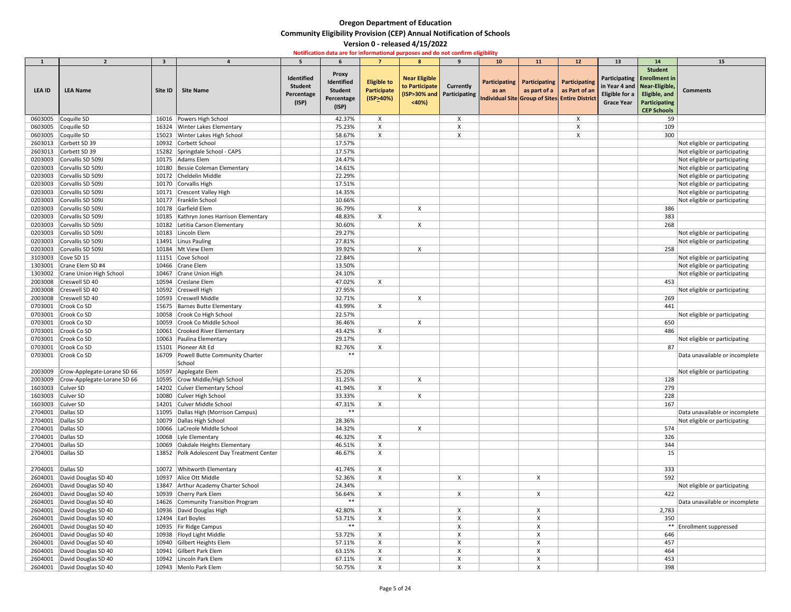| -1                | $\overline{2}$                      | 3       |                                            | 5.                                                  |                                                                     | $\overline{7}$                                        | $\mathbf{R}$                                    | $\mathbf{q}$                                   | 10 <sub>1</sub>                                                            | 11                            | 12                                 | 13                                          | 14                                                                                                                                               | 15                             |
|-------------------|-------------------------------------|---------|--------------------------------------------|-----------------------------------------------------|---------------------------------------------------------------------|-------------------------------------------------------|-------------------------------------------------|------------------------------------------------|----------------------------------------------------------------------------|-------------------------------|------------------------------------|---------------------------------------------|--------------------------------------------------------------------------------------------------------------------------------------------------|--------------------------------|
| <b>LEA ID</b>     | <b>LEA Name</b>                     | Site ID | <b>Site Name</b>                           | Identified<br><b>Student</b><br>Percentage<br>(ISP) | <b>Proxy</b><br>Identified<br><b>Student</b><br>Percentage<br>(ISP) | <b>Eligible to</b><br><b>Participate</b><br>(ISP>40%) | <b>Near Eligible</b><br>to Participate<br>< 40% | <b>Currently</b><br>(ISP>30% and Participating | Participating  <br>as an<br>Individual Site Group of Sites Entire District | Participating   Participating | as part of a $\vert$ as Part of an | Eligible for a $\vert$<br><b>Grace Year</b> | <b>Student</b><br>Participating   Enrollment in<br>in Year 4 and   Near-Eligible,<br>Eligible, and<br><b>Participating</b><br><b>CEP Schools</b> | <b>Comments</b>                |
| 0603005           | Coquille SD                         |         | 16016 Powers High School                   |                                                     | 42.37%                                                              | X                                                     |                                                 | X                                              |                                                                            |                               | X                                  |                                             | 59                                                                                                                                               |                                |
| 0603005           | Coquille SD                         |         | 16324 Winter Lakes Elementary              |                                                     | 75.23%                                                              | $\boldsymbol{\mathsf{X}}$                             |                                                 | X                                              |                                                                            |                               |                                    |                                             | 109                                                                                                                                              |                                |
| 0603005           | Coquille SD                         |         | 15023 Winter Lakes High School             |                                                     | 58.67%                                                              | X                                                     |                                                 |                                                |                                                                            |                               |                                    |                                             | 300                                                                                                                                              |                                |
| 2603013           | Corbett SD 39                       |         | 10932 Corbett School                       |                                                     | 17.57%                                                              |                                                       |                                                 |                                                |                                                                            |                               |                                    |                                             |                                                                                                                                                  | Not eligible or participating  |
| 2603013           | Corbett SD 39                       |         | 15282 Springdale School - CAPS             |                                                     | 17.57%                                                              |                                                       |                                                 |                                                |                                                                            |                               |                                    |                                             |                                                                                                                                                  | Not eligible or participating  |
| 0203003           | Corvallis SD 509J                   |         | 10175 Adams Elem                           |                                                     | 24.47%                                                              |                                                       |                                                 |                                                |                                                                            |                               |                                    |                                             |                                                                                                                                                  | Not eligible or participating  |
| 0203003           | Corvallis SD 509J                   |         | 10180 Bessie Coleman Elementary            |                                                     | 14.61%                                                              |                                                       |                                                 |                                                |                                                                            |                               |                                    |                                             |                                                                                                                                                  | Not eligible or participating  |
| 0203003           | Corvallis SD 509J                   |         | 10172 Cheldelin Middle                     |                                                     | 22.29%                                                              |                                                       |                                                 |                                                |                                                                            |                               |                                    |                                             |                                                                                                                                                  | Not eligible or participating  |
| 0203003           | Corvallis SD 509J                   |         | 10170 Corvallis High                       |                                                     | 17.51%                                                              |                                                       |                                                 |                                                |                                                                            |                               |                                    |                                             |                                                                                                                                                  | Not eligible or participating  |
| 0203003           | Corvallis SD 509J                   |         | 10171 Crescent Valley High                 |                                                     | 14.35%                                                              |                                                       |                                                 |                                                |                                                                            |                               |                                    |                                             |                                                                                                                                                  | Not eligible or participating  |
| 0203003           | Corvallis SD 509J                   |         | 10177 Franklin School                      |                                                     | 10.66%                                                              |                                                       |                                                 |                                                |                                                                            |                               |                                    |                                             |                                                                                                                                                  | Not eligible or participating  |
| 0203003           | Corvallis SD 509J                   |         | 10178 Garfield Elem                        |                                                     | 36.79%                                                              |                                                       |                                                 |                                                |                                                                            |                               |                                    |                                             | 386                                                                                                                                              |                                |
| 0203003           | Corvallis SD 509J                   |         | 10185   Kathryn Jones Harrison Elementary  |                                                     | 48.83%                                                              | X                                                     |                                                 |                                                |                                                                            |                               |                                    |                                             | 383                                                                                                                                              |                                |
| 0203003           | Corvallis SD 509J                   |         | 10182 Letitia Carson Elementary            |                                                     | 30.60%                                                              |                                                       | X                                               |                                                |                                                                            |                               |                                    |                                             | 268                                                                                                                                              |                                |
| 0203003           | Corvallis SD 509J                   |         | 10183 Lincoln Elem                         |                                                     | 29.27%                                                              |                                                       |                                                 |                                                |                                                                            |                               |                                    |                                             |                                                                                                                                                  | Not eligible or participating  |
| 0203003           | Corvallis SD 509J                   |         | 13491 Linus Pauling                        |                                                     | 27.81%                                                              |                                                       |                                                 |                                                |                                                                            |                               |                                    |                                             |                                                                                                                                                  | Not eligible or participating  |
| 0203003           | Corvallis SD 509J                   |         | 10184 Mt View Elem                         |                                                     | 39.92%                                                              |                                                       |                                                 |                                                |                                                                            |                               |                                    |                                             | 258                                                                                                                                              |                                |
| 3103003           | Cove SD 15                          |         | 11151 Cove School                          |                                                     | 22.84%                                                              |                                                       |                                                 |                                                |                                                                            |                               |                                    |                                             |                                                                                                                                                  | Not eligible or participating  |
| 1303001           | Crane Elem SD #4                    |         | 10466 Crane Elem                           |                                                     | 13.50%                                                              |                                                       |                                                 |                                                |                                                                            |                               |                                    |                                             |                                                                                                                                                  | Not eligible or participating  |
| 1303002           | Crane Union High School             |         | 10467 Crane Union High                     |                                                     | 24.10%                                                              |                                                       |                                                 |                                                |                                                                            |                               |                                    |                                             |                                                                                                                                                  | Not eligible or participating  |
| 2003008           | Creswell SD 40                      |         | 10594 Creslane Elem                        |                                                     | 47.02%                                                              | $\mathsf{X}$                                          |                                                 |                                                |                                                                            |                               |                                    |                                             | 453                                                                                                                                              |                                |
| 2003008           | Creswell SD 40                      |         | 10592 Creswell High                        |                                                     | 27.95%                                                              |                                                       |                                                 |                                                |                                                                            |                               |                                    |                                             |                                                                                                                                                  | Not eligible or participating  |
| 2003008           | Creswell SD 40                      |         | 10593 Creswell Middle                      |                                                     | 32.71%                                                              |                                                       |                                                 |                                                |                                                                            |                               |                                    |                                             | 269                                                                                                                                              |                                |
| 0703001           | Crook Co SD                         |         | 15675 Barnes Butte Elementary              |                                                     | 43.99%                                                              | X                                                     |                                                 |                                                |                                                                            |                               |                                    |                                             | 441                                                                                                                                              |                                |
|                   | 0703001 Crook Co SD                 |         | 10058 Crook Co High School                 |                                                     | 22.57%                                                              |                                                       |                                                 |                                                |                                                                            |                               |                                    |                                             |                                                                                                                                                  | Not eligible or participating  |
|                   | 0703001 Crook Co SD                 |         | 10059 Crook Co Middle School               |                                                     | 36.46%                                                              |                                                       |                                                 |                                                |                                                                            |                               |                                    |                                             | 650                                                                                                                                              |                                |
|                   | 0703001 Crook Co SD                 |         | 10061 Crooked River Elementary             |                                                     | 43.42%                                                              |                                                       |                                                 |                                                |                                                                            |                               |                                    |                                             | 486                                                                                                                                              |                                |
|                   | 0703001 Crook Co SD                 |         | 10063 Paulina Elementary                   |                                                     | 29.17%                                                              |                                                       |                                                 |                                                |                                                                            |                               |                                    |                                             |                                                                                                                                                  | Not eligible or participating  |
| 0703001           | Crook Co SD                         |         | 15101 Pioneer Alt Ed                       |                                                     | 82.76%                                                              | X                                                     |                                                 |                                                |                                                                            |                               |                                    |                                             | 87                                                                                                                                               |                                |
|                   | 0703001 Crook Co SD                 |         | 16709 Powell Butte Community Charter       |                                                     | $***$                                                               |                                                       |                                                 |                                                |                                                                            |                               |                                    |                                             |                                                                                                                                                  | Data unavailable or incomplete |
|                   |                                     |         | School                                     |                                                     |                                                                     |                                                       |                                                 |                                                |                                                                            |                               |                                    |                                             |                                                                                                                                                  |                                |
|                   | 2003009 Crow-Applegate-Lorane SD 66 |         | 10597 Applegate Elem                       |                                                     | 25.20%                                                              |                                                       |                                                 |                                                |                                                                            |                               |                                    |                                             |                                                                                                                                                  | Not eligible or participating  |
| 2003009           | Crow-Applegate-Lorane SD 66         |         | 10595 Crow Middle/High School              |                                                     | 31.25%                                                              |                                                       |                                                 |                                                |                                                                            |                               |                                    |                                             | 128                                                                                                                                              |                                |
| 1603003           | Culver SD                           |         | 14202 Culver Elementary School             |                                                     | 41.94%                                                              | X                                                     |                                                 |                                                |                                                                            |                               |                                    |                                             | 279                                                                                                                                              |                                |
| 1603003           | Culver SD                           |         | 10080 Culver High School                   |                                                     | 33.33%                                                              |                                                       |                                                 |                                                |                                                                            |                               |                                    |                                             | 228                                                                                                                                              |                                |
| 1603003 Culver SD |                                     |         | 14201 Culver Middle School                 |                                                     | 47.31%                                                              | X                                                     |                                                 |                                                |                                                                            |                               |                                    |                                             | 167                                                                                                                                              |                                |
| 2704001 Dallas SD |                                     |         | 11095   Dallas High (Morrison Campus)      |                                                     | $***$                                                               |                                                       |                                                 |                                                |                                                                            |                               |                                    |                                             |                                                                                                                                                  | Data unavailable or incomplete |
| 2704001 Dallas SD |                                     |         | 10079 Dallas High School                   |                                                     | 28.36%                                                              |                                                       |                                                 |                                                |                                                                            |                               |                                    |                                             |                                                                                                                                                  | Not eligible or participating  |
| 2704001 Dallas SD |                                     |         | 10066 LaCreole Middle School               |                                                     | 34.32%                                                              |                                                       |                                                 |                                                |                                                                            |                               |                                    |                                             | 574                                                                                                                                              |                                |
| 2704001           | Dallas SD                           |         | 10068 Lyle Elementary                      |                                                     | 46.32%                                                              |                                                       |                                                 |                                                |                                                                            |                               |                                    |                                             | 326                                                                                                                                              |                                |
| 2704001           | Dallas SD                           |         | 10069 Oakdale Heights Elementary           |                                                     | 46.51%                                                              |                                                       |                                                 |                                                |                                                                            |                               |                                    |                                             | 344                                                                                                                                              |                                |
| 2704001 Dallas SD |                                     |         | 13852 Polk Adolescent Day Treatment Center |                                                     | 46.67%                                                              | X                                                     |                                                 |                                                |                                                                            |                               |                                    |                                             | 15                                                                                                                                               |                                |
| 2704001 Dallas SD |                                     |         | 10072 Whitworth Elementary                 |                                                     | 41.74%                                                              |                                                       |                                                 |                                                |                                                                            |                               |                                    |                                             | 333                                                                                                                                              |                                |
|                   | 2604001 David Douglas SD 40         |         | 10937 Alice Ott Middle                     |                                                     | 52.36%                                                              |                                                       |                                                 |                                                |                                                                            | $\times$                      |                                    |                                             | 592                                                                                                                                              |                                |
|                   | 2604001 David Douglas SD 40         |         | 13847 Arthur Academy Charter School        |                                                     | 24.34%                                                              |                                                       |                                                 |                                                |                                                                            |                               |                                    |                                             |                                                                                                                                                  | Not eligible or participating  |
|                   | 2604001 David Douglas SD 40         |         | 10939 Cherry Park Elem                     |                                                     | 56.64%                                                              | X                                                     |                                                 |                                                |                                                                            |                               |                                    |                                             | 422                                                                                                                                              |                                |
|                   | 2604001 David Douglas SD 40         |         | 14626 Community Transition Program         |                                                     | $***$                                                               |                                                       |                                                 |                                                |                                                                            |                               |                                    |                                             |                                                                                                                                                  | Data unavailable or incomplete |
|                   | 2604001   David Douglas SD 40       |         | 10936 David Douglas High                   |                                                     | 42.80%                                                              |                                                       |                                                 |                                                |                                                                            |                               |                                    |                                             | 2,783                                                                                                                                            |                                |
|                   | 2604001 David Douglas SD 40         |         | 12494 Earl Boyles                          |                                                     | 53.71%                                                              |                                                       |                                                 |                                                |                                                                            |                               |                                    |                                             | 350                                                                                                                                              |                                |
|                   | 2604001 David Douglas SD 40         |         | 10935   Fir Ridge Campus                   |                                                     | **                                                                  |                                                       |                                                 |                                                |                                                                            |                               |                                    |                                             |                                                                                                                                                  | <b>Enrollment suppressed</b>   |
|                   | 2604001   David Douglas SD 40       |         | 10938 Floyd Light Middle                   |                                                     | 53.72%                                                              |                                                       |                                                 |                                                |                                                                            |                               |                                    |                                             | 646                                                                                                                                              |                                |
|                   | 2604001 David Douglas SD 40         |         | 10940 Gilbert Heights Elem                 |                                                     | 57.11%                                                              |                                                       |                                                 |                                                |                                                                            |                               |                                    |                                             | 457                                                                                                                                              |                                |
|                   | 2604001 David Douglas SD 40         |         | 10941 Gilbert Park Elem                    |                                                     | 63.15%                                                              |                                                       |                                                 |                                                |                                                                            |                               |                                    |                                             | 464                                                                                                                                              |                                |
|                   | 2604001 David Douglas SD 40         |         | 10942 Lincoln Park Elem                    |                                                     | 67.11%                                                              |                                                       |                                                 |                                                |                                                                            |                               |                                    |                                             | 453                                                                                                                                              |                                |
|                   | 2604001 David Douglas SD 40         |         | 10943   Menlo Park Elem                    |                                                     | 50.75%                                                              |                                                       |                                                 |                                                |                                                                            |                               |                                    |                                             | 398                                                                                                                                              |                                |
|                   |                                     |         |                                            |                                                     |                                                                     |                                                       |                                                 |                                                |                                                                            |                               |                                    |                                             |                                                                                                                                                  |                                |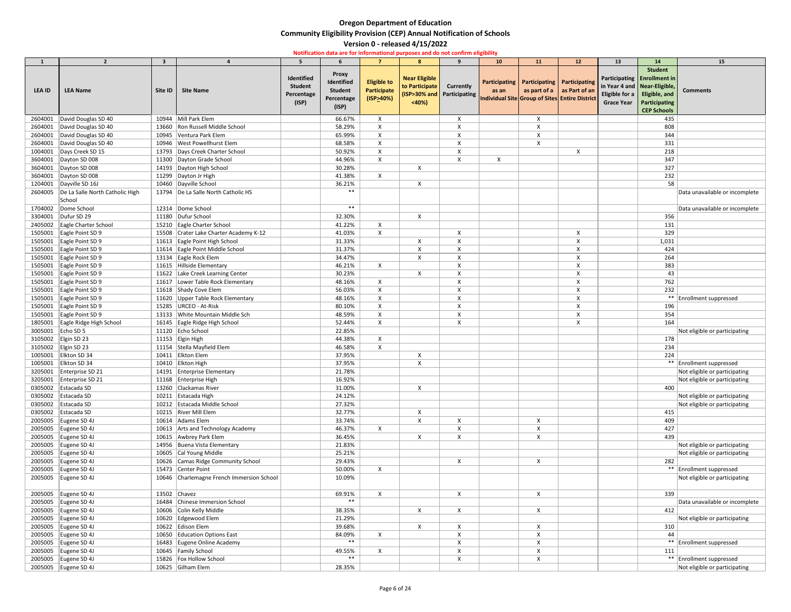|                   | $\overline{2}$                           | $\mathbf{3}$ |                                           |                                                     |                                                                     |                                                       | $\mathbf{R}$                                    | $\mathbf{q}$                                   | 10 <sub>1</sub> | 11                                            | 12                                                                                   | 13                                                        | 14                                                                                                                            | 15                             |
|-------------------|------------------------------------------|--------------|-------------------------------------------|-----------------------------------------------------|---------------------------------------------------------------------|-------------------------------------------------------|-------------------------------------------------|------------------------------------------------|-----------------|-----------------------------------------------|--------------------------------------------------------------------------------------|-----------------------------------------------------------|-------------------------------------------------------------------------------------------------------------------------------|--------------------------------|
| <b>LEA ID</b>     | <b>LEA Name</b>                          | Site ID      | <b>Site Name</b>                          | Identified<br><b>Student</b><br>Percentage<br>(ISP) | <b>Proxy</b><br>Identified<br><b>Student</b><br>Percentage<br>(ISP) | <b>Eligible to</b><br><b>Participate</b><br>(ISP>40%) | <b>Near Eligible</b><br>to Participate<br>< 40% | <b>Currently</b><br>(ISP>30% and Participating | as an           | Participating   Participating   Participating | as part of a $\vert$ as Part of an<br>Individual Site Group of Sites Entire District | Eligible for a $\vert$ Eligible, and<br><b>Grace Year</b> | <b>Student</b><br>Participating   Enrollment in<br>in Year 4 and Near-Eligible,<br><b>Participating</b><br><b>CEP Schools</b> | <b>Comments</b>                |
| 2604001           | David Douglas SD 40                      |              | 10944 Mill Park Elem                      |                                                     | 66.67%                                                              | X                                                     |                                                 |                                                |                 |                                               |                                                                                      |                                                           | 435                                                                                                                           |                                |
| 2604001           | David Douglas SD 40                      | 13660        | Ron Russell Middle School                 |                                                     | 58.29%                                                              | X                                                     |                                                 |                                                |                 |                                               |                                                                                      |                                                           | 808                                                                                                                           |                                |
|                   | 2604001 David Douglas SD 40              |              | 10945 Ventura Park Elem                   |                                                     | 65.99%                                                              | X                                                     |                                                 |                                                |                 |                                               |                                                                                      |                                                           | 344                                                                                                                           |                                |
| 2604001           | David Douglas SD 40                      |              | 10946   West Powellhurst Elem             |                                                     | 68.58%                                                              | $\times$                                              |                                                 |                                                |                 |                                               |                                                                                      |                                                           | 331                                                                                                                           |                                |
|                   | 1004001   Days Creek SD 15               |              | 13793 Days Creek Charter School           |                                                     | 50.92%                                                              | X                                                     |                                                 |                                                |                 |                                               | X                                                                                    |                                                           | 218                                                                                                                           |                                |
|                   | 3604001   Dayton SD 008                  |              | 11300 Dayton Grade School                 |                                                     | 44.96%                                                              | $\times$                                              |                                                 |                                                | X               |                                               |                                                                                      |                                                           | 347                                                                                                                           |                                |
| 3604001           | Dayton SD 008                            |              | 14193   Dayton High School                |                                                     | 30.28%                                                              |                                                       | $\boldsymbol{\mathsf{X}}$                       |                                                |                 |                                               |                                                                                      |                                                           | 327                                                                                                                           |                                |
|                   | 3604001   Dayton SD 008                  |              | 11299   Dayton Jr High                    |                                                     | 41.38%                                                              | X                                                     |                                                 |                                                |                 |                                               |                                                                                      |                                                           | 232                                                                                                                           |                                |
|                   | 1204001   Dayville SD 16J                |              | 10460 Dayville School                     |                                                     | 36.21%                                                              |                                                       | $\pmb{\times}$                                  |                                                |                 |                                               |                                                                                      |                                                           | 58                                                                                                                            |                                |
|                   | 2604005  De La Salle North Catholic High |              | 13794   De La Salle North Catholic HS     |                                                     | $***$                                                               |                                                       |                                                 |                                                |                 |                                               |                                                                                      |                                                           |                                                                                                                               | Data unavailable or incomplete |
|                   | School                                   |              |                                           |                                                     |                                                                     |                                                       |                                                 |                                                |                 |                                               |                                                                                      |                                                           |                                                                                                                               |                                |
| 1704002           | Dome School                              |              | 12314 Dome School                         |                                                     | $***$                                                               |                                                       |                                                 |                                                |                 |                                               |                                                                                      |                                                           |                                                                                                                               | Data unavailable or incomplete |
|                   | 3304001   Dufur SD 29                    |              | 11180 Dufur School                        |                                                     | 32.30%                                                              |                                                       | $\mathsf{X}$                                    |                                                |                 |                                               |                                                                                      |                                                           | 356                                                                                                                           |                                |
|                   | 2405002 Eagle Charter School             |              | 15210 Eagle Charter School                |                                                     | 41.22%                                                              | X                                                     |                                                 |                                                |                 |                                               |                                                                                      |                                                           | 131                                                                                                                           |                                |
|                   | 1505001 Eagle Point SD 9                 |              | 15508 Crater Lake Charter Academy K-12    |                                                     | 41.03%                                                              | $\mathsf{X}$                                          |                                                 |                                                |                 |                                               |                                                                                      |                                                           | 329                                                                                                                           |                                |
|                   | 1505001 Eagle Point SD 9                 |              | 11613 Eagle Point High School             |                                                     | 31.33%                                                              |                                                       |                                                 |                                                |                 |                                               |                                                                                      |                                                           | 1,031                                                                                                                         |                                |
|                   | 1505001 Eagle Point SD 9                 |              | 11614 Eagle Point Middle School           |                                                     | 31.37%                                                              |                                                       | X                                               | Χ                                              |                 |                                               |                                                                                      |                                                           | 424                                                                                                                           |                                |
|                   | 1505001 Eagle Point SD 9                 |              | 13134 Eagle Rock Elem                     |                                                     | 34.47%                                                              |                                                       |                                                 |                                                |                 |                                               |                                                                                      |                                                           | 264                                                                                                                           |                                |
|                   | 1505001 Eagle Point SD 9                 |              | 11615 Hillside Elementary                 |                                                     | 46.21%                                                              | X                                                     |                                                 |                                                |                 |                                               |                                                                                      |                                                           | 383                                                                                                                           |                                |
|                   | 1505001 Eagle Point SD 9                 |              | 11622 Lake Creek Learning Center          |                                                     | 30.23%                                                              |                                                       |                                                 |                                                |                 |                                               |                                                                                      |                                                           | 43                                                                                                                            |                                |
|                   | 1505001 Eagle Point SD 9                 |              | 11617 Lower Table Rock Elementary         |                                                     | 48.16%                                                              | X                                                     |                                                 |                                                |                 |                                               |                                                                                      |                                                           | 762                                                                                                                           |                                |
|                   | 1505001 Eagle Point SD 9                 |              | 11618 Shady Cove Elem                     |                                                     | 56.03%                                                              | X                                                     |                                                 |                                                |                 |                                               |                                                                                      |                                                           | 232                                                                                                                           |                                |
|                   | 1505001 Eagle Point SD 9                 |              | 11620 Upper Table Rock Elementary         |                                                     | 48.16%                                                              | X                                                     |                                                 |                                                |                 |                                               |                                                                                      |                                                           |                                                                                                                               | ** Enrollment suppressed       |
|                   | 1505001 Eagle Point SD 9                 |              | 15285   URCEO - At-Risk                   |                                                     | 80.10%                                                              | X                                                     |                                                 | X                                              |                 |                                               | X                                                                                    |                                                           | 196                                                                                                                           |                                |
|                   | 1505001 Eagle Point SD 9                 |              | 13133 White Mountain Middle Sch           |                                                     | 48.59%                                                              |                                                       |                                                 |                                                |                 |                                               |                                                                                      |                                                           | 354                                                                                                                           |                                |
|                   | 1805001 Eagle Ridge High School          |              | 16145 Eagle Ridge High School             |                                                     | 52.44%                                                              |                                                       |                                                 |                                                |                 |                                               |                                                                                      |                                                           | 164                                                                                                                           |                                |
| 3005001 Echo SD 5 |                                          |              | 11120 Echo School                         |                                                     | 22.85%                                                              |                                                       |                                                 |                                                |                 |                                               |                                                                                      |                                                           |                                                                                                                               | Not eligible or participating  |
|                   | 3105002 Elgin SD 23                      |              | 11153 Elgin High                          |                                                     | 44.38%                                                              | X                                                     |                                                 |                                                |                 |                                               |                                                                                      |                                                           | 178                                                                                                                           |                                |
|                   | 3105002 Elgin SD 23                      |              | 11154 Stella Mayfield Elem                |                                                     | 46.58%                                                              | X                                                     |                                                 |                                                |                 |                                               |                                                                                      |                                                           | 234                                                                                                                           |                                |
|                   | 1005001 Elkton SD 34                     |              | 10411 Elkton Elem                         |                                                     | 37.95%                                                              |                                                       |                                                 |                                                |                 |                                               |                                                                                      |                                                           | 224                                                                                                                           |                                |
|                   | 1005001 Elkton SD 34                     |              | 10410 Elkton High                         |                                                     | 37.95%                                                              |                                                       | X                                               |                                                |                 |                                               |                                                                                      |                                                           |                                                                                                                               | ** Enrollment suppressed       |
|                   | 3205001   Enterprise SD 21               |              | 14191 Enterprise Elementary               |                                                     | 21.78%                                                              |                                                       |                                                 |                                                |                 |                                               |                                                                                      |                                                           |                                                                                                                               | Not eligible or participating  |
|                   | 3205001 Enterprise SD 21                 |              | 11168 Enterprise High                     |                                                     | 16.92%                                                              |                                                       |                                                 |                                                |                 |                                               |                                                                                      |                                                           |                                                                                                                               | Not eligible or participating  |
|                   | 0305002 Estacada SD                      |              | 13260 Clackamas River                     |                                                     | 31.00%                                                              |                                                       | X                                               |                                                |                 |                                               |                                                                                      |                                                           | 400                                                                                                                           |                                |
|                   | 0305002 Estacada SD                      |              | 10211 Estacada High                       |                                                     | 24.12%                                                              |                                                       |                                                 |                                                |                 |                                               |                                                                                      |                                                           |                                                                                                                               | Not eligible or participating  |
|                   | 0305002 Estacada SD                      |              | 10212 Estacada Middle School              |                                                     | 27.32%                                                              |                                                       |                                                 |                                                |                 |                                               |                                                                                      |                                                           |                                                                                                                               | Not eligible or participating  |
|                   | 0305002 Estacada SD                      |              | 10215 River Mill Elem                     |                                                     | 32.77%                                                              |                                                       | X                                               |                                                |                 |                                               |                                                                                      |                                                           | 415                                                                                                                           |                                |
|                   | 2005005 Eugene SD 4J                     |              | 10614 Adams Elem                          |                                                     | 33.74%                                                              |                                                       |                                                 |                                                |                 | Χ                                             |                                                                                      |                                                           | 409                                                                                                                           |                                |
|                   | 2005005 Eugene SD 4J                     |              | 10613 Arts and Technology Academy         |                                                     | 46.37%                                                              | X                                                     |                                                 |                                                |                 |                                               |                                                                                      |                                                           | 427                                                                                                                           |                                |
|                   | 2005005 Eugene SD 4J                     |              | 10615 Awbrey Park Elem                    |                                                     | 36.45%                                                              |                                                       | X                                               | X                                              |                 |                                               |                                                                                      |                                                           | 439                                                                                                                           |                                |
|                   | 2005005 Eugene SD 4J                     |              | 14956 Buena Vista Elementary              |                                                     | 21.83%                                                              |                                                       |                                                 |                                                |                 |                                               |                                                                                      |                                                           |                                                                                                                               | Not eligible or participating  |
|                   | 2005005 Eugene SD 4J                     |              | 10605 Cal Young Middle                    |                                                     | 25.21%                                                              |                                                       |                                                 |                                                |                 |                                               |                                                                                      |                                                           |                                                                                                                               | Not eligible or participating  |
|                   | 2005005 Eugene SD 4J                     |              | 10626 Camas Ridge Community School        |                                                     | 29.43%                                                              |                                                       |                                                 | X                                              |                 | X                                             |                                                                                      |                                                           | 282                                                                                                                           |                                |
|                   | 2005005 Eugene SD 4J                     |              | 15473 Center Point                        |                                                     | 50.00%                                                              | $\mathsf{X}$                                          |                                                 |                                                |                 |                                               |                                                                                      |                                                           |                                                                                                                               | ** Enrollment suppressed       |
|                   | 2005005 Eugene SD 4J                     |              | 10646 Charlemagne French Immersion School |                                                     | 10.09%                                                              |                                                       |                                                 |                                                |                 |                                               |                                                                                      |                                                           |                                                                                                                               | Not eligible or participating  |
|                   | 2005005 Eugene SD 4J                     |              | 13502 $ $ Chavez                          |                                                     | 69.91%                                                              | $\mathsf{X}$                                          |                                                 | $\mathsf{X}$                                   |                 | $\mathsf{X}$                                  |                                                                                      |                                                           | 339                                                                                                                           |                                |
|                   | 2005005 Eugene SD 4J                     |              | 16484 Chinese Immersion School            |                                                     | $***$                                                               |                                                       |                                                 |                                                |                 |                                               |                                                                                      |                                                           |                                                                                                                               | Data unavailable or incomplete |
|                   | 2005005 Eugene SD 4J                     |              | 10606 Colin Kelly Middle                  |                                                     | 38.35%                                                              |                                                       |                                                 |                                                |                 |                                               |                                                                                      |                                                           | 412                                                                                                                           |                                |
|                   | 2005005 Eugene SD 4J                     |              | 10620 Edgewood Elem                       |                                                     | 21.29%                                                              |                                                       |                                                 |                                                |                 |                                               |                                                                                      |                                                           |                                                                                                                               | Not eligible or participating  |
|                   | 2005005 Eugene SD 4J                     |              | 10622 Edison Elem                         |                                                     | 39.68%                                                              |                                                       | $\mathsf{X}$                                    | X                                              |                 | X                                             |                                                                                      |                                                           | 310                                                                                                                           |                                |
|                   | 2005005 Eugene SD 4J                     |              | 10650 Education Options East              |                                                     | 84.09%                                                              | X                                                     |                                                 |                                                |                 |                                               |                                                                                      |                                                           | 44                                                                                                                            |                                |
|                   | 2005005 Eugene SD 4J                     |              | 16483 Eugene Online Academy               |                                                     | $***$                                                               |                                                       |                                                 |                                                |                 |                                               |                                                                                      |                                                           |                                                                                                                               | ** Enrollment suppressed       |
|                   | 2005005 Eugene SD 4J                     |              | 10645 Family School                       |                                                     | 49.55%                                                              | X                                                     |                                                 |                                                |                 |                                               |                                                                                      |                                                           | 111                                                                                                                           |                                |
|                   | 2005005 Eugene SD 4J                     |              | 15826   Fox Hollow School                 |                                                     | $***$                                                               |                                                       |                                                 |                                                |                 | X                                             |                                                                                      |                                                           |                                                                                                                               | ** Enrollment suppressed       |
|                   | 2005005 Eugene SD 4J                     |              | 10625 Gilham Elem                         |                                                     | 28.35%                                                              |                                                       |                                                 |                                                |                 |                                               |                                                                                      |                                                           |                                                                                                                               | Not eligible or participating  |
|                   |                                          |              |                                           |                                                     |                                                                     |                                                       |                                                 |                                                |                 |                                               |                                                                                      |                                                           |                                                                                                                               |                                |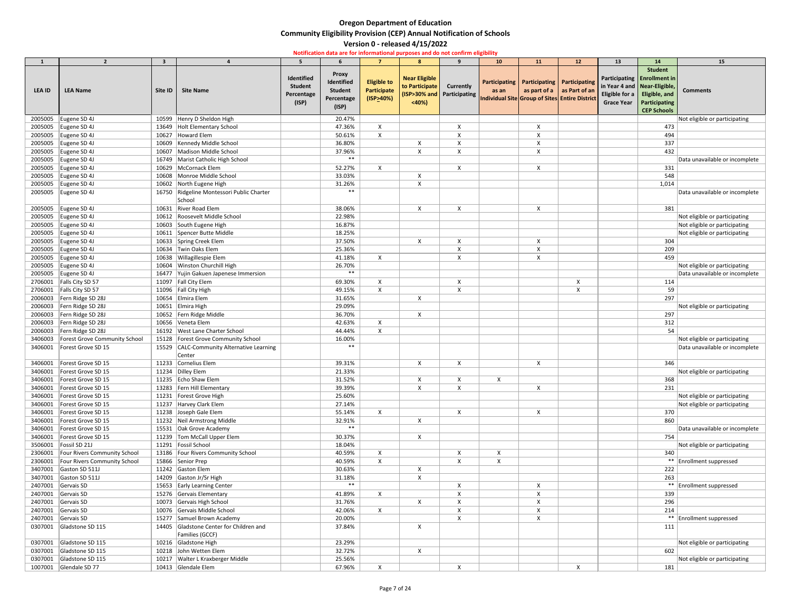|               | $\overline{2}$                |                                    |                                                     |                                                     |                                                                     | $\overline{7}$                                        |                                                                                        | $\mathbf{q}$              |             |                                                                                                       |                                         |                                           |                                                                                                                         |                                |
|---------------|-------------------------------|------------------------------------|-----------------------------------------------------|-----------------------------------------------------|---------------------------------------------------------------------|-------------------------------------------------------|----------------------------------------------------------------------------------------|---------------------------|-------------|-------------------------------------------------------------------------------------------------------|-----------------------------------------|-------------------------------------------|-------------------------------------------------------------------------------------------------------------------------|--------------------------------|
| <b>LEA ID</b> | <b>LEA Name</b>               | $\overline{\mathbf{3}}$<br>Site ID | <b>Site Name</b>                                    | Identified<br><b>Student</b><br>Percentage<br>(ISP) | <b>Proxy</b><br>Identified<br><b>Student</b><br>Percentage<br>(ISP) | <b>Eligible to</b><br><b>Participate</b><br>(ISP>40%) | 8<br><b>Near Eligible</b><br>to Participate<br>(ISP>30% and   Participating  <br>< 40% | <b>Currently</b>          | 10<br>as an | 11<br>Participating   Participating   Participating<br>Individual Site Group of Sites Entire District | 12<br>as part of $a \mid as$ Part of an | 13<br>Eligible for a<br><b>Grace Year</b> | 14<br><b>Student</b><br>Participating Enrollment in<br>in Year 4 and   Near-Eligible,<br>Eligible, and<br>Participating | 15<br><b>Comments</b>          |
|               |                               |                                    |                                                     |                                                     |                                                                     |                                                       |                                                                                        |                           |             |                                                                                                       |                                         |                                           | <b>CEP Schools</b>                                                                                                      |                                |
| 2005005       | Eugene SD 4J                  |                                    | 10599 Henry D Sheldon High                          |                                                     | 20.47%                                                              |                                                       |                                                                                        |                           |             |                                                                                                       |                                         |                                           |                                                                                                                         | Not eligible or participating  |
|               | 2005005 Eugene SD 4J          |                                    | 13649 Holt Elementary School                        |                                                     | 47.36%                                                              | X                                                     |                                                                                        |                           |             |                                                                                                       |                                         |                                           | 473                                                                                                                     |                                |
|               | 2005005 Eugene SD 4J          |                                    | 10627 Howard Elem                                   |                                                     | 50.61%                                                              | $\boldsymbol{\mathsf{X}}$                             |                                                                                        |                           |             |                                                                                                       |                                         |                                           | 494                                                                                                                     |                                |
|               | 2005005 Eugene SD 4J          |                                    | 10609   Kennedy Middle School                       |                                                     | 36.80%                                                              |                                                       | X                                                                                      |                           |             |                                                                                                       |                                         |                                           | 337                                                                                                                     |                                |
|               | 2005005 Eugene SD 4J          |                                    | 10607   Madison Middle School                       |                                                     | 37.96%                                                              |                                                       |                                                                                        |                           |             |                                                                                                       |                                         |                                           | 432                                                                                                                     |                                |
|               | 2005005 Eugene SD 4J          |                                    | 16749 Marist Catholic High School                   |                                                     | $***$                                                               |                                                       |                                                                                        |                           |             |                                                                                                       |                                         |                                           |                                                                                                                         | Data unavailable or incomplete |
|               | 2005005 Eugene SD 4J          |                                    | 10629   McCornack Elem                              |                                                     | 52.27%                                                              | X                                                     |                                                                                        | $\boldsymbol{\mathsf{X}}$ |             | X                                                                                                     |                                         |                                           | 331                                                                                                                     |                                |
|               | 2005005 Eugene SD 4J          |                                    | 10608 Monroe Middle School                          |                                                     | 33.03%                                                              |                                                       |                                                                                        |                           |             |                                                                                                       |                                         |                                           | 548                                                                                                                     |                                |
|               | 2005005 Eugene SD 4J          |                                    | 10602 North Eugene High                             |                                                     | 31.26%                                                              |                                                       |                                                                                        |                           |             |                                                                                                       |                                         |                                           | 1,014                                                                                                                   |                                |
|               | 2005005 Eugene SD 4J          |                                    | 16750 Ridgeline Montessori Public Charter<br>School |                                                     | $***$                                                               |                                                       |                                                                                        |                           |             |                                                                                                       |                                         |                                           |                                                                                                                         | Data unavailable or incomplete |
|               | 2005005 Eugene SD 4J          |                                    | 10631 River Road Elem                               |                                                     | 38.06%                                                              |                                                       |                                                                                        |                           |             |                                                                                                       |                                         |                                           | 381                                                                                                                     |                                |
|               | 2005005 Eugene SD 4J          |                                    | 10612 Roosevelt Middle School                       |                                                     | 22.98%                                                              |                                                       |                                                                                        |                           |             |                                                                                                       |                                         |                                           |                                                                                                                         | Not eligible or participating  |
|               | 2005005   Eugene SD 4J        |                                    | 10603 South Eugene High                             |                                                     | 16.87%                                                              |                                                       |                                                                                        |                           |             |                                                                                                       |                                         |                                           |                                                                                                                         | Not eligible or participating  |
|               | 2005005 Eugene SD 4J          |                                    | 10611 Spencer Butte Middle                          |                                                     | 18.25%                                                              |                                                       |                                                                                        |                           |             |                                                                                                       |                                         |                                           |                                                                                                                         | Not eligible or participating  |
|               | 2005005 Eugene SD 4J          |                                    | 10633 Spring Creek Elem                             |                                                     | 37.50%                                                              |                                                       | X                                                                                      |                           |             |                                                                                                       |                                         |                                           | 304                                                                                                                     |                                |
|               | 2005005 Eugene SD 4J          |                                    | 10634 Twin Oaks Elem                                |                                                     | 25.36%                                                              |                                                       |                                                                                        |                           |             |                                                                                                       |                                         |                                           | 209                                                                                                                     |                                |
| 2005005       | Eugene SD 4J                  |                                    | 10638 Willagillespie Elem                           |                                                     | 41.18%                                                              | X                                                     |                                                                                        |                           |             |                                                                                                       |                                         |                                           | 459                                                                                                                     |                                |
| 2005005       | Eugene SD 4J                  | 10604                              | <b>Winston Churchill High</b>                       |                                                     | 26.70%                                                              |                                                       |                                                                                        |                           |             |                                                                                                       |                                         |                                           |                                                                                                                         | Not eligible or participating  |
|               | 2005005 Eugene SD 4J          |                                    | 16477 Yujin Gakuen Japenese Immersion               |                                                     | $***$                                                               |                                                       |                                                                                        |                           |             |                                                                                                       |                                         |                                           |                                                                                                                         | Data unavailable or incomplete |
|               | 2706001   Falls City SD 57    |                                    | 11097   Fall City Elem                              |                                                     | 69.30%                                                              | X                                                     |                                                                                        |                           |             |                                                                                                       |                                         |                                           | 114                                                                                                                     |                                |
|               | 2706001   Falls City SD 57    |                                    | 11096   Fall City High                              |                                                     | 49.15%                                                              | X                                                     |                                                                                        | X                         |             |                                                                                                       |                                         |                                           | 59                                                                                                                      |                                |
|               | 2006003   Fern Ridge SD 28J   |                                    | 10654 Elmira Elem                                   |                                                     | 31.65%                                                              |                                                       | $\boldsymbol{\mathsf{X}}$                                                              |                           |             |                                                                                                       |                                         |                                           | 297                                                                                                                     |                                |
|               | 2006003   Fern Ridge SD 28J   |                                    | 10651 Elmira High                                   |                                                     | 29.09%                                                              |                                                       |                                                                                        |                           |             |                                                                                                       |                                         |                                           |                                                                                                                         | Not eligible or participating  |
|               | 2006003   Fern Ridge SD 28J   |                                    | 10652 Fern Ridge Middle                             |                                                     | 36.70%                                                              |                                                       | X                                                                                      |                           |             |                                                                                                       |                                         |                                           | 297                                                                                                                     |                                |
| 2006003       | Fern Ridge SD 28J             |                                    | 10656 Veneta Elem                                   |                                                     | 42.63%                                                              |                                                       |                                                                                        |                           |             |                                                                                                       |                                         |                                           | 312                                                                                                                     |                                |
| 2006003       | Fern Ridge SD 28J             |                                    | 16192   West Lane Charter School                    |                                                     | 44.44%                                                              | $\boldsymbol{\mathsf{X}}$                             |                                                                                        |                           |             |                                                                                                       |                                         |                                           | 54                                                                                                                      |                                |
| 3406003       | Forest Grove Community School |                                    | 15128   Forest Grove Community School               |                                                     | 16.00%                                                              |                                                       |                                                                                        |                           |             |                                                                                                       |                                         |                                           |                                                                                                                         | Not eligible or participating  |
| 3406001       | Forest Grove SD 15            |                                    | 15529 CALC-Community Alternative Learning<br>Center |                                                     | $***$                                                               |                                                       |                                                                                        |                           |             |                                                                                                       |                                         |                                           |                                                                                                                         | Data unavailable or incomplete |
| 3406001       | Forest Grove SD 15            |                                    | 11233 Cornelius Elem                                |                                                     | 39.31%                                                              |                                                       | $\boldsymbol{\mathsf{X}}$                                                              | $\boldsymbol{\mathsf{X}}$ |             | $\boldsymbol{\mathsf{X}}$                                                                             |                                         |                                           | 346                                                                                                                     |                                |
| 3406001       | Forest Grove SD 15            |                                    | 11234 Dilley Elem                                   |                                                     | 21.33%                                                              |                                                       |                                                                                        |                           |             |                                                                                                       |                                         |                                           |                                                                                                                         | Not eligible or participating  |
| 3406001       | Forest Grove SD 15            |                                    | 11235 Echo Shaw Elem                                |                                                     | 31.52%                                                              |                                                       | X                                                                                      | X                         | X           |                                                                                                       |                                         |                                           | 368                                                                                                                     |                                |
| 3406001       | Forest Grove SD 15            |                                    | 13283   Fern Hill Elementary                        |                                                     | 39.39%                                                              |                                                       |                                                                                        |                           |             |                                                                                                       |                                         |                                           | 231                                                                                                                     |                                |
| 3406001       | Forest Grove SD 15            |                                    | 11231   Forest Grove High                           |                                                     | 25.60%                                                              |                                                       |                                                                                        |                           |             |                                                                                                       |                                         |                                           |                                                                                                                         | Not eligible or participating  |
| 3406001       | Forest Grove SD 15            |                                    | 11237 Harvey Clark Elem                             |                                                     | 27.14%                                                              |                                                       |                                                                                        |                           |             |                                                                                                       |                                         |                                           |                                                                                                                         | Not eligible or participating  |
| 3406001       | Forest Grove SD 15            |                                    | 11238 Joseph Gale Elem                              |                                                     | 55.14%                                                              | X                                                     |                                                                                        |                           |             |                                                                                                       |                                         |                                           | 370                                                                                                                     |                                |
| 3406001       | Forest Grove SD 15            |                                    | 11232 Neil Armstrong Middle                         |                                                     | 32.91%                                                              |                                                       |                                                                                        |                           |             |                                                                                                       |                                         |                                           | 860                                                                                                                     |                                |
| 3406001       | Forest Grove SD 15            |                                    | 15531 Oak Grove Academy                             |                                                     | $***$                                                               |                                                       |                                                                                        |                           |             |                                                                                                       |                                         |                                           |                                                                                                                         | Data unavailable or incomplete |
| 3406001       | Forest Grove SD 15            |                                    | 11239 Tom McCall Upper Elem                         |                                                     | 30.37%                                                              |                                                       | $\boldsymbol{\mathsf{X}}$                                                              |                           |             |                                                                                                       |                                         |                                           | 754                                                                                                                     |                                |
| 3506001       | Fossil SD 21J                 |                                    | 11291   Fossil School                               |                                                     | 18.04%                                                              |                                                       |                                                                                        |                           |             |                                                                                                       |                                         |                                           |                                                                                                                         | Not eligible or participating  |
| 2306001       | Four Rivers Community School  |                                    | 13186 Four Rivers Community School                  |                                                     | 40.59%                                                              | $\boldsymbol{\mathsf{X}}$                             |                                                                                        |                           |             |                                                                                                       |                                         |                                           | 340                                                                                                                     |                                |
| 2306001       | Four Rivers Community School  |                                    | 15866 Senior Prep                                   |                                                     | 40.59%                                                              | X                                                     |                                                                                        |                           |             |                                                                                                       |                                         |                                           |                                                                                                                         | ** Enrollment suppressed       |
| 3407001       | Gaston SD 511J                |                                    | 11242 Gaston Elem                                   |                                                     | 30.63%                                                              |                                                       |                                                                                        |                           |             |                                                                                                       |                                         |                                           | 222                                                                                                                     |                                |
| 3407001       | Gaston SD 511J                |                                    | 14209 Gaston Jr/Sr High                             |                                                     | 31.18%                                                              |                                                       | $\boldsymbol{\mathsf{X}}$                                                              |                           |             |                                                                                                       |                                         |                                           | 263                                                                                                                     |                                |
| 2407001       | Gervais SD                    |                                    | 15653 Early Learning Center                         |                                                     | $***$                                                               |                                                       |                                                                                        |                           |             |                                                                                                       |                                         |                                           |                                                                                                                         | ** Enrollment suppressed       |
| 2407001       | Gervais SD                    |                                    | 15276 Gervais Elementary                            |                                                     | 41.89%                                                              | X                                                     |                                                                                        |                           |             |                                                                                                       |                                         |                                           | 339                                                                                                                     |                                |
| 2407001       | Gervais SD                    |                                    | 10073 Gervais High School                           |                                                     | 31.76%                                                              |                                                       | X                                                                                      |                           |             |                                                                                                       |                                         |                                           | 296                                                                                                                     |                                |
| 2407001       | Gervais SD                    |                                    | 10076 Gervais Middle School                         |                                                     | 42.06%                                                              | $\boldsymbol{\mathsf{X}}$                             |                                                                                        |                           |             |                                                                                                       |                                         |                                           | 214                                                                                                                     |                                |
| 2407001       | Gervais SD                    |                                    | 15277 Samuel Brown Academy                          |                                                     | 20.00%                                                              |                                                       |                                                                                        |                           |             |                                                                                                       |                                         |                                           |                                                                                                                         | **   Enrollment suppressed     |
| 0307001       | Gladstone SD 115              | 14405                              | Gladstone Center for Children and                   |                                                     | 37.84%                                                              |                                                       |                                                                                        |                           |             |                                                                                                       |                                         |                                           | 111                                                                                                                     |                                |
|               |                               |                                    | Families (GCCF)                                     |                                                     |                                                                     |                                                       |                                                                                        |                           |             |                                                                                                       |                                         |                                           |                                                                                                                         |                                |
| 0307001       | Gladstone SD 115              |                                    | 10216 Gladstone High                                |                                                     | 23.29%                                                              |                                                       |                                                                                        |                           |             |                                                                                                       |                                         |                                           |                                                                                                                         | Not eligible or participating  |
| 0307001       | Gladstone SD 115              |                                    | 10218 John Wetten Elem                              |                                                     | 32.72%                                                              |                                                       |                                                                                        |                           |             |                                                                                                       |                                         |                                           | 602                                                                                                                     |                                |
| 0307001       | Gladstone SD 115              |                                    | 10217   Walter L Kraxberger Middle                  |                                                     | 25.56%                                                              |                                                       |                                                                                        |                           |             |                                                                                                       |                                         |                                           |                                                                                                                         | Not eligible or participating  |
|               | 1007001 Glendale SD 77        |                                    | 10413 Glendale Elem                                 |                                                     | 67.96%                                                              | X                                                     |                                                                                        | X                         |             |                                                                                                       | X                                       |                                           | 181                                                                                                                     |                                |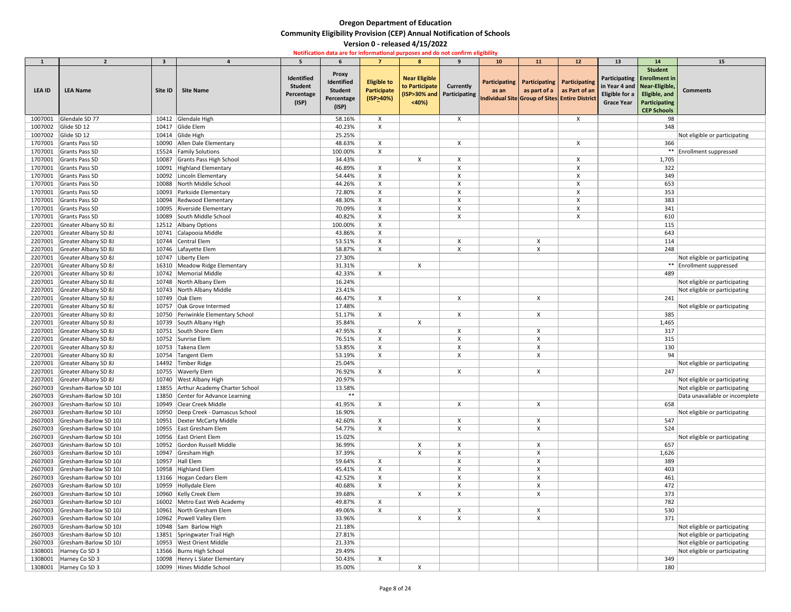|               | $\overline{2}$               | $\overline{\mathbf{3}}$ |                                      | 5              |                |                           | 8                    | 9                          | 10 <sub>1</sub> | 11                        | 12                                             | 13                     | 14                             | 15                             |
|---------------|------------------------------|-------------------------|--------------------------------------|----------------|----------------|---------------------------|----------------------|----------------------------|-----------------|---------------------------|------------------------------------------------|------------------------|--------------------------------|--------------------------------|
|               |                              |                         |                                      |                |                |                           |                      |                            |                 |                           |                                                |                        | <b>Student</b>                 |                                |
|               |                              |                         |                                      | Identified     | <b>Proxy</b>   |                           | <b>Near Eligible</b> |                            |                 |                           |                                                |                        | Participating   Enrollment in  |                                |
|               |                              |                         |                                      | <b>Student</b> | Identified     | <b>Eligible to</b>        | to Participate       | Currently                  |                 |                           | Participating   Participating   Participating  |                        | in Year 4 and   Near-Eligible, |                                |
| <b>LEA ID</b> | <b>LEA Name</b>              | Site ID                 | <b>Site Name</b>                     | Percentage     | <b>Student</b> | Participate               |                      | (ISP>30% and Participating | as an           |                           | as part of a $\vert$ as Part of an             | Eligible for a $\vert$ | Eligible, and                  | <b>Comments</b>                |
|               |                              |                         |                                      | (ISP)          | Percentage     | (ISP>40%)                 | $40%$                |                            |                 |                           | Individual Site Group of Sites Entire District | <b>Grace Year</b>      | <b>Participating</b>           |                                |
|               |                              |                         |                                      |                | (ISP)          |                           |                      |                            |                 |                           |                                                |                        | <b>CEP Schools</b>             |                                |
| 1007001       | Glendale SD 77               |                         | 10412 Glendale High                  |                | 58.16%         | X                         |                      | $\mathsf{X}$               |                 |                           | $\mathsf{X}$                                   |                        | 98                             |                                |
| 1007002       | Glide SD 12                  |                         | 10417 Glide Elem                     |                | 40.23%         | X                         |                      |                            |                 |                           |                                                |                        | 348                            |                                |
| 1007002       | Glide SD 12                  |                         | 10414 Glide High                     |                | 25.25%         |                           |                      |                            |                 |                           |                                                |                        |                                | Not eligible or participating  |
| 1707001       | Grants Pass SD               | 10090                   | Allen Dale Elementary                |                | 48.63%         |                           |                      |                            |                 |                           |                                                |                        | 366                            |                                |
| 1707001       | Grants Pass SD               |                         | 15524 Family Solutions               |                | 100.00%        | X                         |                      |                            |                 |                           |                                                |                        |                                | ** Enrollment suppressed       |
| 1707001       | Grants Pass SD               | 10087                   | Grants Pass High School              |                | 34.43%         |                           | X                    |                            |                 |                           |                                                |                        | 1,705                          |                                |
| 1707001       | Grants Pass SD               | 10091                   | Highland Elementary                  |                | 46.89%         |                           |                      |                            |                 |                           |                                                |                        | 322                            |                                |
| 1707001       | Grants Pass SD               |                         | 10092 Lincoln Elementary             |                | 54.44%         | X                         |                      |                            |                 |                           |                                                |                        | 349                            |                                |
| 1707001       | Grants Pass SD               | 10088                   | North Middle School                  |                | 44.26%         |                           |                      |                            |                 |                           |                                                |                        | 653                            |                                |
| 1707001       | Grants Pass SD               | 10093                   | Parkside Elementary                  |                | 72.80%         |                           |                      |                            |                 |                           |                                                |                        | 353                            |                                |
| 1707001       | Grants Pass SD               | 10094                   | Redwood Elementary                   |                | 48.30%         | X                         |                      |                            |                 |                           |                                                |                        | 383                            |                                |
| 1707001       | Grants Pass SD               |                         | 10095 Riverside Elementary           |                | 70.09%         |                           |                      |                            |                 |                           |                                                |                        | 341                            |                                |
| 1707001       | Grants Pass SD               | 10089                   | South Middle School                  |                | 40.82%         |                           |                      |                            |                 |                           |                                                |                        | 610                            |                                |
| 2207001       | Greater Albany SD 8J         |                         | 12512 Albany Options                 |                | 100.00%        | X                         |                      |                            |                 |                           |                                                |                        | 115                            |                                |
| 2207001       | Greater Albany SD 8J         |                         | 10741 Calapooia Middle               |                | 43.86%         | $\times$                  |                      |                            |                 |                           |                                                |                        | 643                            |                                |
| 2207001       | Greater Albany SD 8J         |                         | 10744 Central Elem                   |                | 53.51%         |                           |                      |                            |                 |                           |                                                |                        | 114                            |                                |
| 2207001       | Greater Albany SD 8J         |                         | 10746   Lafayette Elem               |                | 58.87%         |                           |                      |                            |                 |                           |                                                |                        | 248                            |                                |
| 2207001       | Greater Albany SD 8J         |                         | 10747 Liberty Elem                   |                | 27.30%         |                           |                      |                            |                 |                           |                                                |                        |                                | Not eligible or participating  |
| 2207001       | Greater Albany SD 8J         |                         | 16310 Meadow Ridge Elementary        |                | 31.31%         |                           |                      |                            |                 |                           |                                                |                        |                                | ** Enrollment suppressed       |
| 2207001       | Greater Albany SD 8J         |                         | 10742 Memorial Middle                |                | 42.33%         | X                         |                      |                            |                 |                           |                                                |                        | 489                            |                                |
| 2207001       | Greater Albany SD 8J         |                         | 10748 North Albany Elem              |                | 16.24%         |                           |                      |                            |                 |                           |                                                |                        |                                | Not eligible or participating  |
| 2207001       | Greater Albany SD 8J         |                         | 10743 North Albany Middle            |                | 23.41%         |                           |                      |                            |                 |                           |                                                |                        |                                | Not eligible or participating  |
| 2207001       | Greater Albany SD 8J         |                         | 10749 Oak Elem                       |                | 46.47%         | X                         |                      |                            |                 |                           |                                                |                        | 241                            |                                |
| 2207001       | Greater Albany SD 8J         | 10757                   | <b>Oak Grove Intermed</b>            |                | 17.48%         |                           |                      |                            |                 |                           |                                                |                        |                                | Not eligible or participating  |
|               | 2207001 Greater Albany SD 8J |                         | 10750 Periwinkle Elementary School   |                | 51.17%         |                           |                      |                            |                 |                           |                                                |                        | 385                            |                                |
|               | 2207001 Greater Albany SD 8J |                         | 10739 South Albany High              |                | 35.84%         |                           |                      |                            |                 |                           |                                                |                        | 1,465                          |                                |
| 2207001       | Greater Albany SD 8J         |                         | 10751 South Shore Elem               |                | 47.95%         | X                         |                      |                            |                 | $\boldsymbol{\mathsf{X}}$ |                                                |                        | 317                            |                                |
| 2207001       | Greater Albany SD 8J         |                         | 10752 Sunrise Elem                   |                | 76.51%         |                           |                      |                            |                 |                           |                                                |                        | 315                            |                                |
| 2207001       | Greater Albany SD 8J         |                         | 10753 Takena Elem                    |                | 53.85%         | X                         |                      |                            |                 |                           |                                                |                        | 130                            |                                |
| 2207001       | Greater Albany SD 8J         |                         | 10754 Tangent Elem                   |                | 53.19%         |                           |                      |                            |                 |                           |                                                |                        | 94                             |                                |
| 2207001       | Greater Albany SD 8J         |                         | 14492 Timber Ridge                   |                | 25.04%         |                           |                      |                            |                 |                           |                                                |                        |                                | Not eligible or participating  |
| 2207001       | Greater Albany SD 8J         |                         | 10755 Waverly Elem                   |                | 76.92%         | $\boldsymbol{\mathsf{X}}$ |                      |                            |                 |                           |                                                |                        | 247                            |                                |
| 2207001       | Greater Albany SD 8J         |                         | 10740 West Albany High               |                | 20.97%         |                           |                      |                            |                 |                           |                                                |                        |                                | Not eligible or participating  |
| 2607003       | Gresham-Barlow SD 10J        |                         | 13855 Arthur Academy Charter School  |                | 13.58%         |                           |                      |                            |                 |                           |                                                |                        |                                | Not eligible or participating  |
| 2607003       | Gresham-Barlow SD 10J        | 13850                   | Center for Advance Learning          |                | $***$          |                           |                      |                            |                 |                           |                                                |                        |                                | Data unavailable or incomplete |
| 2607003       | Gresham-Barlow SD 10J        |                         | 10949 Clear Creek Middle             |                | 41.95%         | X                         |                      |                            |                 |                           |                                                |                        | 658                            |                                |
| 2607003       | Gresham-Barlow SD 10J        |                         | 10950   Deep Creek - Damascus School |                | 16.90%         |                           |                      |                            |                 |                           |                                                |                        |                                | Not eligible or participating  |
| 2607003       | Gresham-Barlow SD 10J        |                         | 10951   Dexter McCarty Middle        |                | 42.60%         | X                         |                      |                            |                 |                           |                                                |                        | 547                            |                                |
| 2607003       | Gresham-Barlow SD 10J        |                         | 10955 East Gresham Elem              |                | 54.77%         |                           |                      |                            |                 |                           |                                                |                        | 524                            |                                |
| 2607003       | Gresham-Barlow SD 10J        |                         | 10956 East Orient Elem               |                | 15.02%         |                           |                      |                            |                 |                           |                                                |                        |                                | Not eligible or participating  |
| 2607003       | Gresham-Barlow SD 10J        |                         | 10952 Gordon Russell Middle          |                | 36.99%         |                           |                      |                            |                 |                           |                                                |                        | 657                            |                                |
| 2607003       | Gresham-Barlow SD 10J        |                         | 10947 Gresham High                   |                | 37.39%         |                           |                      |                            |                 |                           |                                                |                        | 1,626                          |                                |
| 2607003       | Gresham-Barlow SD 10J        |                         | 10957 Hall Elem                      |                | 59.64%         | X                         |                      |                            |                 |                           |                                                |                        | 389                            |                                |
| 2607003       | Gresham-Barlow SD 10J        |                         | 10958 Highland Elem                  |                | 45.41%         | X                         |                      |                            |                 |                           |                                                |                        | 403                            |                                |
| 2607003       | Gresham-Barlow SD 10J        |                         | 13166 Hogan Cedars Elem              |                | 42.52%         |                           |                      |                            |                 |                           |                                                |                        | 461                            |                                |
| 2607003       | Gresham-Barlow SD 10J        |                         | 10959 Hollydale Elem                 |                | 40.68%         | X                         |                      |                            |                 |                           |                                                |                        | 472                            |                                |
| 2607003       | Gresham-Barlow SD 10J        |                         | 10960   Kelly Creek Elem             |                | 39.68%         |                           | X                    |                            |                 |                           |                                                |                        | 373                            |                                |
| 2607003       | Gresham-Barlow SD 10J        |                         | 16002 Metro East Web Academy         |                | 49.87%         |                           |                      |                            |                 |                           |                                                |                        | 782                            |                                |
| 2607003       | Gresham-Barlow SD 10J        |                         | 10961 North Gresham Elem             |                | 49.06%         | X                         |                      |                            |                 |                           |                                                |                        | 530                            |                                |
| 2607003       | Gresham-Barlow SD 10J        |                         | 10962   Powell Valley Elem           |                | 33.96%         |                           | X                    |                            |                 |                           |                                                |                        | 371                            |                                |
| 2607003       | Gresham-Barlow SD 10J        |                         | 10948 Sam Barlow High                |                | 21.18%         |                           |                      |                            |                 |                           |                                                |                        |                                | Not eligible or participating  |
| 2607003       | Gresham-Barlow SD 10J        |                         | 13851 Springwater Trail High         |                | 27.81%         |                           |                      |                            |                 |                           |                                                |                        |                                | Not eligible or participating  |
| 2607003       | Gresham-Barlow SD 10J        |                         | 10953 West Orient Middle             |                | 21.33%         |                           |                      |                            |                 |                           |                                                |                        |                                | Not eligible or participating  |
| 1308001       | Harney Co SD 3               |                         | 13566 Burns High School              |                | 29.49%         |                           |                      |                            |                 |                           |                                                |                        |                                | Not eligible or participating  |
|               | 1308001 Harney Co SD 3       |                         | 10098 Henry L Slater Elementary      |                | 50.43%         | X                         |                      |                            |                 |                           |                                                |                        | 349                            |                                |
|               | 1308001 Harney Co SD 3       |                         | 10099 Hines Middle School            |                | 35.00%         |                           | Χ                    |                            |                 |                           |                                                |                        | 180                            |                                |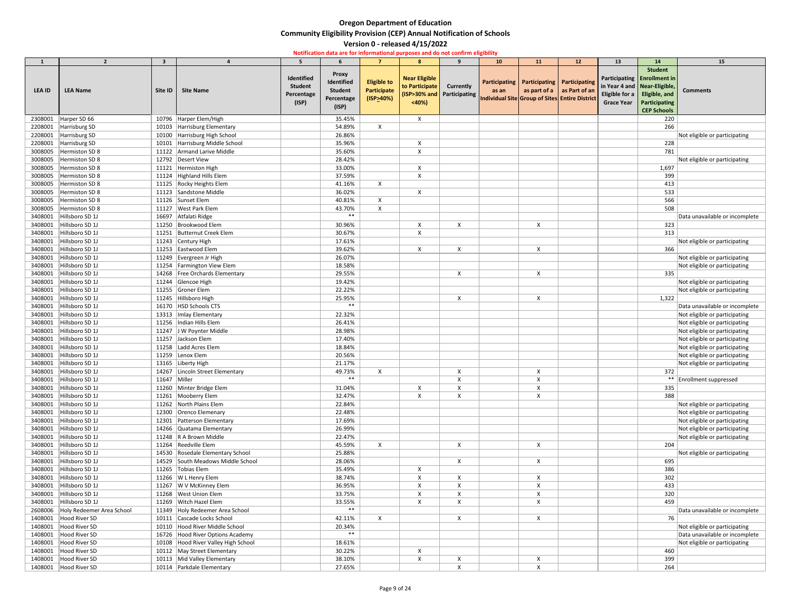| 1             | $\overline{2}$                     | 3            |                                                       | 5.                                                  | 6                                                                   |                                                       | 8                                               | 9                                                | 10 <sub>1</sub>                                         | <b>11</b>                                                                           | 12 | 13                                                                            | 14                                                                                                             | 15                                                             |
|---------------|------------------------------------|--------------|-------------------------------------------------------|-----------------------------------------------------|---------------------------------------------------------------------|-------------------------------------------------------|-------------------------------------------------|--------------------------------------------------|---------------------------------------------------------|-------------------------------------------------------------------------------------|----|-------------------------------------------------------------------------------|----------------------------------------------------------------------------------------------------------------|----------------------------------------------------------------|
| <b>LEA ID</b> | <b>LEA Name</b>                    | Site ID      | <b>Site Name</b>                                      | Identified<br><b>Student</b><br>Percentage<br>(ISP) | <b>Proxy</b><br>Identified<br><b>Student</b><br>Percentage<br>(ISP) | <b>Eligible to</b><br><b>Participate</b><br>(ISP>40%) | <b>Near Eligible</b><br>to Participate<br>$40%$ | <b>Currently</b><br>(ISP>30% and   Participating | as an<br>Individual Site Group of Sites Entire District | Participating   Participating   Participating<br>as part of a $\vert$ as Part of an |    | in Year 4 and   Near-Eligible,<br>Eligible for a $\vert$<br><b>Grace Year</b> | <b>Student</b><br>Participating   Enrollment in<br>Eligible, and<br><b>Participating</b><br><b>CEP Schools</b> | <b>Comments</b>                                                |
| 2308001       | Harper SD 66                       |              | 10796 Harper Elem/High                                |                                                     | 35.45%                                                              |                                                       | $\boldsymbol{\mathsf{X}}$                       |                                                  |                                                         |                                                                                     |    |                                                                               | 220                                                                                                            |                                                                |
| 2208001       | Harrisburg SD                      |              | 10103 Harrisburg Elementary                           |                                                     | 54.89%                                                              | X                                                     |                                                 |                                                  |                                                         |                                                                                     |    |                                                                               | 266                                                                                                            |                                                                |
| 2208001       | Harrisburg SD                      |              | 10100 Harrisburg High School                          |                                                     | 26.86%                                                              |                                                       |                                                 |                                                  |                                                         |                                                                                     |    |                                                                               |                                                                                                                | Not eligible or participating                                  |
| 2208001       | Harrisburg SD                      | 10101        | Harrisburg Middle School                              |                                                     | 35.96%                                                              |                                                       |                                                 |                                                  |                                                         |                                                                                     |    |                                                                               | 228                                                                                                            |                                                                |
| 3008005       | Hermiston SD 8                     |              | 11122 Armand Larive Middle                            |                                                     | 35.60%                                                              |                                                       | X                                               |                                                  |                                                         |                                                                                     |    |                                                                               | 781                                                                                                            |                                                                |
| 3008005       | Hermiston SD 8                     |              | 12792 Desert View                                     |                                                     | 28.42%                                                              |                                                       |                                                 |                                                  |                                                         |                                                                                     |    |                                                                               |                                                                                                                | Not eligible or participating                                  |
| 3008005       | Hermiston SD 8                     |              | 11121   Hermiston High                                |                                                     | 33.00%                                                              |                                                       |                                                 |                                                  |                                                         |                                                                                     |    |                                                                               | 1,697                                                                                                          |                                                                |
| 3008005       | Hermiston SD 8                     |              | 11124 Highland Hills Elem                             |                                                     | 37.59%                                                              |                                                       |                                                 |                                                  |                                                         |                                                                                     |    |                                                                               | 399                                                                                                            |                                                                |
| 3008005       | Hermiston SD 8                     |              | 11125 Rocky Heights Elem                              |                                                     | 41.16%                                                              | $\boldsymbol{\mathsf{X}}$                             |                                                 |                                                  |                                                         |                                                                                     |    |                                                                               | 413                                                                                                            |                                                                |
| 3008005       | Hermiston SD 8                     |              | 11123 Sandstone Middle                                |                                                     | 36.02%                                                              |                                                       |                                                 |                                                  |                                                         |                                                                                     |    |                                                                               | 533                                                                                                            |                                                                |
| 3008005       | Hermiston SD 8                     |              | 11126 Sunset Elem                                     |                                                     | 40.81%                                                              | X                                                     |                                                 |                                                  |                                                         |                                                                                     |    |                                                                               | 566                                                                                                            |                                                                |
| 3008005       | Hermiston SD 8                     |              | 11127   West Park Elem                                |                                                     | 43.70%                                                              | $\boldsymbol{\mathsf{X}}$                             |                                                 |                                                  |                                                         |                                                                                     |    |                                                                               | 508                                                                                                            |                                                                |
| 3408001       | Hillsboro SD 1J                    | 16697        | Atfalati Ridge                                        |                                                     | $***$                                                               |                                                       |                                                 |                                                  |                                                         |                                                                                     |    |                                                                               |                                                                                                                | Data unavailable or incomplete                                 |
| 3408001       | Hillsboro SD 1J                    |              | 11250 Brookwood Elem                                  |                                                     | 30.96%                                                              |                                                       |                                                 |                                                  |                                                         |                                                                                     |    |                                                                               | 323                                                                                                            |                                                                |
| 3408001       | Hillsboro SD 1J                    |              | 11251 Butternut Creek Elem                            |                                                     | 30.67%                                                              |                                                       |                                                 |                                                  |                                                         |                                                                                     |    |                                                                               | 313                                                                                                            |                                                                |
| 3408001       | Hillsboro SD 1J                    |              | 11243 Century High                                    |                                                     | 17.61%                                                              |                                                       |                                                 |                                                  |                                                         |                                                                                     |    |                                                                               |                                                                                                                | Not eligible or participating                                  |
| 3408001       | Hillsboro SD 1J                    |              | 11253 Eastwood Elem                                   |                                                     | 39.62%                                                              |                                                       | X                                               |                                                  |                                                         |                                                                                     |    |                                                                               | 366                                                                                                            |                                                                |
| 3408001       | Hillsboro SD 1J                    |              | 11249 Evergreen Jr High                               |                                                     | 26.07%                                                              |                                                       |                                                 |                                                  |                                                         |                                                                                     |    |                                                                               |                                                                                                                | Not eligible or participating                                  |
| 3408001       | Hillsboro SD 1J                    |              | 11254 Farmington View Elem                            |                                                     | 18.58%                                                              |                                                       |                                                 |                                                  |                                                         |                                                                                     |    |                                                                               |                                                                                                                | Not eligible or participating                                  |
| 3408001       | Hillsboro SD 1J                    | 14268        | Free Orchards Elementary                              |                                                     | 29.55%                                                              |                                                       |                                                 |                                                  |                                                         |                                                                                     |    |                                                                               | 335                                                                                                            |                                                                |
| 3408001       | Hillsboro SD 1J                    |              | 11244 Glencoe High                                    |                                                     | 19.42%                                                              |                                                       |                                                 |                                                  |                                                         |                                                                                     |    |                                                                               |                                                                                                                | Not eligible or participating                                  |
| 3408001       | Hillsboro SD 1J                    |              | 11255 Groner Elem                                     |                                                     | 22.22%                                                              |                                                       |                                                 |                                                  |                                                         |                                                                                     |    |                                                                               |                                                                                                                | Not eligible or participating                                  |
| 3408001       | Hillsboro SD 1J<br>Hillsboro SD 1J |              | 11245 Hillsboro High                                  |                                                     | 25.95%<br>$***$                                                     |                                                       |                                                 |                                                  |                                                         |                                                                                     |    |                                                                               | 1,322                                                                                                          |                                                                |
| 3408001       | 3408001 Hillsboro SD 1J            |              | 16170   HSD Schools CTS                               |                                                     | 22.32%                                                              |                                                       |                                                 |                                                  |                                                         |                                                                                     |    |                                                                               |                                                                                                                | Data unavailable or incomplete                                 |
| 3408001       | Hillsboro SD 1J                    |              | 13313   Imlay Elementary<br>11256   Indian Hills Elem |                                                     | 26.41%                                                              |                                                       |                                                 |                                                  |                                                         |                                                                                     |    |                                                                               |                                                                                                                | Not eligible or participating<br>Not eligible or participating |
| 3408001       | Hillsboro SD 1J                    |              | 11247 J W Poynter Middle                              |                                                     | 28.98%                                                              |                                                       |                                                 |                                                  |                                                         |                                                                                     |    |                                                                               |                                                                                                                | Not eligible or participating                                  |
| 3408001       | Hillsboro SD 1J                    |              | 11257 Jackson Elem                                    |                                                     | 17.40%                                                              |                                                       |                                                 |                                                  |                                                         |                                                                                     |    |                                                                               |                                                                                                                | Not eligible or participating                                  |
| 3408001       | Hillsboro SD 1J                    | 11258        | Ladd Acres Elem                                       |                                                     | 18.84%                                                              |                                                       |                                                 |                                                  |                                                         |                                                                                     |    |                                                                               |                                                                                                                | Not eligible or participating                                  |
| 3408001       | Hillsboro SD 1J                    |              | 11259 Lenox Elem                                      |                                                     | 20.56%                                                              |                                                       |                                                 |                                                  |                                                         |                                                                                     |    |                                                                               |                                                                                                                | Not eligible or participating                                  |
| 3408001       | Hillsboro SD 1J                    |              | 13165 Liberty High                                    |                                                     | 21.17%                                                              |                                                       |                                                 |                                                  |                                                         |                                                                                     |    |                                                                               |                                                                                                                | Not eligible or participating                                  |
| 3408001       | Hillsboro SD 1J                    |              | 14267 Lincoln Street Elementary                       |                                                     | 49.73%                                                              | X                                                     |                                                 |                                                  |                                                         |                                                                                     |    |                                                                               | 372                                                                                                            |                                                                |
| 3408001       | Hillsboro SD 1J                    | 11647 Miller |                                                       |                                                     | $***$                                                               |                                                       |                                                 |                                                  |                                                         |                                                                                     |    |                                                                               |                                                                                                                | ** Enrollment suppressed                                       |
| 3408001       | Hillsboro SD 1J                    |              | 11260 Minter Bridge Elem                              |                                                     | 31.04%                                                              |                                                       | X                                               |                                                  |                                                         |                                                                                     |    |                                                                               | 335                                                                                                            |                                                                |
| 3408001       | Hillsboro SD 1J                    |              | 11261 Mooberry Elem                                   |                                                     | 32.47%                                                              |                                                       |                                                 |                                                  |                                                         |                                                                                     |    |                                                                               | 388                                                                                                            |                                                                |
| 3408001       | Hillsboro SD 1J                    |              | 11262 North Plains Elem                               |                                                     | 22.84%                                                              |                                                       |                                                 |                                                  |                                                         |                                                                                     |    |                                                                               |                                                                                                                | Not eligible or participating                                  |
| 3408001       | Hillsboro SD 1J                    |              | 12300 Orenco Elemenary                                |                                                     | 22.48%                                                              |                                                       |                                                 |                                                  |                                                         |                                                                                     |    |                                                                               |                                                                                                                | Not eligible or participating                                  |
| 3408001       | Hillsboro SD 1J                    |              | 12301 Patterson Elementary                            |                                                     | 17.69%                                                              |                                                       |                                                 |                                                  |                                                         |                                                                                     |    |                                                                               |                                                                                                                | Not eligible or participating                                  |
| 3408001       | Hillsboro SD 1J                    |              | 14266 Quatama Elementary                              |                                                     | 26.99%                                                              |                                                       |                                                 |                                                  |                                                         |                                                                                     |    |                                                                               |                                                                                                                | Not eligible or participating                                  |
| 3408001       | Hillsboro SD 1J                    |              | 11248 R A Brown Middle                                |                                                     | 22.47%                                                              |                                                       |                                                 |                                                  |                                                         |                                                                                     |    |                                                                               |                                                                                                                | Not eligible or participating                                  |
| 3408001       | Hillsboro SD 1J                    |              | 11264 Reedville Elem                                  |                                                     | 45.59%                                                              | X                                                     |                                                 | $\boldsymbol{\mathsf{X}}$                        |                                                         | $\boldsymbol{\mathsf{X}}$                                                           |    |                                                                               | 204                                                                                                            |                                                                |
| 3408001       | Hillsboro SD 1J                    |              | 14530 Rosedale Elementary School                      |                                                     | 25.88%                                                              |                                                       |                                                 |                                                  |                                                         |                                                                                     |    |                                                                               |                                                                                                                | Not eligible or participating                                  |
| 3408001       | Hillsboro SD 1J                    |              | 14529 South Meadows Middle School                     |                                                     | 28.06%                                                              |                                                       |                                                 | $\boldsymbol{\mathsf{X}}$                        |                                                         | X                                                                                   |    |                                                                               | 695                                                                                                            |                                                                |
| 3408001       | Hillsboro SD 1J                    |              | 11265 Tobias Elem                                     |                                                     | 35.49%                                                              |                                                       |                                                 |                                                  |                                                         |                                                                                     |    |                                                                               | 386                                                                                                            |                                                                |
| 3408001       | Hillsboro SD 1J                    |              | 11266   W L Henry Elem                                |                                                     | 38.74%                                                              |                                                       |                                                 |                                                  |                                                         |                                                                                     |    |                                                                               | 302                                                                                                            |                                                                |
| 3408001       | Hillsboro SD 1J                    |              | 11267   W V McKinney Elem                             |                                                     | 36.95%                                                              |                                                       |                                                 |                                                  |                                                         |                                                                                     |    |                                                                               | 433                                                                                                            |                                                                |
| 3408001       | Hillsboro SD 1J                    |              | 11268 West Union Elem                                 |                                                     | 33.75%                                                              |                                                       |                                                 |                                                  |                                                         |                                                                                     |    |                                                                               | 320                                                                                                            |                                                                |
| 3408001       | Hillsboro SD 1J                    |              | 11269 Witch Hazel Elem                                |                                                     | 33.55%                                                              |                                                       |                                                 |                                                  |                                                         |                                                                                     |    |                                                                               | 459                                                                                                            |                                                                |
| 2608006       | Holy Redeemer Area School          |              | 11349 Holy Redeemer Area School                       |                                                     | $***$                                                               |                                                       |                                                 |                                                  |                                                         |                                                                                     |    |                                                                               |                                                                                                                | Data unavailable or incomplete                                 |
| 1408001       | Hood River SD                      |              | 10111 Cascade Locks School                            |                                                     | 42.11%                                                              | $\boldsymbol{\mathsf{X}}$                             |                                                 |                                                  |                                                         |                                                                                     |    |                                                                               | 76                                                                                                             |                                                                |
| 1408001       | Hood River SD                      |              | 10110 Hood River Middle School                        |                                                     | 20.34%                                                              |                                                       |                                                 |                                                  |                                                         |                                                                                     |    |                                                                               |                                                                                                                | Not eligible or participating                                  |
| 1408001       | Hood River SD                      |              | 16726 Hood River Options Academy                      |                                                     | $***$                                                               |                                                       |                                                 |                                                  |                                                         |                                                                                     |    |                                                                               |                                                                                                                | Data unavailable or incomplete                                 |
| 1408001       | Hood River SD                      |              | 10108 Hood River Valley High School                   |                                                     | 18.61%                                                              |                                                       |                                                 |                                                  |                                                         |                                                                                     |    |                                                                               |                                                                                                                | Not eligible or participating                                  |
| 1408001       | Hood River SD                      |              | 10112   May Street Elementary                         |                                                     | 30.22%                                                              |                                                       |                                                 |                                                  |                                                         |                                                                                     |    |                                                                               | 460                                                                                                            |                                                                |
| 1408001       | Hood River SD                      |              | 10113 Mid Valley Elementary                           |                                                     | 38.10%                                                              |                                                       |                                                 |                                                  |                                                         |                                                                                     |    |                                                                               | 399                                                                                                            |                                                                |
| 1408001       | Hood River SD                      |              | 10114   Parkdale Elementary                           |                                                     | 27.65%                                                              |                                                       |                                                 |                                                  |                                                         |                                                                                     |    |                                                                               | 264                                                                                                            |                                                                |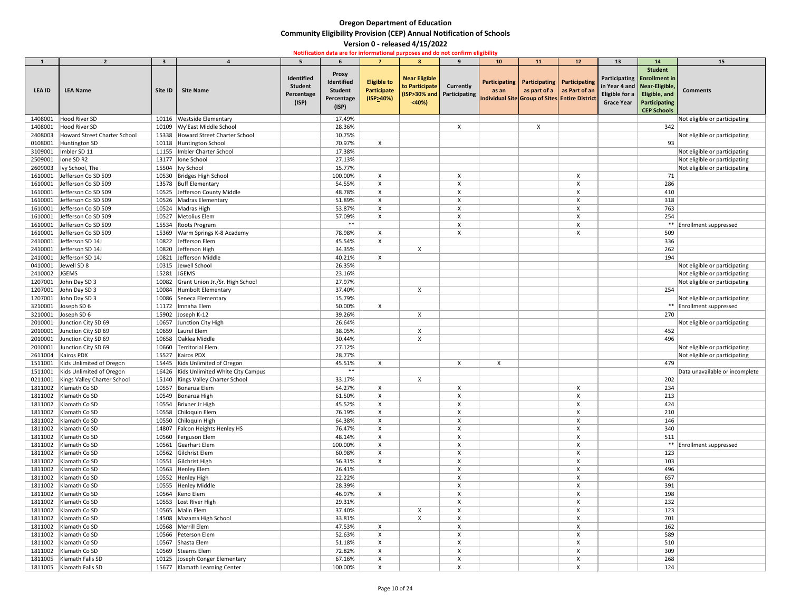| $\mathbf{1}$       | $\overline{\phantom{a}}$       | 3           |                                             |                |                   |                                                        | 8 <sup>°</sup>             | $\mathbf{q}$              | 10 <sub>1</sub> | 11                                             | 12                                 | 13                             | 14                          | 15                             |
|--------------------|--------------------------------|-------------|---------------------------------------------|----------------|-------------------|--------------------------------------------------------|----------------------------|---------------------------|-----------------|------------------------------------------------|------------------------------------|--------------------------------|-----------------------------|--------------------------------|
|                    |                                |             |                                             |                |                   |                                                        |                            |                           |                 |                                                |                                    |                                | <b>Student</b>              |                                |
|                    |                                |             |                                             | Identified     | <b>Proxy</b>      |                                                        | <b>Near Eligible</b>       |                           |                 |                                                |                                    |                                | Participating Enrollment in |                                |
|                    |                                |             |                                             | <b>Student</b> | Identified        | <b>Eligible to</b>                                     | to Participate             | <b>Currently</b>          |                 | Participating   Participating   Participating  |                                    | in Year 4 and   Near-Eligible, |                             |                                |
| LEA ID             | <b>LEA Name</b>                | Site ID     | <b>Site Name</b>                            | Percentage     | <b>Student</b>    | Participate                                            | (ISP>30% and Participating |                           | as an           |                                                | as part of a $\vert$ as Part of an | Eligible for a                 | Eligible, and               | <b>Comments</b>                |
|                    |                                |             |                                             | (ISP)          | Percentage        | $($ ISP>40%)                                           | < 40%                      |                           |                 | Individual Site Group of Sites Entire District |                                    | <b>Grace Year</b>              | Participating               |                                |
|                    |                                |             |                                             |                | (ISP)             |                                                        |                            |                           |                 |                                                |                                    |                                | <b>CEP Schools</b>          |                                |
| 1408001            | Hood River SD                  | 10116       | <b>Westside Elementary</b>                  |                | 17.49%            |                                                        |                            |                           |                 |                                                |                                    |                                |                             | Not eligible or participating  |
| 1408001            | Hood River SD                  |             | 10109 Wy'East Middle School                 |                | 28.36%            |                                                        |                            | $\times$                  |                 | $\times$                                       |                                    |                                | 342                         |                                |
| 2408003            | Howard Street Charter School   | 15338       | Howard Street Charter School                |                | 10.75%            |                                                        |                            |                           |                 |                                                |                                    |                                |                             | Not eligible or participating  |
| 0108001            | Huntington SD                  |             | 10118 Huntington School                     |                | 70.97%            | $\mathsf{X}$                                           |                            |                           |                 |                                                |                                    |                                | 93                          |                                |
| 3109001            | Imbler SD 11                   |             | 11155   Imbler Charter School               |                | 17.38%            |                                                        |                            |                           |                 |                                                |                                    |                                |                             | Not eligible or participating  |
| 2509001            | Ione SD R2                     |             | 13177   lone School                         |                | 27.13%            |                                                        |                            |                           |                 |                                                |                                    |                                |                             | Not eligible or participating  |
| 2609003            | Ivy School, The                |             | 15504   Ivy School                          |                | 15.77%            |                                                        |                            |                           |                 |                                                |                                    |                                |                             | Not eligible or participating  |
| 1610001            | Jefferson Co SD 509            |             | 10530 Bridges High School                   |                | 100.00%           | X                                                      |                            | X                         |                 |                                                | X                                  |                                | 71                          |                                |
| 1610001            | Jefferson Co SD 509            |             | 13578 Buff Elementary                       |                | 54.55%            | X                                                      |                            |                           |                 |                                                |                                    |                                | 286                         |                                |
| 1610001            | Jefferson Co SD 509            |             | 10525 Jefferson County Middle               |                | 48.78%            | X                                                      |                            |                           |                 |                                                |                                    |                                | 410                         |                                |
| 1610001            | Jefferson Co SD 509            |             | 10526 Madras Elementary                     |                | 51.89%            | $\boldsymbol{\mathsf{X}}$                              |                            | X                         |                 |                                                |                                    |                                | 318                         |                                |
| 1610001            | Jefferson Co SD 509            | 10524       | Madras High                                 |                | 53.87%            | $\boldsymbol{\mathsf{X}}$                              |                            | X                         |                 |                                                |                                    |                                | 763                         |                                |
| 1610001            | Jefferson Co SD 509            | 10527       | Metolius Elem                               |                | 57.09%            | X                                                      |                            | X                         |                 |                                                |                                    |                                | 254                         |                                |
| 1610001            | Jefferson Co SD 509            |             | 15534 Roots Program                         |                | $***$             |                                                        |                            |                           |                 |                                                |                                    |                                |                             | ** Enrollment suppressed       |
| 1610001            | Jefferson Co SD 509            |             | 15369   Warm Springs K-8 Academy            |                | 78.98%            | X                                                      |                            | X                         |                 |                                                |                                    |                                | 509                         |                                |
| 2410001            | Jefferson SD 14J               |             | 10822 Jefferson Elem                        |                | 45.54%            | $\boldsymbol{\mathsf{X}}$                              |                            |                           |                 |                                                |                                    |                                | 336                         |                                |
| 2410001            | Jefferson SD 14J               |             | 10820 Jefferson High                        |                | 34.35%            |                                                        | X                          |                           |                 |                                                |                                    |                                | 262                         |                                |
| 2410001            | Jefferson SD 14J               |             | 10821 Jefferson Middle                      |                | 40.21%            | $\sf X$                                                |                            |                           |                 |                                                |                                    |                                | 194                         |                                |
| 0410001            | Jewell SD 8                    |             | 10315 Jewell School                         |                | 26.35%            |                                                        |                            |                           |                 |                                                |                                    |                                |                             | Not eligible or participating  |
| 2410002            | JGEMS                          | 15281 JGEMS |                                             |                | 23.16%            |                                                        |                            |                           |                 |                                                |                                    |                                |                             | Not eligible or participating  |
| 1207001            | John Day SD 3                  |             | 10082 Grant Union Jr./Sr. High School       |                | 27.97%            |                                                        |                            |                           |                 |                                                |                                    |                                |                             | Not eligible or participating  |
| 1207001            | John Day SD 3                  | 10084       | Humbolt Elementary                          |                | 37.40%            |                                                        | X                          |                           |                 |                                                |                                    |                                | 254                         |                                |
| 1207001            | John Day SD 3                  |             | 10086 Seneca Elementary                     |                | 15.79%            |                                                        |                            |                           |                 |                                                |                                    |                                |                             | Not eligible or participating  |
| 3210001            | Joseph SD 6                    |             | 11172   Imnaha Elem                         |                | 50.00%            | $\mathsf{X}$                                           |                            |                           |                 |                                                |                                    |                                |                             | ** Enrollment suppressed       |
|                    | 3210001 Joseph SD 6            |             | 15902 Joseph K-12                           |                | 39.26%            |                                                        | X                          |                           |                 |                                                |                                    |                                | 270                         |                                |
| 2010001            | Junction City SD 69            |             | 10657 Junction City High                    |                | 26.64%            |                                                        |                            |                           |                 |                                                |                                    |                                |                             | Not eligible or participating  |
| 2010001            | Junction City SD 69            |             | 10659 Laurel Elem                           |                | 38.05%            |                                                        | X                          |                           |                 |                                                |                                    |                                | 452                         |                                |
| 2010001            | Junction City SD 69            |             | 10658 Oaklea Middle                         |                | 30.44%            |                                                        | X                          |                           |                 |                                                |                                    |                                | 496                         |                                |
| 2010001            | Junction City SD 69            |             | 10660 Territorial Elem                      |                | 27.12%            |                                                        |                            |                           |                 |                                                |                                    |                                |                             | Not eligible or participating  |
| 2611004            | Kairos PDX                     |             | 15527 Kairos PDX                            |                | 28.77%            |                                                        |                            |                           |                 |                                                |                                    |                                |                             | Not eligible or participating  |
| 1511001            | Kids Unlimited of Oregon       |             | 15445 Kids Unlimited of Oregon              |                | 45.51%            | $\sf X$                                                |                            | $\boldsymbol{\mathsf{X}}$ | X               |                                                |                                    |                                | 479                         |                                |
| 1511001            | Kids Unlimited of Oregon       |             | 16426 Kids Unlimited White City Campus      |                | $***$             |                                                        |                            |                           |                 |                                                |                                    |                                |                             | Data unavailable or incomplete |
| 0211001            | Kings Valley Charter School    |             | 15140 Kings Valley Charter School           |                | 33.17%            |                                                        | X                          |                           |                 |                                                |                                    |                                | 202                         |                                |
| 1811002            | Klamath Co SD                  |             | 10557 Bonanza Elem                          |                | 54.27%            | X                                                      |                            | X                         |                 |                                                |                                    |                                | 234                         |                                |
| 1811002            | Klamath Co SD                  |             | 10549 Bonanza High                          |                | 61.50%            | X                                                      |                            |                           |                 |                                                |                                    |                                | 213                         |                                |
| 1811002            | Klamath Co SD                  |             | 10554 Brixner Jr High                       |                | 45.52%            | X                                                      |                            |                           |                 |                                                |                                    |                                | 424                         |                                |
| 1811002            | Klamath Co SD                  |             | 10558 Chiloquin Elem                        |                | 76.19%            | $\boldsymbol{\mathsf{X}}$                              |                            |                           |                 |                                                |                                    |                                | 210                         |                                |
| 1811002            | Klamath Co SD                  |             | 10550 Chiloquin High                        |                | 64.38%            | X                                                      |                            |                           |                 |                                                |                                    |                                | 146                         |                                |
| 1811002            | Klamath Co SD                  |             | 14807   Falcon Heights Henley HS            |                | 76.47%            | $\boldsymbol{\mathsf{X}}$                              |                            |                           |                 |                                                |                                    |                                | 340                         |                                |
| 1811002            | Klamath Co SD                  |             | 10560 Ferguson Elem                         |                | 48.14%            | $\boldsymbol{\mathsf{X}}$                              |                            |                           |                 |                                                |                                    |                                | 511                         |                                |
| 1811002<br>1811002 | Klamath Co SD<br>Klamath Co SD |             | 10561 Gearhart Elem<br>10562 Gilchrist Elem |                | 100.00%<br>60.98% | $\boldsymbol{\mathsf{X}}$<br>$\boldsymbol{\mathsf{X}}$ |                            |                           |                 |                                                |                                    |                                | 123                         | ** Enrollment suppressed       |
| 1811002            | Klamath Co SD                  |             | 10551 Gilchrist High                        |                |                   | X                                                      |                            |                           |                 |                                                |                                    |                                | 103                         |                                |
| 1811002            | Klamath Co SD                  |             | 10563 Henley Elem                           |                | 56.31%<br>26.41%  |                                                        |                            | X                         |                 |                                                |                                    |                                | 496                         |                                |
| 1811002            | Klamath Co SD                  |             | 10552 Henley High                           |                | 22.22%            |                                                        |                            | X                         |                 |                                                |                                    |                                | 657                         |                                |
| 1811002            | Klamath Co SD                  |             | 10555 Henley Middle                         |                | 28.39%            |                                                        |                            |                           |                 |                                                |                                    |                                | 391                         |                                |
| 1811002            | Klamath Co SD                  |             | 10564 Keno Elem                             |                | 46.97%            | $\mathsf{X}$                                           |                            |                           |                 |                                                |                                    |                                | 198                         |                                |
| 1811002            | Klamath Co SD                  |             | 10553 Lost River High                       |                | 29.31%            |                                                        |                            | $\boldsymbol{\mathsf{X}}$ |                 |                                                | X                                  |                                | 232                         |                                |
| 1811002            | Klamath Co SD                  |             | 10565 Malin Elem                            |                | 37.40%            |                                                        | X                          |                           |                 |                                                |                                    |                                | 123                         |                                |
| 1811002            | Klamath Co SD                  |             | 14508 Mazama High School                    |                | 33.81%            |                                                        | X                          | X                         |                 |                                                |                                    |                                | 701                         |                                |
| 1811002            | Klamath Co SD                  |             | 10568 Merrill Elem                          |                | 47.53%            | X                                                      |                            | X                         |                 |                                                |                                    |                                | 162                         |                                |
| 1811002            | Klamath Co SD                  |             | 10566 Peterson Elem                         |                | 52.63%            | $\boldsymbol{\mathsf{X}}$                              |                            |                           |                 |                                                |                                    |                                | 589                         |                                |
| 1811002            | Klamath Co SD                  |             | 10567 Shasta Elem                           |                | 51.18%            | X                                                      |                            |                           |                 |                                                |                                    |                                | 510                         |                                |
| 1811002            | Klamath Co SD                  |             | 10569 Stearns Elem                          |                | 72.82%            | $\boldsymbol{\mathsf{X}}$                              |                            | X                         |                 |                                                |                                    |                                | 309                         |                                |
| 1811005            | Klamath Falls SD               |             | 10125 Joseph Conger Elementary              |                | 67.16%            | X                                                      |                            | Х                         |                 |                                                |                                    |                                | 268                         |                                |
|                    | 1811005   Klamath Falls SD     |             | 15677 Klamath Learning Center               |                | 100.00%           | X                                                      |                            | X                         |                 |                                                |                                    |                                | 124                         |                                |
|                    |                                |             |                                             |                |                   |                                                        |                            |                           |                 |                                                |                                    |                                |                             |                                |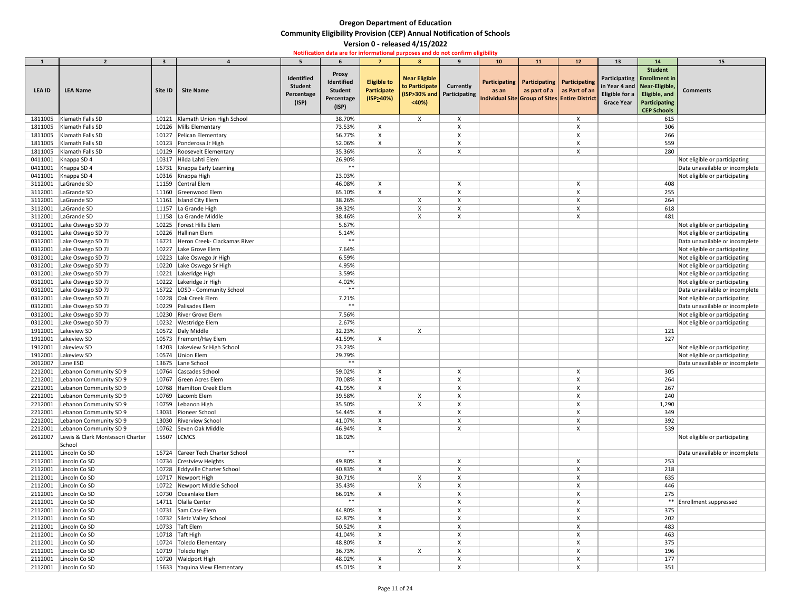| $\mathbf{1}$ | $\overline{2}$                             | $\overline{\mathbf{3}}$ |                                    | 5                                                   |                                                                     |                                                       | $\mathbf{R}$                                    | $\mathbf{q}$                                     | 10 <sub>1</sub> | 11                                            | 12                                                                                   | 13                                                                            | 14                                                                                                             | 15                             |
|--------------|--------------------------------------------|-------------------------|------------------------------------|-----------------------------------------------------|---------------------------------------------------------------------|-------------------------------------------------------|-------------------------------------------------|--------------------------------------------------|-----------------|-----------------------------------------------|--------------------------------------------------------------------------------------|-------------------------------------------------------------------------------|----------------------------------------------------------------------------------------------------------------|--------------------------------|
| LEA ID       | <b>LEA Name</b>                            | Site ID                 | <b>Site Name</b>                   | Identified<br><b>Student</b><br>Percentage<br>(ISP) | <b>Proxy</b><br>Identified<br><b>Student</b><br>Percentage<br>(ISP) | <b>Eligible to</b><br><b>Participate</b><br>(ISP>40%) | <b>Near Eligible</b><br>to Participate<br>< 40% | <b>Currently</b><br>(ISP>30% and   Participating | as an           | Participating   Participating   Participating | as part of a $\vert$ as Part of an<br>Individual Site Group of Sites Entire District | in Year 4 and   Near-Eligible,<br>Eligible for a $\vert$<br><b>Grace Year</b> | <b>Student</b><br>Participating   Enrollment in<br>Eligible, and<br><b>Participating</b><br><b>CEP Schools</b> | <b>Comments</b>                |
| 1811005      | Klamath Falls SD                           |                         | 10121 Klamath Union High School    |                                                     | 38.70%                                                              |                                                       | $\boldsymbol{\mathsf{X}}$                       | $\boldsymbol{\mathsf{X}}$                        |                 |                                               | $\boldsymbol{\mathsf{X}}$                                                            |                                                                               | 615                                                                                                            |                                |
| 1811005      | Klamath Falls SD                           |                         | 10126 Mills Elementary             |                                                     | 73.53%                                                              | $\boldsymbol{\mathsf{X}}$                             |                                                 | X                                                |                 |                                               |                                                                                      |                                                                               | 306                                                                                                            |                                |
| 1811005      | Klamath Falls SD                           |                         | 10127 Pelican Elementary           |                                                     | 56.77%                                                              | X                                                     |                                                 |                                                  |                 |                                               |                                                                                      |                                                                               | 266                                                                                                            |                                |
| 1811005      | Klamath Falls SD                           |                         | 10123 Ponderosa Jr High            |                                                     | 52.06%                                                              | X                                                     |                                                 |                                                  |                 |                                               |                                                                                      |                                                                               | 559                                                                                                            |                                |
| 1811005      | Klamath Falls SD                           |                         | 10129 Roosevelt Elementary         |                                                     | 35.36%                                                              |                                                       | X                                               |                                                  |                 |                                               |                                                                                      |                                                                               | 280                                                                                                            |                                |
| 0411001      | Knappa SD 4                                |                         | 10317 Hilda Lahti Elem             |                                                     | 26.90%                                                              |                                                       |                                                 |                                                  |                 |                                               |                                                                                      |                                                                               |                                                                                                                | Not eligible or participating  |
| 0411001      | Knappa SD 4                                |                         | 16731 Knappa Early Learning        |                                                     | $***$                                                               |                                                       |                                                 |                                                  |                 |                                               |                                                                                      |                                                                               |                                                                                                                | Data unavailable or incomplete |
| 0411001      | Knappa SD 4                                |                         | 10316 Knappa High                  |                                                     | 23.03%                                                              |                                                       |                                                 |                                                  |                 |                                               |                                                                                      |                                                                               |                                                                                                                | Not eligible or participating  |
| 3112001      | LaGrande SD                                |                         | 11159 Central Elem                 |                                                     | 46.08%                                                              | $\boldsymbol{\mathsf{X}}$                             |                                                 |                                                  |                 |                                               |                                                                                      |                                                                               | 408                                                                                                            |                                |
| 3112001      | LaGrande SD                                |                         | 11160 Greenwood Elem               |                                                     | 65.10%                                                              | $\boldsymbol{\mathsf{X}}$                             |                                                 |                                                  |                 |                                               |                                                                                      |                                                                               | 255                                                                                                            |                                |
| 3112001      | LaGrande SD                                |                         | 11161   Island City Elem           |                                                     | 38.26%                                                              |                                                       |                                                 |                                                  |                 |                                               |                                                                                      |                                                                               | 264                                                                                                            |                                |
| 3112001      | LaGrande SD                                |                         | 11157 La Grande High               |                                                     | 39.32%                                                              |                                                       |                                                 |                                                  |                 |                                               |                                                                                      |                                                                               | 618                                                                                                            |                                |
| 3112001      | LaGrande SD                                |                         | 11158 La Grande Middle             |                                                     | 38.46%                                                              |                                                       |                                                 |                                                  |                 |                                               |                                                                                      |                                                                               | 481                                                                                                            |                                |
| 0312001      | Lake Oswego SD 7J                          | 10225                   | Forest Hills Elem                  |                                                     | 5.67%                                                               |                                                       |                                                 |                                                  |                 |                                               |                                                                                      |                                                                               |                                                                                                                | Not eligible or participating  |
| 0312001      | Lake Oswego SD 7J                          |                         | 10226 Hallinan Elem                |                                                     | 5.14%                                                               |                                                       |                                                 |                                                  |                 |                                               |                                                                                      |                                                                               |                                                                                                                | Not eligible or participating  |
| 0312001      | Lake Oswego SD 7J                          |                         | 16721 Heron Creek- Clackamas River |                                                     | $***$                                                               |                                                       |                                                 |                                                  |                 |                                               |                                                                                      |                                                                               |                                                                                                                | Data unavailable or incomplete |
| 0312001      | Lake Oswego SD 7J                          |                         | 10227 Lake Grove Elem              |                                                     | 7.64%                                                               |                                                       |                                                 |                                                  |                 |                                               |                                                                                      |                                                                               |                                                                                                                | Not eligible or participating  |
| 0312001      | Lake Oswego SD 7J                          |                         | 10223 Lake Oswego Jr High          |                                                     | 6.59%                                                               |                                                       |                                                 |                                                  |                 |                                               |                                                                                      |                                                                               |                                                                                                                | Not eligible or participating  |
| 0312001      | Lake Oswego SD 7J                          |                         | 10220 Lake Oswego Sr High          |                                                     | 4.95%                                                               |                                                       |                                                 |                                                  |                 |                                               |                                                                                      |                                                                               |                                                                                                                | Not eligible or participating  |
| 0312001      | Lake Oswego SD 7J                          | 10221                   | Lakeridge High                     |                                                     | 3.59%                                                               |                                                       |                                                 |                                                  |                 |                                               |                                                                                      |                                                                               |                                                                                                                | Not eligible or participating  |
| 0312001      | Lake Oswego SD 7J                          |                         | 10222 Lakeridge Jr High            |                                                     | 4.02%                                                               |                                                       |                                                 |                                                  |                 |                                               |                                                                                      |                                                                               |                                                                                                                | Not eligible or participating  |
| 0312001      | Lake Oswego SD 7J                          |                         | 16722   LOSD - Community School    |                                                     | $***$                                                               |                                                       |                                                 |                                                  |                 |                                               |                                                                                      |                                                                               |                                                                                                                | Data unavailable or incomplete |
| 0312001      | Lake Oswego SD 7J                          | 10228                   | Oak Creek Elem                     |                                                     | 7.21%                                                               |                                                       |                                                 |                                                  |                 |                                               |                                                                                      |                                                                               |                                                                                                                | Not eligible or participating  |
| 0312001      | Lake Oswego SD 7J                          |                         | 10229 Palisades Elem               |                                                     | $***$                                                               |                                                       |                                                 |                                                  |                 |                                               |                                                                                      |                                                                               |                                                                                                                | Data unavailable or incomplete |
|              | 0312001   Lake Oswego SD 7J                |                         | 10230 River Grove Elem             |                                                     | 7.56%                                                               |                                                       |                                                 |                                                  |                 |                                               |                                                                                      |                                                                               |                                                                                                                | Not eligible or participating  |
|              | 0312001   Lake Oswego SD 7J                |                         | 10232 Westridge Elem               |                                                     | 2.67%                                                               |                                                       |                                                 |                                                  |                 |                                               |                                                                                      |                                                                               |                                                                                                                | Not eligible or participating  |
| 1912001      | Lakeview SD                                |                         | 10572 Daly Middle                  |                                                     | 32.23%                                                              |                                                       | X                                               |                                                  |                 |                                               |                                                                                      |                                                                               | 121                                                                                                            |                                |
| 1912001      | Lakeview SD                                |                         | 10573   Fremont/Hay Elem           |                                                     | 41.59%                                                              | X                                                     |                                                 |                                                  |                 |                                               |                                                                                      |                                                                               | 327                                                                                                            |                                |
| 1912001      | Lakeview SD                                |                         | 14203 Lakeview Sr High School      |                                                     | 23.23%                                                              |                                                       |                                                 |                                                  |                 |                                               |                                                                                      |                                                                               |                                                                                                                | Not eligible or participating  |
| 1912001      | Lakeview SD                                |                         | 10574 Union Elem                   |                                                     | 29.79%                                                              |                                                       |                                                 |                                                  |                 |                                               |                                                                                      |                                                                               |                                                                                                                | Not eligible or participating  |
| 2012007      | Lane ESD                                   |                         | 13675 Lane School                  |                                                     | $***$                                                               |                                                       |                                                 |                                                  |                 |                                               |                                                                                      |                                                                               |                                                                                                                | Data unavailable or incomplete |
| 2212001      | Lebanon Community SD 9                     |                         | 10764 Cascades School              |                                                     | 59.02%                                                              |                                                       |                                                 |                                                  |                 |                                               |                                                                                      |                                                                               | 305                                                                                                            |                                |
| 2212001      | Lebanon Community SD 9                     |                         | 10767 Green Acres Elem             |                                                     | 70.08%                                                              | X                                                     |                                                 |                                                  |                 |                                               |                                                                                      |                                                                               | 264                                                                                                            |                                |
| 2212001      | Lebanon Community SD 9                     |                         | 10768 Hamilton Creek Elem          |                                                     | 41.95%                                                              | X                                                     |                                                 |                                                  |                 |                                               |                                                                                      |                                                                               | 267                                                                                                            |                                |
| 2212001      | Lebanon Community SD 9                     |                         | 10769 Lacomb Elem                  |                                                     | 39.58%                                                              |                                                       |                                                 |                                                  |                 |                                               |                                                                                      |                                                                               | 240                                                                                                            |                                |
| 2212001      | Lebanon Community SD 9                     |                         | 10759 Lebanon High                 |                                                     | 35.50%                                                              |                                                       |                                                 |                                                  |                 |                                               |                                                                                      |                                                                               | 1,290                                                                                                          |                                |
| 2212001      | Lebanon Community SD 9                     |                         | 13031 Pioneer School               |                                                     | 54.44%                                                              | X                                                     |                                                 |                                                  |                 |                                               |                                                                                      |                                                                               | 349                                                                                                            |                                |
| 2212001      | Lebanon Community SD 9                     |                         | 13030 Riverview School             |                                                     | 41.07%                                                              | $\boldsymbol{\mathsf{X}}$                             |                                                 |                                                  |                 |                                               |                                                                                      |                                                                               | 392                                                                                                            |                                |
| 2212001      | Lebanon Community SD 9                     |                         | 10762 Seven Oak Middle             |                                                     | 46.94%                                                              | X                                                     |                                                 |                                                  |                 |                                               |                                                                                      |                                                                               | 539                                                                                                            |                                |
| 2612007      | Lewis & Clark Montessori Charter<br>School | 15507 LCMCS             |                                    |                                                     | 18.02%                                                              |                                                       |                                                 |                                                  |                 |                                               |                                                                                      |                                                                               |                                                                                                                | Not eligible or participating  |
| 2112001      | Lincoln Co SD                              |                         | 16724 Career Tech Charter School   |                                                     | $***$                                                               |                                                       |                                                 |                                                  |                 |                                               |                                                                                      |                                                                               |                                                                                                                | Data unavailable or incomplete |
| 2112001      | Lincoln Co SD                              |                         | 10734 Crestview Heights            |                                                     | 49.80%                                                              |                                                       |                                                 |                                                  |                 |                                               |                                                                                      |                                                                               | 253                                                                                                            |                                |
| 2112001      | Lincoln Co SD                              |                         | 10728 Eddyville Charter School     |                                                     | 40.83%                                                              | $\boldsymbol{\mathsf{X}}$                             |                                                 |                                                  |                 |                                               |                                                                                      |                                                                               | 218                                                                                                            |                                |
| 2112001      | Lincoln Co SD                              |                         | 10717 Newport High                 |                                                     | 30.71%                                                              |                                                       |                                                 |                                                  |                 |                                               |                                                                                      |                                                                               | 635                                                                                                            |                                |
| 2112001      | Lincoln Co SD                              |                         | 10722 Newport Middle School        |                                                     | 35.43%                                                              |                                                       | $\boldsymbol{\mathsf{X}}$                       | X                                                |                 |                                               |                                                                                      |                                                                               | 446                                                                                                            |                                |
| 2112001      | Lincoln Co SD                              |                         | 10730 Oceanlake Elem               |                                                     | 66.91%                                                              | X                                                     |                                                 |                                                  |                 |                                               |                                                                                      |                                                                               | 275                                                                                                            |                                |
| 2112001      | Lincoln Co SD                              |                         | 14711   Olalla Center              |                                                     | $***$                                                               |                                                       |                                                 |                                                  |                 |                                               |                                                                                      |                                                                               |                                                                                                                | ** Enrollment suppressed       |
| 2112001      | Lincoln Co SD                              |                         | 10731 Sam Case Elem                |                                                     | 44.80%                                                              |                                                       |                                                 |                                                  |                 |                                               |                                                                                      |                                                                               | 375                                                                                                            |                                |
| 2112001      | Lincoln Co SD                              |                         | 10732 Siletz Valley School         |                                                     | 62.87%                                                              |                                                       |                                                 |                                                  |                 |                                               |                                                                                      |                                                                               | 202                                                                                                            |                                |
| 2112001      | Lincoln Co SD                              |                         | 10733 Taft Elem                    |                                                     | 50.52%                                                              | $\boldsymbol{\mathsf{X}}$                             |                                                 |                                                  |                 |                                               |                                                                                      |                                                                               | 483                                                                                                            |                                |
| 2112001      | Lincoln Co SD                              |                         | 10718 $\vert$ Taft High            |                                                     | 41.04%                                                              | X                                                     |                                                 |                                                  |                 |                                               |                                                                                      |                                                                               | 463                                                                                                            |                                |
| 2112001      | Lincoln Co SD                              |                         | 10724   Toledo Elementary          |                                                     | 48.80%                                                              | X                                                     |                                                 |                                                  |                 |                                               |                                                                                      |                                                                               | 375                                                                                                            |                                |
| 2112001      | Lincoln Co SD                              |                         | 10719 Toledo High                  |                                                     | 36.73%                                                              |                                                       | X                                               |                                                  |                 |                                               |                                                                                      |                                                                               | 196                                                                                                            |                                |
| 2112001      | Lincoln Co SD                              |                         | 10720 Waldport High                |                                                     | 48.02%                                                              | $\boldsymbol{\mathsf{X}}$                             |                                                 |                                                  |                 |                                               |                                                                                      |                                                                               | 177                                                                                                            |                                |
|              | 2112001   Lincoln Co SD                    |                         | 15633 Yaquina View Elementary      |                                                     | 45.01%                                                              |                                                       |                                                 |                                                  |                 |                                               |                                                                                      |                                                                               | 351                                                                                                            |                                |
|              |                                            |                         |                                    |                                                     |                                                                     |                                                       |                                                 |                                                  |                 |                                               |                                                                                      |                                                                               |                                                                                                                |                                |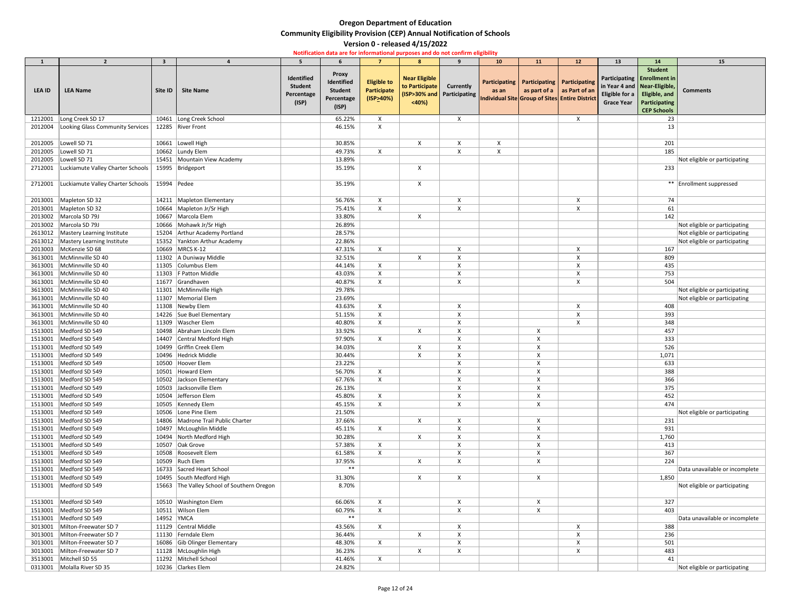|         | $\overline{2}$                    | $\overline{\mathbf{3}}$ |                                            |                                                     |                                                            | $\overline{7}$                                        | 8                                               | $\mathbf{q}$                                     | 10 <sub>1</sub>                                         | 11                                            | 12                                 | 13                                  | 14                                                                                                                         | 15                             |
|---------|-----------------------------------|-------------------------|--------------------------------------------|-----------------------------------------------------|------------------------------------------------------------|-------------------------------------------------------|-------------------------------------------------|--------------------------------------------------|---------------------------------------------------------|-----------------------------------------------|------------------------------------|-------------------------------------|----------------------------------------------------------------------------------------------------------------------------|--------------------------------|
| LEA ID  | <b>LEA Name</b>                   | Site ID                 | <b>Site Name</b>                           | Identified<br><b>Student</b><br>Percentage<br>(ISP) | <b>Proxy</b><br>Identified<br><b>Student</b><br>Percentage | <b>Eligible to</b><br><b>Participate</b><br>(ISP>40%) | <b>Near Eligible</b><br>to Participate<br>< 40% | <b>Currently</b><br>(ISP>30% and   Participating | as an<br>Individual Site Group of Sites Entire District | Participating   Participating   Participating | as part of a $\vert$ as Part of an | Eligible for a<br><b>Grace Year</b> | <b>Student</b><br>Participating   Enrollment in<br>in Year 4 and   Near-Eligible,<br>Eligible, and<br><b>Participating</b> | <b>Comments</b>                |
|         |                                   |                         |                                            |                                                     | (ISP)                                                      |                                                       |                                                 |                                                  |                                                         |                                               |                                    |                                     | <b>CEP Schools</b>                                                                                                         |                                |
| 1212001 | Long Creek SD 17                  |                         | 10461 Long Creek School                    |                                                     | 65.22%                                                     | X                                                     |                                                 | X                                                |                                                         |                                               | $\mathsf{X}$                       |                                     | 23                                                                                                                         |                                |
| 2012004 | Looking Glass Community Services  |                         | 12285 River Front                          |                                                     | 46.15%                                                     | X                                                     |                                                 |                                                  |                                                         |                                               |                                    |                                     | 13                                                                                                                         |                                |
|         |                                   |                         |                                            |                                                     |                                                            |                                                       |                                                 |                                                  |                                                         |                                               |                                    |                                     |                                                                                                                            |                                |
| 2012005 | Lowell SD 71                      |                         | 10661 Lowell High                          |                                                     | 30.85%                                                     |                                                       | $\mathsf{X}$                                    | X                                                | X                                                       |                                               |                                    |                                     | 201                                                                                                                        |                                |
| 2012005 | Lowell SD 71                      |                         | 10662 Lundy Elem                           |                                                     | 49.73%                                                     | $\times$                                              |                                                 |                                                  |                                                         |                                               |                                    |                                     | 185                                                                                                                        |                                |
| 2012005 | Lowell SD 71                      |                         | 15451 Mountain View Academy                |                                                     | 13.89%                                                     |                                                       |                                                 |                                                  |                                                         |                                               |                                    |                                     |                                                                                                                            | Not eligible or participating  |
| 2712001 | Luckiamute Valley Charter Schools |                         | 15995   Bridgeport                         |                                                     | 35.19%                                                     |                                                       |                                                 |                                                  |                                                         |                                               |                                    |                                     | 233                                                                                                                        |                                |
|         |                                   |                         |                                            |                                                     |                                                            |                                                       |                                                 |                                                  |                                                         |                                               |                                    |                                     |                                                                                                                            |                                |
| 2712001 | Luckiamute Valley Charter Schools | 15994 Pedee             |                                            |                                                     | 35.19%                                                     |                                                       | X                                               |                                                  |                                                         |                                               |                                    |                                     |                                                                                                                            | ** Enrollment suppressed       |
| 2013001 | Mapleton SD 32                    |                         | 14211 Mapleton Elementary                  |                                                     | 56.76%                                                     | X                                                     |                                                 | X                                                |                                                         |                                               | $\boldsymbol{\mathsf{X}}$          |                                     | 74                                                                                                                         |                                |
| 2013001 | Mapleton SD 32                    |                         | 10664   Mapleton Jr/Sr High                |                                                     | 75.41%                                                     | $\times$                                              |                                                 |                                                  |                                                         |                                               |                                    |                                     | 61                                                                                                                         |                                |
| 2013002 | Marcola SD 79J                    | 10667                   | Marcola Elem                               |                                                     | 33.80%                                                     |                                                       | X                                               |                                                  |                                                         |                                               |                                    |                                     | 142                                                                                                                        |                                |
| 2013002 | Marcola SD 79J                    |                         | 10666 Mohawk Jr/Sr High                    |                                                     | 26.89%                                                     |                                                       |                                                 |                                                  |                                                         |                                               |                                    |                                     |                                                                                                                            | Not eligible or participating  |
| 2613012 | Mastery Learning Institute        |                         | 15204 Arthur Academy Portland              |                                                     | 28.57%                                                     |                                                       |                                                 |                                                  |                                                         |                                               |                                    |                                     |                                                                                                                            | Not eligible or participating  |
| 2613012 | Mastery Learning Institute        |                         | 15352 Yankton Arthur Academy               |                                                     | 22.86%                                                     |                                                       |                                                 |                                                  |                                                         |                                               |                                    |                                     |                                                                                                                            | Not eligible or participating  |
| 2013003 | McKenzie SD 68                    |                         | 10669 MRCS K-12                            |                                                     | 47.31%                                                     | $\mathsf{X}$                                          |                                                 |                                                  |                                                         |                                               |                                    |                                     | 167                                                                                                                        |                                |
| 3613001 | McMinnville SD 40                 |                         | 11302 A Duniway Middle                     |                                                     | 32.51%                                                     |                                                       | X                                               |                                                  |                                                         |                                               |                                    |                                     | 809                                                                                                                        |                                |
| 3613001 | McMinnville SD 40                 |                         | 11305 Columbus Elem                        |                                                     | 44.14%                                                     | X                                                     |                                                 |                                                  |                                                         |                                               |                                    |                                     | 435                                                                                                                        |                                |
| 3613001 | McMinnville SD 40                 |                         | 11303   F Patton Middle                    |                                                     | 43.03%                                                     | X                                                     |                                                 |                                                  |                                                         |                                               |                                    |                                     | 753                                                                                                                        |                                |
| 3613001 | McMinnville SD 40                 |                         | 11677 Grandhaven                           |                                                     | 40.87%                                                     | $\times$                                              |                                                 |                                                  |                                                         |                                               |                                    |                                     | 504                                                                                                                        |                                |
| 3613001 | McMinnville SD 40                 |                         | 11301 McMinnville High                     |                                                     | 29.78%                                                     |                                                       |                                                 |                                                  |                                                         |                                               |                                    |                                     |                                                                                                                            | Not eligible or participating  |
| 3613001 | McMinnville SD 40                 |                         | 11307   Memorial Elem                      |                                                     | 23.69%                                                     |                                                       |                                                 |                                                  |                                                         |                                               |                                    |                                     |                                                                                                                            | Not eligible or participating  |
| 3613001 | McMinnville SD 40                 |                         | 11308 Newby Elem                           |                                                     | 43.63%                                                     | X                                                     |                                                 | X                                                |                                                         |                                               | X                                  |                                     | 408                                                                                                                        |                                |
|         | 3613001   McMinnville SD 40       |                         | 14226 Sue Buel Elementary                  |                                                     | 51.15%                                                     | X                                                     |                                                 | $\checkmark$                                     |                                                         |                                               | $\checkmark$                       |                                     | 393                                                                                                                        |                                |
| 3613001 | McMinnville SD 40                 |                         | 11309   Wascher Elem                       |                                                     | 40.80%                                                     |                                                       |                                                 |                                                  |                                                         |                                               |                                    |                                     | 348                                                                                                                        |                                |
| 1513001 | Medford SD 549                    |                         | 10498 Abraham Lincoln Elem                 |                                                     | 33.92%                                                     |                                                       | X                                               | X                                                |                                                         | X                                             |                                    |                                     | 457                                                                                                                        |                                |
| 1513001 | Medford SD 549                    |                         | 14407 Central Medford High                 |                                                     | 97.90%                                                     | X                                                     |                                                 |                                                  |                                                         |                                               |                                    |                                     | 333                                                                                                                        |                                |
| 1513001 | Medford SD 549                    |                         | 10499 Griffin Creek Elem                   |                                                     | 34.03%                                                     |                                                       |                                                 |                                                  |                                                         |                                               |                                    |                                     | 526                                                                                                                        |                                |
| 1513001 | Medford SD 549                    |                         | 10496 Hedrick Middle                       |                                                     | 30.44%                                                     |                                                       | X                                               |                                                  |                                                         |                                               |                                    |                                     | 1,071                                                                                                                      |                                |
| 1513001 | Medford SD 549                    |                         | 10500 Hoover Elem                          |                                                     | 23.22%                                                     |                                                       |                                                 |                                                  |                                                         |                                               |                                    |                                     | 633                                                                                                                        |                                |
| 1513001 | Medford SD 549                    |                         | 10501 Howard Elem                          |                                                     | 56.70%                                                     | X                                                     |                                                 |                                                  |                                                         |                                               |                                    |                                     | 388                                                                                                                        |                                |
| 1513001 | Medford SD 549                    |                         | 10502 Jackson Elementary                   |                                                     | 67.76%                                                     | $\boldsymbol{\mathsf{X}}$                             |                                                 | X                                                |                                                         |                                               |                                    |                                     | 366                                                                                                                        |                                |
| 1513001 | Medford SD 549                    |                         | 10503 Jacksonville Elem                    |                                                     | 26.13%                                                     |                                                       |                                                 |                                                  |                                                         |                                               |                                    |                                     | 375                                                                                                                        |                                |
| 1513001 | Medford SD 549                    |                         | 10504 Jefferson Elem                       |                                                     | 45.80%                                                     | X                                                     |                                                 |                                                  |                                                         |                                               |                                    |                                     | 452                                                                                                                        |                                |
| 1513001 | Medford SD 549                    |                         | 10505 Kennedy Elem                         |                                                     | 45.15%                                                     | X                                                     |                                                 |                                                  |                                                         |                                               |                                    |                                     | 474                                                                                                                        |                                |
| 1513001 | Medford SD 549                    |                         | 10506 Lone Pine Elem                       |                                                     | 21.50%                                                     |                                                       |                                                 |                                                  |                                                         |                                               |                                    |                                     |                                                                                                                            | Not eligible or participating  |
| 1513001 | Medford SD 549                    |                         | 14806 Madrone Trail Public Charter         |                                                     | 37.66%                                                     |                                                       |                                                 |                                                  |                                                         |                                               |                                    |                                     | 231                                                                                                                        |                                |
| 1513001 | Medford SD 549                    |                         | 10497   McLoughlin Middle                  |                                                     | 45.11%                                                     | X                                                     |                                                 |                                                  |                                                         |                                               |                                    |                                     | 931                                                                                                                        |                                |
| 1513001 | Medford SD 549                    |                         | 10494 North Medford High                   |                                                     | 30.28%                                                     |                                                       | X                                               |                                                  |                                                         |                                               |                                    |                                     | 1,760                                                                                                                      |                                |
| 1513001 | Medford SD 549                    |                         | 10507 Oak Grove                            |                                                     | 57.38%                                                     |                                                       |                                                 |                                                  |                                                         |                                               |                                    |                                     | 413                                                                                                                        |                                |
| 1513001 | Medford SD 549                    |                         | 10508 Roosevelt Elem                       |                                                     | 61.58%                                                     | X                                                     |                                                 |                                                  |                                                         |                                               |                                    |                                     | 367                                                                                                                        |                                |
| 1513001 | Medford SD 549                    |                         | 10509 Ruch Elem                            |                                                     | 37.95%                                                     |                                                       | Χ                                               |                                                  |                                                         |                                               |                                    |                                     | 224                                                                                                                        |                                |
| 1513001 | Medford SD 549                    |                         | 16733 Sacred Heart School                  |                                                     | $***$                                                      |                                                       |                                                 |                                                  |                                                         |                                               |                                    |                                     |                                                                                                                            | Data unavailable or incomplete |
| 1513001 | Medford SD 549                    |                         | 10495 South Medford High                   |                                                     | 31.30%                                                     |                                                       | $\sf X$                                         | X                                                |                                                         | X                                             |                                    |                                     | 1,850                                                                                                                      |                                |
| 1513001 | Medford SD 549                    |                         | 15663 The Valley School of Southern Oregon |                                                     | 8.70%                                                      |                                                       |                                                 |                                                  |                                                         |                                               |                                    |                                     |                                                                                                                            | Not eligible or participating  |
| 1513001 | Medford SD 549                    |                         | 10510 Washington Elem                      |                                                     | 66.06%                                                     |                                                       |                                                 |                                                  |                                                         |                                               |                                    |                                     | 327                                                                                                                        |                                |
| 1513001 | Medford SD 549                    |                         | 10511 Wilson Elem                          |                                                     | 60.79%                                                     |                                                       |                                                 |                                                  |                                                         |                                               |                                    |                                     | 403                                                                                                                        |                                |
| 1513001 | Medford SD 549                    | 14952 YMCA              |                                            |                                                     | $***$                                                      |                                                       |                                                 |                                                  |                                                         |                                               |                                    |                                     |                                                                                                                            | Data unavailable or incomplete |
| 3013001 | Milton-Freewater SD 7             |                         | 11129 Central Middle                       |                                                     | 43.56%                                                     | X                                                     |                                                 |                                                  |                                                         |                                               |                                    |                                     | 388                                                                                                                        |                                |
| 3013001 | Milton-Freewater SD 7             |                         | 11130 Ferndale Elem                        |                                                     | 36.44%                                                     |                                                       |                                                 |                                                  |                                                         |                                               |                                    |                                     | 236                                                                                                                        |                                |
| 3013001 | Milton-Freewater SD 7             |                         | 16086 Gib Olinger Elementary               |                                                     | 48.30%                                                     | X                                                     |                                                 |                                                  |                                                         |                                               |                                    |                                     | 501                                                                                                                        |                                |
| 3013001 | Milton-Freewater SD 7             |                         | 11128 McLoughlin High                      |                                                     | 36.23%                                                     |                                                       | X                                               | X                                                |                                                         |                                               | $\boldsymbol{\mathsf{X}}$          |                                     | 483                                                                                                                        |                                |
| 3513001 | Mitchell SD 55                    |                         | 11292 Mitchell School                      |                                                     | 41.46%                                                     | X                                                     |                                                 |                                                  |                                                         |                                               |                                    |                                     | 41                                                                                                                         |                                |
|         | 0313001 Molalla River SD 35       |                         | 10236 Clarkes Elem                         |                                                     | 24.82%                                                     |                                                       |                                                 |                                                  |                                                         |                                               |                                    |                                     |                                                                                                                            | Not eligible or participating  |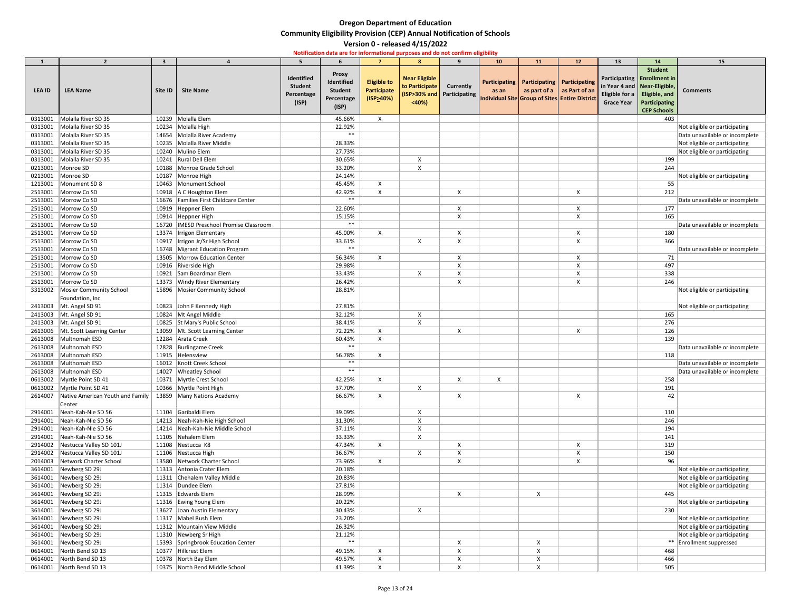|               | $\overline{2}$                   |         |                                           |                |                 |                           | 8                            | $\mathbf{q}$              | 10 <sub>1</sub>           | 11                                             | 12                                | 13                | 14                             | 15                             |
|---------------|----------------------------------|---------|-------------------------------------------|----------------|-----------------|---------------------------|------------------------------|---------------------------|---------------------------|------------------------------------------------|-----------------------------------|-------------------|--------------------------------|--------------------------------|
|               |                                  |         |                                           |                |                 |                           |                              |                           |                           |                                                |                                   |                   | <b>Student</b>                 |                                |
|               |                                  |         |                                           | Identified     | <b>Proxy</b>    |                           | <b>Near Eligible</b>         |                           |                           |                                                |                                   |                   | Participating   Enrollment in  |                                |
|               |                                  |         |                                           | <b>Student</b> | Identified      | <b>Eligible to</b>        | to Participate               | <b>Currently</b>          |                           | Participating   Participating   Participating  |                                   |                   | in Year 4 and   Near-Eligible, |                                |
| <b>LEA ID</b> | <b>LEA Name</b>                  | Site ID | <b>Site Name</b>                          | Percentage     | <b>Student</b>  | <b>Participate</b>        | (ISP>30% and   Participating |                           | as an                     |                                                | as part of $a \mid as$ Part of an | Eligible for a    | Eligible, and                  | <b>Comments</b>                |
|               |                                  |         |                                           | (ISP)          | Percentage      | $($ ISP>40%)              | < 40%                        |                           |                           | Individual Site Group of Sites Entire District |                                   | <b>Grace Year</b> | Participating                  |                                |
|               |                                  |         |                                           |                | (ISP)           |                           |                              |                           |                           |                                                |                                   |                   | <b>CEP Schools</b>             |                                |
| 0313001       | Molalla River SD 35              | 10239   | Molalla Elem                              |                | 45.66%          | $\mathsf{X}$              |                              |                           |                           |                                                |                                   |                   | 403                            |                                |
| 0313001       | Molalla River SD 35              |         | 10234 Molalla High                        |                | 22.92%          |                           |                              |                           |                           |                                                |                                   |                   |                                | Not eligible or participating  |
| 0313001       | Molalla River SD 35              |         | 14654 Molalla River Academy               |                | $***$           |                           |                              |                           |                           |                                                |                                   |                   |                                | Data unavailable or incomplete |
| 0313001       | Molalla River SD 35              |         | 10235 Molalla River Middle                |                | 28.33%          |                           |                              |                           |                           |                                                |                                   |                   |                                | Not eligible or participating  |
| 0313001       | Molalla River SD 35              |         | 10240 Mulino Elem                         |                | 27.73%          |                           |                              |                           |                           |                                                |                                   |                   |                                | Not eligible or participating  |
| 0313001       | Molalla River SD 35              |         | 10241 Rural Dell Elem                     |                | 30.65%          |                           |                              |                           |                           |                                                |                                   |                   | 199                            |                                |
| 0213001       | Monroe SD                        |         | 10188 Monroe Grade School                 |                | 33.20%          |                           |                              |                           |                           |                                                |                                   |                   | 244                            |                                |
| 0213001       | Monroe SD                        |         | 10187 Monroe High                         |                | 24.14%          |                           |                              |                           |                           |                                                |                                   |                   |                                | Not eligible or participating  |
| 1213001       | Monument SD 8                    |         | 10463 Monument School                     |                | 45.45%          | X                         |                              |                           |                           |                                                |                                   |                   | 55                             |                                |
| 2513001       | Morrow Co SD                     |         | 10918   A C Houghton Elem                 |                | 42.92%          | X                         |                              | X                         |                           |                                                |                                   |                   | 212                            |                                |
| 2513001       | Morrow Co SD                     |         | 16676   Families First Childcare Center   |                | $***$           |                           |                              |                           |                           |                                                |                                   |                   |                                | Data unavailable or incomplete |
| 2513001       | Morrow Co SD                     |         | 10919   Heppner Elem                      |                | 22.60%          |                           |                              |                           |                           |                                                |                                   |                   | 177                            |                                |
| 2513001       | Morrow Co SD                     |         | 10914   Heppner High                      |                | 15.15%          |                           |                              |                           |                           |                                                |                                   |                   | 165                            |                                |
| 2513001       | Morrow Co SD                     |         | 16720   IMESD Preschool Promise Classroom |                | $***$           |                           |                              |                           |                           |                                                |                                   |                   |                                | Data unavailable or incomplete |
| 2513001       | Morrow Co SD                     |         | 13374   Irrigon Elementary                |                | 45.00%          | X                         |                              |                           |                           |                                                |                                   |                   | 180                            |                                |
| 2513001       | Morrow Co SD                     |         | 10917   Irrigon Jr/Sr High School         |                | 33.61%          |                           |                              | X                         |                           |                                                | X                                 |                   | 366                            |                                |
| 2513001       | Morrow Co SD                     |         | 16748 Migrant Education Program           |                | $***$           |                           |                              |                           |                           |                                                |                                   |                   |                                | Data unavailable or incomplete |
| 2513001       | Morrow Co SD                     |         | 13505 Morrow Education Center             |                | 56.34%          | X                         |                              | х                         |                           |                                                |                                   |                   | 71                             |                                |
| 2513001       | Morrow Co SD                     |         | 10916 Riverside High                      |                | 29.98%          |                           |                              |                           |                           |                                                |                                   |                   | 497                            |                                |
| 2513001       | Morrow Co SD                     |         | 10921 Sam Boardman Elem                   |                | 33.43%          |                           |                              |                           |                           |                                                |                                   |                   | 338                            |                                |
| 2513001       | Morrow Co SD                     |         | 13373 Windy River Elementary              |                | 26.42%          |                           |                              |                           |                           |                                                |                                   |                   | 246                            |                                |
| 3313002       | Mosier Community School          | 15896   | Mosier Community School                   |                | 28.81%          |                           |                              |                           |                           |                                                |                                   |                   |                                | Not eligible or participating  |
|               | Foundation, Inc.                 |         |                                           |                |                 |                           |                              |                           |                           |                                                |                                   |                   |                                |                                |
| 2413003       | Mt. Angel SD 91                  |         | 10823 John F Kennedy High                 |                | 27.81%          |                           |                              |                           |                           |                                                |                                   |                   |                                | Not eligible or participating  |
|               | 2413003   Mt. Angel SD 91        |         | 10824 Mt Angel Middle                     |                | 32.12%          |                           | X                            |                           |                           |                                                |                                   |                   | 165                            |                                |
|               | 2413003   Mt. Angel SD 91        |         | 10825 St Mary's Public School             |                | 38.41%          |                           |                              |                           |                           |                                                |                                   |                   | 276                            |                                |
| 2613006       | Mt. Scott Learning Center        |         | 13059   Mt. Scott Learning Center         |                | 72.22%          | $\boldsymbol{\mathsf{X}}$ |                              | $\boldsymbol{\mathsf{X}}$ |                           |                                                | $\boldsymbol{\mathsf{X}}$         |                   | 126                            |                                |
| 2613008       | Multnomah ESD                    |         | 12284 Arata Creek                         |                | 60.43%          | $\boldsymbol{\mathsf{X}}$ |                              |                           |                           |                                                |                                   |                   | 139                            |                                |
| 2613008       | Multnomah ESD                    |         | 12828 Burlingame Creek                    |                | $***$           |                           |                              |                           |                           |                                                |                                   |                   |                                | Data unavailable or incomplete |
| 2613008       | Multnomah ESD                    |         | 11915 Helensview                          |                | 56.78%          | $\mathsf{X}$              |                              |                           |                           |                                                |                                   |                   | 118                            |                                |
| 2613008       | Multnomah ESD                    |         | 16012 Knott Creek School                  |                | $***$           |                           |                              |                           |                           |                                                |                                   |                   |                                | Data unavailable or incomplete |
| 2613008       | Multnomah ESD                    |         | 14027 Wheatley School                     |                | $***$           |                           |                              |                           |                           |                                                |                                   |                   |                                | Data unavailable or incomplete |
| 0613002       | Myrtle Point SD 41               |         | 10371 Myrtle Crest School                 |                | 42.25%          | $\mathsf{X}$              |                              | X                         | $\boldsymbol{\mathsf{x}}$ |                                                |                                   |                   | 258                            |                                |
| 0613002       | Myrtle Point SD 41               |         | 10366 Myrtle Point High                   |                | 37.70%          |                           |                              |                           |                           |                                                |                                   |                   | 191                            |                                |
| 2614007       | Native American Youth and Family |         | 13859 Many Nations Academy                |                | 66.67%          | X                         |                              | X                         |                           |                                                |                                   |                   | 42                             |                                |
|               | Center                           |         |                                           |                |                 |                           |                              |                           |                           |                                                |                                   |                   |                                |                                |
| 2914001       | Neah-Kah-Nie SD 56               |         | 11104 Garibaldi Elem                      |                | 39.09%          |                           |                              |                           |                           |                                                |                                   |                   | 110                            |                                |
| 2914001       | Neah-Kah-Nie SD 56               |         | 14213 Neah-Kah-Nie High School            |                | 31.30%          |                           |                              |                           |                           |                                                |                                   |                   | 246                            |                                |
| 2914001       | Neah-Kah-Nie SD 56               |         | 14214 Neah-Kah-Nie Middle School          |                | 37.11%          |                           |                              |                           |                           |                                                |                                   |                   | 194                            |                                |
| 2914001       | Neah-Kah-Nie SD 56               |         | 11105 Nehalem Elem                        |                | 33.33%          |                           |                              |                           |                           |                                                |                                   |                   | 141                            |                                |
| 2914002       | Nestucca Valley SD 101J          |         | 11108 Nestucca K8                         |                | 47.34%          | X                         |                              |                           |                           |                                                |                                   |                   | 319                            |                                |
| 2914002       | Nestucca Valley SD 101J          |         | 11106 Nestucca High                       |                | 36.67%          |                           | X                            |                           |                           |                                                |                                   |                   | 150                            |                                |
| 2014003       | Network Charter School           |         | 13580 Network Charter School              |                | 73.96%          | $\boldsymbol{\mathsf{X}}$ |                              |                           |                           |                                                |                                   |                   | 96                             |                                |
| 3614001       | Newberg SD 29J                   |         | 11313 Antonia Crater Elem                 |                | 20.18%          |                           |                              |                           |                           |                                                |                                   |                   |                                | Not eligible or participating  |
| 3614001       | Newberg SD 29J                   |         | 11311 Chehalem Valley Middle              |                | 20.83%          |                           |                              |                           |                           |                                                |                                   |                   |                                | Not eligible or participating  |
| 3614001       | Newberg SD 29J                   |         | 11314 Dundee Elem                         |                | 27.81%          |                           |                              |                           |                           |                                                |                                   |                   |                                | Not eligible or participating  |
| 3614001       | Newberg SD 29J                   |         | 11315 Edwards Elem                        |                | 28.99%          |                           |                              | X                         |                           | X                                              |                                   |                   | 445                            |                                |
| 3614001       | Newberg SD 29J                   |         | 11316 Ewing Young Elem                    |                | 20.22%          |                           |                              |                           |                           |                                                |                                   |                   |                                | Not eligible or participating  |
| 3614001       | Newberg SD 29J                   |         | 13627 Joan Austin Elementary              |                | 30.43%          |                           |                              |                           |                           |                                                |                                   |                   | 230                            |                                |
| 3614001       | Newberg SD 29J                   |         | 11317   Mabel Rush Elem                   |                | 23.20%          |                           |                              |                           |                           |                                                |                                   |                   |                                | Not eligible or participating  |
| 3614001       | Newberg SD 29J                   |         | 11312 Mountain View Middle                |                | 26.32%          |                           |                              |                           |                           |                                                |                                   |                   |                                | Not eligible or participating  |
| 3614001       | Newberg SD 29J                   |         | 11310 Newberg Sr High                     |                | 21.12%<br>$***$ |                           |                              |                           |                           |                                                |                                   |                   |                                | Not eligible or participating  |
| 3614001       | Newberg SD 29J                   |         | 15393 Springbrook Education Center        |                |                 |                           |                              |                           |                           |                                                |                                   |                   |                                | ** Enrollment suppressed       |
| 0614001       | North Bend SD 13                 |         | 10377 Hillcrest Elem                      |                | 49.15%          | $\boldsymbol{\mathsf{X}}$ |                              |                           |                           |                                                |                                   |                   | 468                            |                                |
| 0614001       | North Bend SD 13                 |         | 10378 North Bay Elem                      |                | 49.57%          |                           |                              |                           |                           |                                                |                                   |                   | 466                            |                                |
|               | 0614001 North Bend SD 13         |         | 10375 North Bend Middle School            |                | 41.39%          |                           |                              |                           |                           |                                                |                                   |                   | 505                            |                                |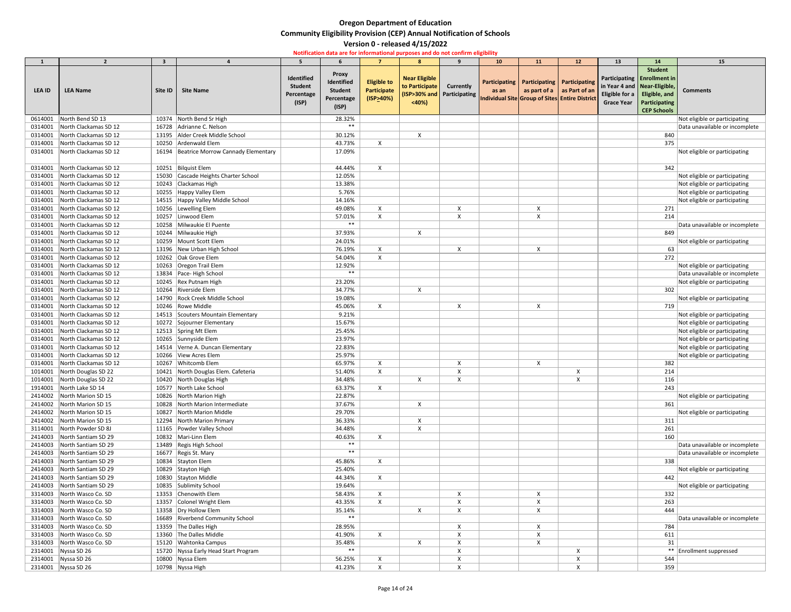|               | $\overline{2}$                | $\overline{\mathbf{3}}$ |                                          |                                                     |                                                                     |                                                   | 8                                               | $\mathbf{q}$                              |                                       |           | 12                                                                                                                | 13                                  | 14                                                                                                                                               | 15                             |
|---------------|-------------------------------|-------------------------|------------------------------------------|-----------------------------------------------------|---------------------------------------------------------------------|---------------------------------------------------|-------------------------------------------------|-------------------------------------------|---------------------------------------|-----------|-------------------------------------------------------------------------------------------------------------------|-------------------------------------|--------------------------------------------------------------------------------------------------------------------------------------------------|--------------------------------|
| <b>LEA ID</b> | <b>LEA Name</b>               | Site ID                 | <b>Site Name</b>                         | Identified<br><b>Student</b><br>Percentage<br>(ISP) | <b>Proxy</b><br>Identified<br><b>Student</b><br>Percentage<br>(ISP) | <b>Eligible to</b><br>Participate<br>$($ ISP>40%) | <b>Near Eligible</b><br>to Participate<br>< 40% | Currently<br>(ISP>30% and   Participating | 10<br><b>Participating</b>  <br>as an | <b>11</b> | Participating   Participating<br>as part of a $ $ as Part of an<br>Individual Site Group of Sites Entire District | Eligible for a<br><b>Grace Year</b> | <b>Student</b><br>Participating   Enrollment in<br>in Year 4 and   Near-Eligible,<br>Eligible, and<br><b>Participating</b><br><b>CEP Schools</b> | <b>Comments</b>                |
| 0614001       | North Bend SD 13              |                         | 10374 North Bend Sr High                 |                                                     | 28.32%                                                              |                                                   |                                                 |                                           |                                       |           |                                                                                                                   |                                     |                                                                                                                                                  | Not eligible or participating  |
| 0314001       | North Clackamas SD 12         | 16728                   | Adrianne C. Nelson                       |                                                     | $***$                                                               |                                                   |                                                 |                                           |                                       |           |                                                                                                                   |                                     |                                                                                                                                                  | Data unavailable or incomplete |
| 0314001       | North Clackamas SD 12         |                         | 13195 Alder Creek Middle School          |                                                     | 30.12%                                                              |                                                   |                                                 |                                           |                                       |           |                                                                                                                   |                                     | 840                                                                                                                                              |                                |
| 0314001       | North Clackamas SD 12         |                         | 10250 Ardenwald Elem                     |                                                     | 43.73%                                                              | X                                                 |                                                 |                                           |                                       |           |                                                                                                                   |                                     | 375                                                                                                                                              |                                |
| 0314001       | North Clackamas SD 12         |                         | 16194 Beatrice Morrow Cannady Elementary |                                                     | 17.09%                                                              |                                                   |                                                 |                                           |                                       |           |                                                                                                                   |                                     |                                                                                                                                                  | Not eligible or participating  |
| 0314001       | North Clackamas SD 12         |                         | 10251 Bilguist Elem                      |                                                     | 44.44%                                                              | X                                                 |                                                 |                                           |                                       |           |                                                                                                                   |                                     | 342                                                                                                                                              |                                |
| 0314001       | North Clackamas SD 12         |                         | 15030 Cascade Heights Charter School     |                                                     | 12.05%                                                              |                                                   |                                                 |                                           |                                       |           |                                                                                                                   |                                     |                                                                                                                                                  | Not eligible or participating  |
| 0314001       | North Clackamas SD 12         |                         | 10243 Clackamas High                     |                                                     | 13.38%                                                              |                                                   |                                                 |                                           |                                       |           |                                                                                                                   |                                     |                                                                                                                                                  | Not eligible or participating  |
| 0314001       | North Clackamas SD 12         |                         | 10255 Happy Valley Elem                  |                                                     | 5.76%                                                               |                                                   |                                                 |                                           |                                       |           |                                                                                                                   |                                     |                                                                                                                                                  | Not eligible or participating  |
|               |                               |                         |                                          |                                                     |                                                                     |                                                   |                                                 |                                           |                                       |           |                                                                                                                   |                                     |                                                                                                                                                  |                                |
| 0314001       | North Clackamas SD 12         |                         | 14515 Happy Valley Middle School         |                                                     | 14.16%                                                              |                                                   |                                                 |                                           |                                       |           |                                                                                                                   |                                     |                                                                                                                                                  | Not eligible or participating  |
| 0314001       | North Clackamas SD 12         |                         | 10256 Lewelling Elem                     |                                                     | 49.08%                                                              |                                                   |                                                 |                                           |                                       |           |                                                                                                                   |                                     | 271                                                                                                                                              |                                |
| 0314001       | North Clackamas SD 12         |                         | 10257 Linwood Elem                       |                                                     | 57.01%                                                              |                                                   |                                                 |                                           |                                       |           |                                                                                                                   |                                     | 214                                                                                                                                              |                                |
| 0314001       | North Clackamas SD 12         |                         | 10258 Milwaukie El Puente                |                                                     | $***$                                                               |                                                   |                                                 |                                           |                                       |           |                                                                                                                   |                                     |                                                                                                                                                  | Data unavailable or incomplete |
| 0314001       | North Clackamas SD 12         |                         | 10244 Milwaukie High                     |                                                     | 37.93%                                                              |                                                   |                                                 |                                           |                                       |           |                                                                                                                   |                                     | 849                                                                                                                                              |                                |
| 0314001       | North Clackamas SD 12         |                         | 10259 Mount Scott Elem                   |                                                     | 24.01%                                                              |                                                   |                                                 |                                           |                                       |           |                                                                                                                   |                                     |                                                                                                                                                  | Not eligible or participating  |
| 0314001       | North Clackamas SD 12         |                         | 13196 New Urban High School              |                                                     | 76.19%                                                              | X                                                 |                                                 |                                           |                                       |           |                                                                                                                   |                                     | 63                                                                                                                                               |                                |
| 0314001       | North Clackamas SD 12         |                         | 10262 Oak Grove Elem                     |                                                     | 54.04%                                                              |                                                   |                                                 |                                           |                                       |           |                                                                                                                   |                                     | 272                                                                                                                                              |                                |
| 0314001       | North Clackamas SD 12         |                         | 10263 Oregon Trail Elem                  |                                                     | 12.92%                                                              |                                                   |                                                 |                                           |                                       |           |                                                                                                                   |                                     |                                                                                                                                                  | Not eligible or participating  |
| 0314001       | North Clackamas SD 12         |                         | 13834   Pace- High School                |                                                     | $***$                                                               |                                                   |                                                 |                                           |                                       |           |                                                                                                                   |                                     |                                                                                                                                                  | Data unavailable or incomplete |
| 0314001       | North Clackamas SD 12         |                         | 10245   Rex Putnam High                  |                                                     | 23.20%                                                              |                                                   |                                                 |                                           |                                       |           |                                                                                                                   |                                     |                                                                                                                                                  | Not eligible or participating  |
| 0314001       | North Clackamas SD 12         |                         | 10264 Riverside Elem                     |                                                     | 34.77%                                                              |                                                   |                                                 |                                           |                                       |           |                                                                                                                   |                                     | 302                                                                                                                                              |                                |
| 0314001       | North Clackamas SD 12         |                         | 14790 Rock Creek Middle School           |                                                     | 19.08%                                                              |                                                   |                                                 |                                           |                                       |           |                                                                                                                   |                                     |                                                                                                                                                  | Not eligible or participating  |
|               |                               |                         |                                          |                                                     |                                                                     |                                                   |                                                 |                                           |                                       |           |                                                                                                                   |                                     |                                                                                                                                                  |                                |
| 0314001       | North Clackamas SD 12         |                         | 10246 Rowe Middle                        |                                                     | 45.06%                                                              |                                                   |                                                 |                                           |                                       |           |                                                                                                                   |                                     | 719                                                                                                                                              |                                |
|               | 0314001 North Clackamas SD 12 |                         | 14513 Scouters Mountain Elementary       |                                                     | 9.21%                                                               |                                                   |                                                 |                                           |                                       |           |                                                                                                                   |                                     |                                                                                                                                                  | Not eligible or participating  |
| 0314001       | North Clackamas SD 12         |                         | 10272 Sojourner Elementary               |                                                     | 15.67%                                                              |                                                   |                                                 |                                           |                                       |           |                                                                                                                   |                                     |                                                                                                                                                  | Not eligible or participating  |
| 0314001       | North Clackamas SD 12         |                         | 12513 Spring Mt Elem                     |                                                     | 25.45%                                                              |                                                   |                                                 |                                           |                                       |           |                                                                                                                   |                                     |                                                                                                                                                  | Not eligible or participating  |
| 0314001       | North Clackamas SD 12         |                         | 10265 Sunnyside Elem                     |                                                     | 23.97%                                                              |                                                   |                                                 |                                           |                                       |           |                                                                                                                   |                                     |                                                                                                                                                  | Not eligible or participating  |
| 0314001       | North Clackamas SD 12         |                         | 14514 Verne A. Duncan Elementary         |                                                     | 22.83%                                                              |                                                   |                                                 |                                           |                                       |           |                                                                                                                   |                                     |                                                                                                                                                  | Not eligible or participating  |
| 0314001       | North Clackamas SD 12         |                         | 10266 View Acres Elem                    |                                                     | 25.97%                                                              |                                                   |                                                 |                                           |                                       |           |                                                                                                                   |                                     |                                                                                                                                                  | Not eligible or participating  |
| 0314001       | North Clackamas SD 12         |                         | 10267 Whitcomb Elem                      |                                                     | 65.97%                                                              |                                                   |                                                 |                                           |                                       |           |                                                                                                                   |                                     | 382                                                                                                                                              |                                |
| 1014001       | North Douglas SD 22           |                         | 10421 North Douglas Elem. Cafeteria      |                                                     | 51.40%                                                              |                                                   |                                                 |                                           |                                       |           |                                                                                                                   |                                     | 214                                                                                                                                              |                                |
| 1014001       | North Douglas SD 22           |                         | 10420 North Douglas High                 |                                                     | 34.48%                                                              |                                                   | X                                               |                                           |                                       |           |                                                                                                                   |                                     | 116                                                                                                                                              |                                |
| 1914001       | North Lake SD 14              |                         | 10577 North Lake School                  |                                                     | 63.37%                                                              | X                                                 |                                                 |                                           |                                       |           |                                                                                                                   |                                     | 243                                                                                                                                              |                                |
| 2414002       | North Marion SD 15            |                         | 10826 North Marion High                  |                                                     | 22.87%                                                              |                                                   |                                                 |                                           |                                       |           |                                                                                                                   |                                     |                                                                                                                                                  | Not eligible or participating  |
| 2414002       | North Marion SD 15            |                         | 10828 North Marion Intermediate          |                                                     | 37.67%                                                              |                                                   | X                                               |                                           |                                       |           |                                                                                                                   |                                     | 361                                                                                                                                              |                                |
| 2414002       | North Marion SD 15            |                         | 10827 North Marion Middle                |                                                     | 29.70%                                                              |                                                   |                                                 |                                           |                                       |           |                                                                                                                   |                                     |                                                                                                                                                  | Not eligible or participating  |
| 2414002       | North Marion SD 15            |                         | 12294 North Marion Primary               |                                                     | 36.33%                                                              |                                                   |                                                 |                                           |                                       |           |                                                                                                                   |                                     | 311                                                                                                                                              |                                |
|               |                               |                         |                                          |                                                     | 34.48%                                                              |                                                   |                                                 |                                           |                                       |           |                                                                                                                   |                                     | 261                                                                                                                                              |                                |
| 3114001       | North Powder SD 8J            |                         | 11165 Powder Valley School               |                                                     |                                                                     |                                                   | X                                               |                                           |                                       |           |                                                                                                                   |                                     |                                                                                                                                                  |                                |
| 2414003       | North Santiam SD 29           |                         | 10832   Mari-Linn Elem                   |                                                     | 40.63%                                                              | X                                                 |                                                 |                                           |                                       |           |                                                                                                                   |                                     | 160                                                                                                                                              |                                |
| 2414003       | North Santiam SD 29           |                         | 13489 Regis High School                  |                                                     | $***$                                                               |                                                   |                                                 |                                           |                                       |           |                                                                                                                   |                                     |                                                                                                                                                  | Data unavailable or incomplete |
| 2414003       | North Santiam SD 29           |                         | 16677 Regis St. Mary                     |                                                     | $***$                                                               |                                                   |                                                 |                                           |                                       |           |                                                                                                                   |                                     |                                                                                                                                                  | Data unavailable or incomplete |
| 2414003       | North Santiam SD 29           |                         | 10834 Stayton Elem                       |                                                     | 45.86%                                                              |                                                   |                                                 |                                           |                                       |           |                                                                                                                   |                                     | 338                                                                                                                                              |                                |
| 2414003       | North Santiam SD 29           |                         | 10829 Stayton High                       |                                                     | 25.40%                                                              |                                                   |                                                 |                                           |                                       |           |                                                                                                                   |                                     |                                                                                                                                                  | Not eligible or participating  |
| 2414003       | North Santiam SD 29           |                         | 10830 Stayton Middle                     |                                                     | 44.34%                                                              | X                                                 |                                                 |                                           |                                       |           |                                                                                                                   |                                     | 442                                                                                                                                              |                                |
| 2414003       | North Santiam SD 29           |                         | 10835 Sublimity School                   |                                                     | 19.64%                                                              |                                                   |                                                 |                                           |                                       |           |                                                                                                                   |                                     |                                                                                                                                                  | Not eligible or participating  |
| 3314003       | North Wasco Co. SD            |                         | 13353 Chenowith Elem                     |                                                     | 58.43%                                                              |                                                   |                                                 |                                           |                                       |           |                                                                                                                   |                                     | 332                                                                                                                                              |                                |
| 3314003       | North Wasco Co. SD            |                         | 13357 Colonel Wright Elem                |                                                     | 43.35%                                                              | X                                                 |                                                 |                                           |                                       |           |                                                                                                                   |                                     | 263                                                                                                                                              |                                |
| 3314003       | North Wasco Co. SD            |                         | 13358   Dry Hollow Elem                  |                                                     | 35.14%                                                              |                                                   |                                                 |                                           |                                       |           |                                                                                                                   |                                     | 444                                                                                                                                              |                                |
| 3314003       | North Wasco Co. SD            |                         | 16689 Riverbend Community School         |                                                     | $***$                                                               |                                                   |                                                 |                                           |                                       |           |                                                                                                                   |                                     |                                                                                                                                                  | Data unavailable or incomplete |
| 3314003       | North Wasco Co. SD            |                         | 13359 The Dalles High                    |                                                     | 28.95%                                                              |                                                   |                                                 |                                           |                                       |           |                                                                                                                   |                                     | 784                                                                                                                                              |                                |
| 3314003       | North Wasco Co. SD            |                         | 13360 The Dalles Middle                  |                                                     | 41.90%                                                              | X                                                 |                                                 |                                           |                                       |           |                                                                                                                   |                                     | 611                                                                                                                                              |                                |
|               |                               |                         |                                          |                                                     |                                                                     |                                                   |                                                 |                                           |                                       |           |                                                                                                                   |                                     |                                                                                                                                                  |                                |
| 3314003       | North Wasco Co. SD            |                         | 15120 Wahtonka Campus                    |                                                     | 35.48%<br>$***$                                                     |                                                   |                                                 |                                           |                                       |           |                                                                                                                   |                                     | 31                                                                                                                                               |                                |
| 2314001       | Nyssa SD 26                   |                         | 15720 Nyssa Early Head Start Program     |                                                     |                                                                     |                                                   |                                                 |                                           |                                       |           |                                                                                                                   |                                     |                                                                                                                                                  | ** Enrollment suppressed       |
|               | 2314001 Nyssa SD 26           |                         | 10800 Nyssa Elem                         |                                                     | 56.25%                                                              |                                                   |                                                 |                                           |                                       |           |                                                                                                                   |                                     | 544                                                                                                                                              |                                |
|               | 2314001   Nyssa SD 26         |                         | 10798 Nyssa High                         |                                                     | 41.23%                                                              |                                                   |                                                 |                                           |                                       |           |                                                                                                                   |                                     | 359                                                                                                                                              |                                |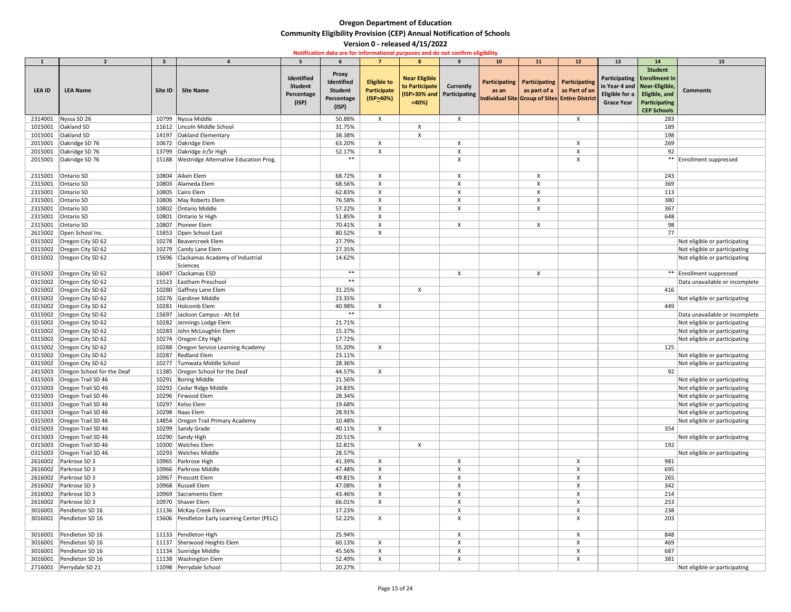|               | $\overline{2}$                     | $\overline{\mathbf{3}}$ |                                              |                                                     |                                                                     | 7                                                | 8                                                                             | $\mathbf{q}$     | 10 <sup>°</sup> | <b>11</b>                                     | 12                                                                               | 13                                  | 14                                                                                                                                               | <b>15</b>                      |
|---------------|------------------------------------|-------------------------|----------------------------------------------|-----------------------------------------------------|---------------------------------------------------------------------|--------------------------------------------------|-------------------------------------------------------------------------------|------------------|-----------------|-----------------------------------------------|----------------------------------------------------------------------------------|-------------------------------------|--------------------------------------------------------------------------------------------------------------------------------------------------|--------------------------------|
| <b>LEA ID</b> | <b>LEA Name</b>                    | Site ID                 | <b>Site Name</b>                             | Identified<br><b>Student</b><br>Percentage<br>(ISP) | <b>Proxy</b><br>Identified<br><b>Student</b><br>Percentage<br>(ISP) | <b>Eligible to</b><br>Participate<br>$(ISP_40%)$ | <b>Near Eligible</b><br>to Participate<br>(ISP>30% and Participating<br>< 40% | <b>Currently</b> | as an           | Participating   Participating   Participating | as part of a $ $ as Part of an<br>Individual Site Group of Sites Entire District | Eligible for a<br><b>Grace Year</b> | <b>Student</b><br>Participating   Enrollment in<br>in Year 4 and   Near-Eligible,<br>Eligible, and<br><b>Participating</b><br><b>CEP Schools</b> | <b>Comments</b>                |
| 2314001       | Nyssa SD 26                        | 10799                   | Nyssa Middle                                 |                                                     | 50.88%                                                              | X                                                |                                                                               | X                |                 |                                               | $\boldsymbol{\mathsf{X}}$                                                        |                                     | 283                                                                                                                                              |                                |
| 1015001       | <b>Oakland SD</b>                  | 11612                   | Lincoln Middle School                        |                                                     | 31.75%                                                              |                                                  | $\boldsymbol{\mathsf{X}}$                                                     |                  |                 |                                               |                                                                                  |                                     | 189                                                                                                                                              |                                |
| 1015001       | Oakland SD                         | 14197                   | <b>Oakland Elementary</b>                    |                                                     | 38.38%                                                              |                                                  | $\mathsf{X}$                                                                  |                  |                 |                                               |                                                                                  |                                     | 198                                                                                                                                              |                                |
| 2015001       | Oakridge SD 76                     | 10672                   | Oakridge Elem                                |                                                     | 63.20%                                                              | X                                                |                                                                               | X                |                 |                                               | X                                                                                |                                     | 269                                                                                                                                              |                                |
| 2015001       | Oakridge SD 76                     | 13799                   | Oakridge Jr/Sr High                          |                                                     | 52.17%                                                              | $\mathsf{X}$                                     |                                                                               | Χ                |                 |                                               | χ                                                                                |                                     | 92                                                                                                                                               |                                |
| 2015001       | Oakridge SD 76                     | 15188                   | <b>Westridge Alternative Education Prog.</b> |                                                     | $***$                                                               |                                                  |                                                                               | χ                |                 |                                               | Χ                                                                                |                                     |                                                                                                                                                  | ** Enrollment suppressed       |
| 2315001       | Ontario SD                         | 10804                   | Aiken Elem                                   |                                                     | 68.72%                                                              | $\pmb{\mathsf{X}}$                               |                                                                               | Χ                |                 | X                                             |                                                                                  |                                     | 243                                                                                                                                              |                                |
| 2315001       | Ontario SD                         | 10803                   | Alameda Elem                                 |                                                     | 68.56%                                                              | $\pmb{\mathsf{X}}$                               |                                                                               |                  |                 |                                               |                                                                                  |                                     | 369                                                                                                                                              |                                |
| 2315001       | Ontario SD                         |                         | 10805 Cairo Elem                             |                                                     | 62.83%                                                              | $\mathsf{X}$                                     |                                                                               | χ                |                 | X                                             |                                                                                  |                                     | 113                                                                                                                                              |                                |
| 2315001       | Ontario SD                         |                         | 10806 May Roberts Elem                       |                                                     | 76.58%                                                              | $\mathsf{X}$                                     |                                                                               | X                |                 | Χ                                             |                                                                                  |                                     | 380                                                                                                                                              |                                |
| 2315001       | Ontario SD                         |                         | 10802 Ontario Middle                         |                                                     | 57.22%                                                              | $\mathsf{X}$                                     |                                                                               | X                |                 | X                                             |                                                                                  |                                     | 367                                                                                                                                              |                                |
| 2315001       | Ontario SD                         | 10801                   | Ontario Sr High                              |                                                     | 51.85%                                                              | $\mathsf{X}$                                     |                                                                               |                  |                 |                                               |                                                                                  |                                     | 648                                                                                                                                              |                                |
| 2315001       | Ontario SD                         | 10807                   | Pioneer Elem                                 |                                                     | 70.41%                                                              | $\mathsf{X}$                                     |                                                                               | X                |                 | X                                             |                                                                                  |                                     | 98                                                                                                                                               |                                |
| 2615002       | Open School Inc.                   |                         | 15853 Open School East                       |                                                     | 80.52%                                                              | X                                                |                                                                               |                  |                 |                                               |                                                                                  |                                     | 77                                                                                                                                               |                                |
|               | 0315002 Oregon City SD 62          | 10278                   | Beavercreek Elem                             |                                                     | 27.79%                                                              |                                                  |                                                                               |                  |                 |                                               |                                                                                  |                                     |                                                                                                                                                  | Not eligible or participating  |
|               | 0315002 Oregon City SD 62          |                         | 10279 Candy Lane Elem                        |                                                     | 27.35%                                                              |                                                  |                                                                               |                  |                 |                                               |                                                                                  |                                     |                                                                                                                                                  | Not eligible or participating  |
| 0315002       | Oregon City SD 62                  | 15696                   | Clackamas Academy of Industrial<br>Sciences  |                                                     | 14.62%                                                              |                                                  |                                                                               |                  |                 |                                               |                                                                                  |                                     |                                                                                                                                                  | Not eligible or participating  |
|               | 0315002 Oregon City SD 62          | 16047                   | Clackamas ESD                                |                                                     | $***$                                                               |                                                  |                                                                               | X                |                 | X                                             |                                                                                  |                                     |                                                                                                                                                  | ** Enrollment suppressed       |
| 0315002       | Oregon City SD 62                  | 15523                   | Eastham Preschool                            |                                                     | $***$                                                               |                                                  |                                                                               |                  |                 |                                               |                                                                                  |                                     |                                                                                                                                                  | Data unavailable or incomplete |
|               | 0315002 Oregon City SD 62          | 10280                   | Gaffney Lane Elem                            |                                                     | 31.25%                                                              |                                                  | $\boldsymbol{\mathsf{X}}$                                                     |                  |                 |                                               |                                                                                  |                                     | 416                                                                                                                                              |                                |
|               | 0315002 Oregon City SD 62          |                         | 10276 Gardiner Middle                        |                                                     | 23.35%                                                              |                                                  |                                                                               |                  |                 |                                               |                                                                                  |                                     |                                                                                                                                                  | Not eligible or participating  |
|               | 0315002 Oregon City SD 62          | 10281                   | Holcomb Elem                                 |                                                     | 40.98%                                                              | X                                                |                                                                               |                  |                 |                                               |                                                                                  |                                     | 449                                                                                                                                              |                                |
|               | 0315002   Oregon City SD 62        |                         | 15697 Jackson Campus - Alt Ed                |                                                     | $***$                                                               |                                                  |                                                                               |                  |                 |                                               |                                                                                  |                                     |                                                                                                                                                  | Data unavailable or incomplete |
|               | 0315002   Oregon City SD 62        |                         | 10282 Jennings Lodge Elem                    |                                                     | 21.71%                                                              |                                                  |                                                                               |                  |                 |                                               |                                                                                  |                                     |                                                                                                                                                  | Not eligible or participating  |
|               | 0315002   Oregon City SD 62        |                         | 10283 John McLoughlin Elem                   |                                                     | 15.37%                                                              |                                                  |                                                                               |                  |                 |                                               |                                                                                  |                                     |                                                                                                                                                  | Not eligible or participating  |
|               | 0315002 Oregon City SD 62          | 10274                   | Oregon City High                             |                                                     | 17.72%                                                              |                                                  |                                                                               |                  |                 |                                               |                                                                                  |                                     |                                                                                                                                                  | Not eligible or participating  |
|               | 0315002   Oregon City SD 62        |                         | 10288 Oregon Service Learning Academy        |                                                     | 55.20%                                                              | X                                                |                                                                               |                  |                 |                                               |                                                                                  |                                     | 125                                                                                                                                              |                                |
|               | 0315002 Oregon City SD 62          |                         | 10287 Redland Elem                           |                                                     | 23.11%                                                              |                                                  |                                                                               |                  |                 |                                               |                                                                                  |                                     |                                                                                                                                                  | Not eligible or participating  |
|               | 0315002 Oregon City SD 62          |                         | 10277 Tumwata Middle School                  |                                                     | 28.36%                                                              |                                                  |                                                                               |                  |                 |                                               |                                                                                  |                                     |                                                                                                                                                  | Not eligible or participating  |
|               | 2415003 Oregon School for the Deaf |                         | 11385 Oregon School for the Deaf             |                                                     | 44.57%                                                              | $\mathsf{X}$                                     |                                                                               |                  |                 |                                               |                                                                                  |                                     | 92                                                                                                                                               |                                |
|               | 0315003 Oregon Trail SD 46         |                         | 10291 Boring Middle                          |                                                     | 21.56%                                                              |                                                  |                                                                               |                  |                 |                                               |                                                                                  |                                     |                                                                                                                                                  | Not eligible or participating  |
|               | 0315003 Oregon Trail SD 46         |                         | 10292 Cedar Ridge Middle                     |                                                     | 24.83%                                                              |                                                  |                                                                               |                  |                 |                                               |                                                                                  |                                     |                                                                                                                                                  | Not eligible or participating  |
|               | 0315003 Oregon Trail SD 46         |                         | 10296 Firwood Elem                           |                                                     | 28.34%                                                              |                                                  |                                                                               |                  |                 |                                               |                                                                                  |                                     |                                                                                                                                                  | Not eligible or participating  |
|               | 0315003 Oregon Trail SD 46         |                         | 10297 Kelso Elem                             |                                                     | 19.68%                                                              |                                                  |                                                                               |                  |                 |                                               |                                                                                  |                                     |                                                                                                                                                  | Not eligible or participating  |
|               | 0315003 Oregon Trail SD 46         |                         | 10298 Naas Elem                              |                                                     | 28.91%                                                              |                                                  |                                                                               |                  |                 |                                               |                                                                                  |                                     |                                                                                                                                                  | Not eligible or participating  |
|               | 0315003   Oregon Trail SD 46       |                         | 14854 Oregon Trail Primary Academy           |                                                     | 10.48%                                                              |                                                  |                                                                               |                  |                 |                                               |                                                                                  |                                     |                                                                                                                                                  | Not eligible or participating  |
|               | 0315003 Oregon Trail SD 46         |                         | 10299 Sandy Grade                            |                                                     | 40.11%                                                              | X                                                |                                                                               |                  |                 |                                               |                                                                                  |                                     | 354                                                                                                                                              |                                |
|               | 0315003 Oregon Trail SD 46         |                         | 10290 Sandy High                             |                                                     | 20.51%                                                              |                                                  |                                                                               |                  |                 |                                               |                                                                                  |                                     |                                                                                                                                                  | Not eligible or participating  |
|               | 0315003 Oregon Trail SD 46         |                         | 10300 Welches Elem                           |                                                     | 32.81%                                                              |                                                  | $\boldsymbol{\mathsf{X}}$                                                     |                  |                 |                                               |                                                                                  |                                     | 192                                                                                                                                              |                                |
|               | 0315003   Oregon Trail SD 46       |                         | 10293 Welches Middle                         |                                                     | 28.57%                                                              |                                                  |                                                                               |                  |                 |                                               |                                                                                  |                                     |                                                                                                                                                  | Not eligible or participating  |
|               | 2616002 Parkrose SD 3              |                         | 10965 Parkrose High                          |                                                     | 41.39%                                                              | X                                                |                                                                               | χ                |                 |                                               | X                                                                                |                                     | 981                                                                                                                                              |                                |
|               | 2616002 Parkrose SD 3              |                         | 10966   Parkrose Middle                      |                                                     | 47.48%                                                              | $\boldsymbol{\mathsf{X}}$                        |                                                                               | χ                |                 |                                               | ᄉ                                                                                |                                     | 695                                                                                                                                              |                                |
|               | 2616002 Parkrose SD 3              | 10967                   | Prescott Elem                                |                                                     | 49.81%                                                              | $\mathsf{X}$                                     |                                                                               | χ                |                 |                                               | X                                                                                |                                     | 265                                                                                                                                              |                                |
|               | 2616002 Parkrose SD 3              |                         | 10968 Russell Elem                           |                                                     | 47.08%                                                              | Χ                                                |                                                                               | X                |                 |                                               | Χ                                                                                |                                     | 342                                                                                                                                              |                                |
|               | 2616002   Parkrose SD 3            |                         | 10969 Sacramento Elem                        |                                                     | 43.46%                                                              | X                                                |                                                                               | X                |                 |                                               | X                                                                                |                                     | 214                                                                                                                                              |                                |
|               | 2616002 Parkrose SD 3              |                         | 10970 Shaver Elem                            |                                                     | 66.01%                                                              | $\mathsf{X}$                                     |                                                                               | χ                |                 |                                               | X                                                                                |                                     | 253                                                                                                                                              |                                |
|               | 3016001 Pendleton SD 16            |                         | 11136 McKay Creek Elem                       |                                                     | 17.23%                                                              |                                                  |                                                                               | X                |                 |                                               | X                                                                                |                                     | 238                                                                                                                                              |                                |
| 3016001       | Pendleton SD 16                    |                         | 15606 Pendleton Early Learning Center (PELC) |                                                     | 52.22%                                                              | X                                                |                                                                               | X                |                 |                                               | X                                                                                |                                     | 203                                                                                                                                              |                                |
| 3016001       | Pendleton SD 16                    |                         | 11133 Pendleton High                         |                                                     | 25.94%                                                              |                                                  |                                                                               | X                |                 |                                               | X                                                                                |                                     | 848                                                                                                                                              |                                |
| 3016001       | Pendleton SD 16                    |                         | 11137 Sherwood Heights Elem                  |                                                     | 60.13%                                                              | Χ                                                |                                                                               |                  |                 |                                               |                                                                                  |                                     | 469                                                                                                                                              |                                |
| 3016001       | Pendleton SD 16                    |                         | 11134 Sunridge Middle                        |                                                     | 45.56%                                                              | $\mathsf{X}$                                     |                                                                               | X                |                 |                                               | X                                                                                |                                     | 687                                                                                                                                              |                                |
| 3016001       | Pendleton SD 16                    |                         | 11138   Washington Elem                      |                                                     | 52.49%                                                              | $\mathsf{X}$                                     |                                                                               | X                |                 |                                               | Х                                                                                |                                     | 381                                                                                                                                              |                                |
|               | 2716001 Perrydale SD 21            |                         | 11098 Perrydale School                       |                                                     | 20.27%                                                              |                                                  |                                                                               |                  |                 |                                               |                                                                                  |                                     |                                                                                                                                                  | Not eligible or participating  |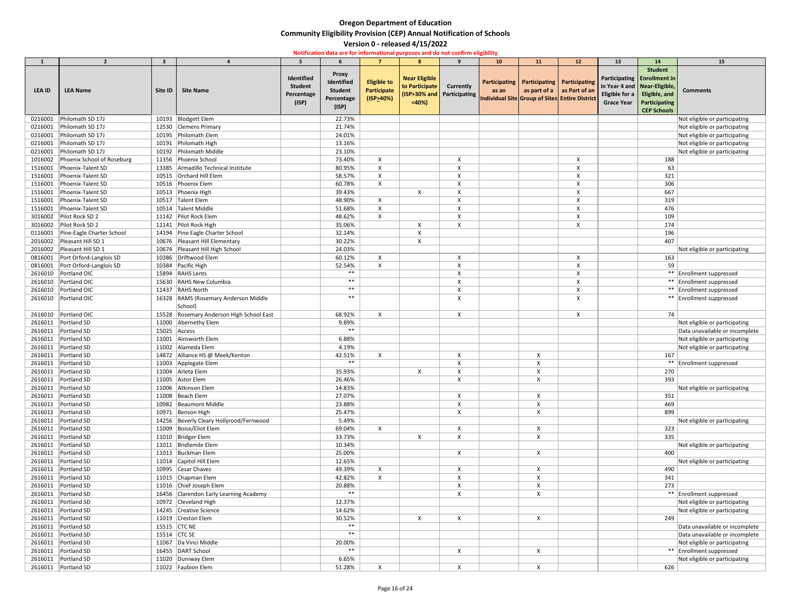|               | $\overline{\phantom{a}}$   | $\overline{\mathbf{3}}$ |                                          |                                                     |                                                                     | $\overline{7}$                                 | 8                                               | $\mathbf{q}$                                   | <b>10</b>                | <b>11</b>                                                                                                     | 12 | 13                                  | 14                                                                                                                                               | <b>15</b>                      |
|---------------|----------------------------|-------------------------|------------------------------------------|-----------------------------------------------------|---------------------------------------------------------------------|------------------------------------------------|-------------------------------------------------|------------------------------------------------|--------------------------|---------------------------------------------------------------------------------------------------------------|----|-------------------------------------|--------------------------------------------------------------------------------------------------------------------------------------------------|--------------------------------|
| <b>LEA ID</b> | <b>LEA Name</b>            | Site ID                 | <b>Site Name</b>                         | Identified<br><b>Student</b><br>Percentage<br>(ISP) | <b>Proxy</b><br>Identified<br><b>Student</b><br>Percentage<br>(ISP) | <b>Eligible to</b><br>Participate<br>(ISP>40%) | <b>Near Eligible</b><br>to Participate<br>< 40% | <b>Currently</b><br>(ISP>30% and Participating | Participating  <br>as an | Participating   Participating<br>as part of a as Part of an<br>Individual Site Group of Sites Entire District |    | Eligible for a<br><b>Grace Year</b> | <b>Student</b><br>Participating   Enrollment in<br>in Year 4 and   Near-Eligible,<br>Eligible, and<br><b>Participating</b><br><b>CEP Schools</b> | <b>Comments</b>                |
| 0216001       | Philomath SD 17J           | 10193                   | Blodgett Elem                            |                                                     | 22.73%                                                              |                                                |                                                 |                                                |                          |                                                                                                               |    |                                     |                                                                                                                                                  | Not eligible or participating  |
| 0216001       | Philomath SD 17J           | 12530                   | Clemens Primary                          |                                                     | 21.74%                                                              |                                                |                                                 |                                                |                          |                                                                                                               |    |                                     |                                                                                                                                                  | Not eligible or participating  |
| 0216001       | Philomath SD 17J           |                         | 10195 Philomath Elem                     |                                                     | 24.01%                                                              |                                                |                                                 |                                                |                          |                                                                                                               |    |                                     |                                                                                                                                                  | Not eligible or participating  |
| 0216001       | Philomath SD 17J           |                         | 10191 Philomath High                     |                                                     | 13.16%                                                              |                                                |                                                 |                                                |                          |                                                                                                               |    |                                     |                                                                                                                                                  | Not eligible or participating  |
| 0216001       | Philomath SD 17J           |                         | 10192 Philomath Middle                   |                                                     | 23.10%                                                              |                                                |                                                 |                                                |                          |                                                                                                               |    |                                     |                                                                                                                                                  | Not eligible or participating  |
| 1016002       | Phoenix School of Roseburg |                         | 11356 Phoenix School                     |                                                     | 73.40%                                                              | X                                              |                                                 | X                                              |                          |                                                                                                               | X  |                                     | 188                                                                                                                                              |                                |
| 1516001       | Phoenix-Talent SD          |                         | 13385 Armadillo Technical Institute      |                                                     | 80.95%                                                              | X                                              |                                                 |                                                |                          |                                                                                                               |    |                                     | 63                                                                                                                                               |                                |
| 1516001       | Phoenix-Talent SD          |                         | 10515 Orchard Hill Elem                  |                                                     | 58.57%                                                              | X                                              |                                                 |                                                |                          |                                                                                                               |    |                                     | 321                                                                                                                                              |                                |
| 1516001       | Phoenix-Talent SD          |                         | 10516 Phoenix Elem                       |                                                     | 60.78%                                                              | $\boldsymbol{\mathsf{X}}$                      |                                                 |                                                |                          |                                                                                                               |    |                                     | 306                                                                                                                                              |                                |
| 1516001       | Phoenix-Talent SD          |                         | 10513 Phoenix High                       |                                                     | 39.43%                                                              |                                                | X                                               |                                                |                          |                                                                                                               |    |                                     | 667                                                                                                                                              |                                |
| 1516001       | Phoenix-Talent SD          |                         | 10517 Talent Elem                        |                                                     | 48.90%                                                              | X                                              |                                                 |                                                |                          |                                                                                                               |    |                                     | 319                                                                                                                                              |                                |
| 1516001       | Phoenix-Talent SD          |                         | 10514 Talent Middle                      |                                                     | 51.68%                                                              | X                                              |                                                 |                                                |                          |                                                                                                               |    |                                     | 476                                                                                                                                              |                                |
| 3016002       | Pilot Rock SD 2            |                         | 11142 Pilot Rock Elem                    |                                                     | 48.62%                                                              | X                                              |                                                 |                                                |                          |                                                                                                               |    |                                     | 109                                                                                                                                              |                                |
| 3016002       | Pilot Rock SD 2            |                         | 11141 Pilot Rock High                    |                                                     | 35.06%                                                              |                                                |                                                 |                                                |                          |                                                                                                               |    |                                     | 174                                                                                                                                              |                                |
| 0116001       | Pine-Eagle Charter School  |                         | 14194 Pine Eagle Charter School          |                                                     | 32.14%                                                              |                                                |                                                 |                                                |                          |                                                                                                               |    |                                     | 196                                                                                                                                              |                                |
| 2016002       | Pleasant Hill SD 1         |                         | 10676 Pleasant Hill Elementary           |                                                     | 30.22%                                                              |                                                | X                                               |                                                |                          |                                                                                                               |    |                                     | 407                                                                                                                                              |                                |
| 2016002       | Pleasant Hill SD 1         |                         | 10674 Pleasant Hill High School          |                                                     | 24.03%                                                              |                                                |                                                 |                                                |                          |                                                                                                               |    |                                     |                                                                                                                                                  | Not eligible or participating  |
| 0816001       | Port Orford-Langlois SD    | 10386                   | Driftwood Elem                           |                                                     | 60.12%                                                              | X                                              |                                                 |                                                |                          |                                                                                                               |    |                                     | 163                                                                                                                                              |                                |
| 0816001       | Port Orford-Langlois SD    | 10384                   | Pacific High                             |                                                     | 52.54%                                                              | X                                              |                                                 | X                                              |                          |                                                                                                               |    |                                     | 59                                                                                                                                               |                                |
| 2616010       | Portland OIC               |                         | 15894 RAHS Lents                         |                                                     | $***$                                                               |                                                |                                                 |                                                |                          |                                                                                                               |    |                                     |                                                                                                                                                  | ** Enrollment suppressed       |
| 2616010       | Portland OIC               | 15630                   | <b>RAHS New Columbia</b>                 |                                                     | $***$                                                               |                                                |                                                 |                                                |                          |                                                                                                               |    |                                     |                                                                                                                                                  | **   Enrollment suppressed     |
| 2616010       | Portland OIC               | 11437                   | <b>RAHS North</b>                        |                                                     | $***$                                                               |                                                |                                                 |                                                |                          |                                                                                                               |    |                                     |                                                                                                                                                  | ** Enrollment suppressed       |
| 2616010       | Portland OIC               | 16328                   | <b>RAMS (Rosemary Anderson Middle</b>    |                                                     | $***$                                                               |                                                |                                                 |                                                |                          |                                                                                                               |    |                                     |                                                                                                                                                  | ** Enrollment suppressed       |
|               |                            |                         | School)                                  |                                                     |                                                                     |                                                |                                                 |                                                |                          |                                                                                                               |    |                                     |                                                                                                                                                  |                                |
|               | 2616010 Portland OIC       |                         | 15528 Rosemary Anderson High School East |                                                     | 68.92%                                                              |                                                |                                                 | X                                              |                          |                                                                                                               | X  |                                     | 74                                                                                                                                               |                                |
|               | 2616011 Portland SD        |                         | 11000 Abernethy Elem                     |                                                     | 9.89%                                                               |                                                |                                                 |                                                |                          |                                                                                                               |    |                                     |                                                                                                                                                  | Not eligible or participating  |
| 2616011       | Portland SD                |                         | $15025$ Access                           |                                                     | $***$                                                               |                                                |                                                 |                                                |                          |                                                                                                               |    |                                     |                                                                                                                                                  | Data unavailable or incomplete |
| 2616011       | Portland SD                |                         | 11001 Ainsworth Elem                     |                                                     | 6.88%                                                               |                                                |                                                 |                                                |                          |                                                                                                               |    |                                     |                                                                                                                                                  | Not eligible or participating  |
| 2616011       | Portland SD                |                         | 11002 Alameda Elem                       |                                                     | 4.19%                                                               |                                                |                                                 |                                                |                          |                                                                                                               |    |                                     |                                                                                                                                                  | Not eligible or participating  |
| 2616011       | Portland SD                |                         | 14872 Alliance HS @ Meek/Kenton          |                                                     | 42.51%                                                              | X                                              |                                                 |                                                |                          |                                                                                                               |    |                                     | 167                                                                                                                                              |                                |
| 2616011       | Portland SD                |                         | 11003 Applegate Elem                     |                                                     | $***$                                                               |                                                |                                                 |                                                |                          |                                                                                                               |    |                                     |                                                                                                                                                  | ** Enrollment suppressed       |
| 2616011       | Portland SD                |                         | 11004 Arleta Elem                        |                                                     | 35.93%                                                              |                                                | X                                               |                                                |                          |                                                                                                               |    |                                     | 270                                                                                                                                              |                                |
| 2616011       | Portland SD                |                         | 11005 Astor Elem                         |                                                     | 26.46%                                                              |                                                |                                                 | X                                              |                          | X                                                                                                             |    |                                     | 393                                                                                                                                              |                                |
| 2616011       | Portland SD                | 11006                   | Atkinson Elem                            |                                                     | 14.83%                                                              |                                                |                                                 |                                                |                          |                                                                                                               |    |                                     |                                                                                                                                                  | Not eligible or participating  |
| 2616011       | <b>Portland SD</b>         |                         | 11008 Beach Elem                         |                                                     | 27.07%                                                              |                                                |                                                 | $\boldsymbol{\mathsf{X}}$                      |                          | Χ                                                                                                             |    |                                     | 351                                                                                                                                              |                                |
| 2616011       | Portland SD                |                         | 10982 Beaumont Middle                    |                                                     | 23.88%                                                              |                                                |                                                 |                                                |                          |                                                                                                               |    |                                     | 469                                                                                                                                              |                                |
| 2616011       | Portland SD                |                         | 10971 Benson High                        |                                                     | 25.47%                                                              |                                                |                                                 | X                                              |                          | X                                                                                                             |    |                                     | 899                                                                                                                                              |                                |
| 2616011       | Portland SD                |                         | 14256 Beverly Cleary Hollyrood/Fernwood  |                                                     | 5.49%                                                               |                                                |                                                 |                                                |                          |                                                                                                               |    |                                     |                                                                                                                                                  | Not eligible or participating  |
| 2616011       | Portland SD                |                         | 11009 Boise/Eliot Elem                   |                                                     | 69.04%                                                              | X                                              |                                                 | X                                              |                          | X                                                                                                             |    |                                     | 323                                                                                                                                              |                                |
| 2616011       | Portland SD                |                         | 11010   Bridger Elem                     |                                                     | 33.73%                                                              |                                                | X                                               | X                                              |                          |                                                                                                               |    |                                     | 335                                                                                                                                              |                                |
| 2616011       | Portland SD                |                         | 11011   Bridlemile Elem                  |                                                     | 10.34%                                                              |                                                |                                                 |                                                |                          |                                                                                                               |    |                                     |                                                                                                                                                  | Not eligible or participating  |
| 2616011       | Portland SD                |                         | 11013 Buckman Elem                       |                                                     | 25.00%                                                              |                                                |                                                 | $\boldsymbol{\mathsf{X}}$                      |                          | $\pmb{\mathsf{X}}$                                                                                            |    |                                     | 400                                                                                                                                              |                                |
| 2616011       | Portland SD                |                         | 11014 Capitol Hill Elem                  |                                                     | 12.65%                                                              |                                                |                                                 |                                                |                          |                                                                                                               |    |                                     |                                                                                                                                                  | Not eligible or participating  |
| 2616011       | Portland SD                |                         | 10995 Cesar Chavez                       |                                                     | 49.39%                                                              | X                                              |                                                 | X                                              |                          | X                                                                                                             |    |                                     | 490                                                                                                                                              |                                |
| 2616011       | Portland SD                |                         | 11015 Chapman Elem                       |                                                     | 42.82%                                                              | X                                              |                                                 |                                                |                          |                                                                                                               |    |                                     | 341                                                                                                                                              |                                |
| 2616011       | Portland SD                |                         | 11016 Chief Joseph Elem                  |                                                     | 20.88%                                                              |                                                |                                                 |                                                |                          |                                                                                                               |    |                                     | 273                                                                                                                                              |                                |
| 2616011       | Portland SD                |                         | 16456 Clarendon Early Learning Academy   |                                                     | $***$                                                               |                                                |                                                 | X                                              |                          | X                                                                                                             |    |                                     |                                                                                                                                                  | ** Enrollment suppressed       |
| 2616011       | Portland SD                |                         | 10972 Cleveland High                     |                                                     | 12.37%                                                              |                                                |                                                 |                                                |                          |                                                                                                               |    |                                     |                                                                                                                                                  | Not eligible or participating  |
| 2616011       | Portland SD                |                         | 14245 Creative Science                   |                                                     | 14.62%                                                              |                                                |                                                 |                                                |                          |                                                                                                               |    |                                     |                                                                                                                                                  | Not eligible or participating  |
| 2616011       | Portland SD                |                         | 11019 Creston Elem                       |                                                     | 30.52%                                                              |                                                |                                                 | X                                              |                          | X                                                                                                             |    |                                     | 249                                                                                                                                              |                                |
| 2616011       | Portland SD                |                         | 15515 CTC NE                             |                                                     | $***$                                                               |                                                |                                                 |                                                |                          |                                                                                                               |    |                                     |                                                                                                                                                  | Data unavailable or incomplete |
| 2616011       | Portland SD                |                         | 15514 $\vert$ CTC SE                     |                                                     | $***$                                                               |                                                |                                                 |                                                |                          |                                                                                                               |    |                                     |                                                                                                                                                  | Data unavailable or incomplete |
| 2616011       | Portland SD                |                         | 11067   Da Vinci Middle                  |                                                     | 20.00%                                                              |                                                |                                                 |                                                |                          |                                                                                                               |    |                                     |                                                                                                                                                  | Not eligible or participating  |
| 2616011       | Portland SD                |                         | 16455   DART School                      |                                                     | $***$                                                               |                                                |                                                 | X                                              |                          | X                                                                                                             |    |                                     |                                                                                                                                                  | ** Enrollment suppressed       |
|               | 2616011 Portland SD        |                         | 11020 Duniway Elem                       |                                                     | 6.65%                                                               |                                                |                                                 |                                                |                          |                                                                                                               |    |                                     |                                                                                                                                                  | Not eligible or participating  |
|               | 2616011 Portland SD        |                         | 11022   Faubion Elem                     |                                                     | 51.28%                                                              | X                                              |                                                 | X                                              |                          | X                                                                                                             |    |                                     | 626                                                                                                                                              |                                |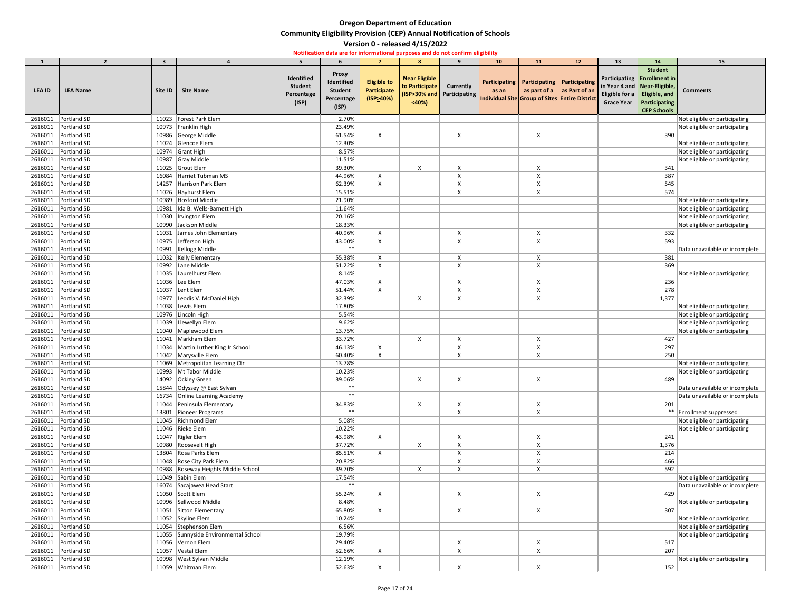| $\mathbf{1}$  | $\overline{2}$                     | $\overline{\mathbf{3}}$ |                                                     |                                                     |                                                              | $\overline{7}$                                           | 8                                               | $\mathbf{q}$                                   | <b>10</b>                | <b>11</b>                     | 12                                                                           | 13                                         | 14                                                                                                                                               | <b>15</b>                      |
|---------------|------------------------------------|-------------------------|-----------------------------------------------------|-----------------------------------------------------|--------------------------------------------------------------|----------------------------------------------------------|-------------------------------------------------|------------------------------------------------|--------------------------|-------------------------------|------------------------------------------------------------------------------|--------------------------------------------|--------------------------------------------------------------------------------------------------------------------------------------------------|--------------------------------|
| <b>LEA ID</b> | <b>LEA Name</b>                    | Site ID                 | <b>Site Name</b>                                    | Identified<br><b>Student</b><br>Percentage<br>(ISP) | Proxy<br>Identified<br><b>Student</b><br>Percentage<br>(ISP) | <b>Eligible to</b><br>Participate<br>$($ ISP $\geq$ 40%) | <b>Near Eligible</b><br>to Participate<br>< 40% | <b>Currently</b><br>(ISP>30% and Participating | Participating  <br>as an | Participating   Participating | as part of a as Part of an<br>Individual Site Group of Sites Entire District | <b>Eligible for a</b><br><b>Grace Year</b> | <b>Student</b><br>Participating   Enrollment in<br>in Year 4 and   Near-Eligible,<br>Eligible, and<br><b>Participating</b><br><b>CEP Schools</b> | <b>Comments</b>                |
| 2616011       | Portland SD                        | 11023                   | Forest Park Elem                                    |                                                     | 2.70%                                                        |                                                          |                                                 |                                                |                          |                               |                                                                              |                                            |                                                                                                                                                  | Not eligible or participating  |
| 2616011       | Portland SD                        | 10973                   | Franklin High                                       |                                                     | 23.49%                                                       |                                                          |                                                 |                                                |                          |                               |                                                                              |                                            |                                                                                                                                                  | Not eligible or participating  |
| 2616011       | Portland SD                        | 10986                   | George Middle                                       |                                                     | 61.54%                                                       | $\pmb{\mathsf{X}}$                                       |                                                 | $\boldsymbol{\mathsf{X}}$                      |                          | $\boldsymbol{\mathsf{X}}$     |                                                                              |                                            | 390                                                                                                                                              |                                |
| 2616011       | Portland SD                        | 11024                   | Glencoe Elem                                        |                                                     | 12.30%                                                       |                                                          |                                                 |                                                |                          |                               |                                                                              |                                            |                                                                                                                                                  | Not eligible or participating  |
| 2616011       | Portland SD                        | 10974                   | Grant High                                          |                                                     | 8.57%                                                        |                                                          |                                                 |                                                |                          |                               |                                                                              |                                            |                                                                                                                                                  | Not eligible or participating  |
| 2616011       | Portland SD                        | 10987                   | Gray Middle                                         |                                                     | 11.51%                                                       |                                                          |                                                 |                                                |                          |                               |                                                                              |                                            |                                                                                                                                                  | Not eligible or participating  |
| 2616011       | Portland SD                        | 11025                   | Grout Elem                                          |                                                     | 39.30%                                                       |                                                          | $\boldsymbol{\mathsf{X}}$                       | X                                              |                          | X                             |                                                                              |                                            | 341                                                                                                                                              |                                |
| 2616011       | Portland SD                        | 16084                   | Harriet Tubman MS                                   |                                                     | 44.96%                                                       | $\pmb{\mathsf{X}}$                                       |                                                 |                                                |                          |                               |                                                                              |                                            | 387                                                                                                                                              |                                |
| 2616011       | Portland SD                        | 14257                   | Harrison Park Elem                                  |                                                     | 62.39%                                                       | $\pmb{\mathsf{X}}$                                       |                                                 |                                                |                          |                               |                                                                              |                                            | 545                                                                                                                                              |                                |
| 2616011       | Portland SD                        | 11026                   | Hayhurst Elem                                       |                                                     | 15.51%                                                       |                                                          |                                                 | X                                              |                          | X                             |                                                                              |                                            | 574                                                                                                                                              |                                |
| 2616011       | Portland SD                        | 10989                   | <b>Hosford Middle</b>                               |                                                     | 21.90%                                                       |                                                          |                                                 |                                                |                          |                               |                                                                              |                                            |                                                                                                                                                  | Not eligible or participating  |
| 2616011       | Portland SD                        | 10981                   | Ida B. Wells-Barnett High                           |                                                     | 11.64%                                                       |                                                          |                                                 |                                                |                          |                               |                                                                              |                                            |                                                                                                                                                  | Not eligible or participating  |
| 2616011       | Portland SD                        | 11030                   | Irvington Elem                                      |                                                     | 20.16%                                                       |                                                          |                                                 |                                                |                          |                               |                                                                              |                                            |                                                                                                                                                  | Not eligible or participating  |
| 2616011       | Portland SD                        | 10990                   | Jackson Middle                                      |                                                     | 18.33%                                                       |                                                          |                                                 |                                                |                          |                               |                                                                              |                                            |                                                                                                                                                  | Not eligible or participating  |
| 2616011       | Portland SD                        | 11031                   | James John Elementary                               |                                                     | 40.96%                                                       | $\pmb{\mathsf{X}}$                                       |                                                 | X                                              |                          | X                             |                                                                              |                                            | 332                                                                                                                                              |                                |
| 2616011       | Portland SD                        | 10975                   | Jefferson High                                      |                                                     | 43.00%                                                       | $\pmb{\mathsf{X}}$                                       |                                                 | X                                              |                          | X                             |                                                                              |                                            | 593                                                                                                                                              |                                |
| 2616011       | Portland SD                        | 10991                   | Kellogg Middle                                      |                                                     | $***$                                                        |                                                          |                                                 |                                                |                          |                               |                                                                              |                                            |                                                                                                                                                  | Data unavailable or incomplete |
| 2616011       | Portland SD                        | 11032                   | Kelly Elementary                                    |                                                     | 55.38%                                                       | X                                                        |                                                 | X                                              |                          | X                             |                                                                              |                                            | 381                                                                                                                                              |                                |
| 2616011       | Portland SD                        | 10992                   | Lane Middle                                         |                                                     | 51.22%                                                       | $\pmb{\mathsf{X}}$                                       |                                                 | X                                              |                          | Χ                             |                                                                              |                                            | 369                                                                                                                                              |                                |
| 2616011       | Portland SD                        | 11035                   | Laurelhurst Elem                                    |                                                     | 8.14%                                                        |                                                          |                                                 |                                                |                          |                               |                                                                              |                                            |                                                                                                                                                  | Not eligible or participating  |
| 2616011       | Portland SD                        | 11036                   | Lee Elem                                            |                                                     | 47.03%                                                       | $\pmb{\mathsf{X}}$                                       |                                                 |                                                |                          |                               |                                                                              |                                            | 236                                                                                                                                              |                                |
| 2616011       | Portland SD                        | 11037                   | Lent Elem                                           |                                                     | 51.44%                                                       | $\pmb{\mathsf{X}}$                                       |                                                 | $\boldsymbol{\mathsf{X}}$                      |                          |                               |                                                                              |                                            | 278                                                                                                                                              |                                |
| 2616011       | Portland SD                        | 10977                   | Leodis V. McDaniel High                             |                                                     | 32.39%                                                       |                                                          | X                                               | X                                              |                          | X                             |                                                                              |                                            | 1,377                                                                                                                                            |                                |
| 2616011       | Portland SD                        | 11038                   | Lewis Elem                                          |                                                     | 17.80%                                                       |                                                          |                                                 |                                                |                          |                               |                                                                              |                                            |                                                                                                                                                  | Not eligible or participating  |
|               | 2616011 Portland SD                |                         | 10976 Lincoln High                                  |                                                     | 5.54%                                                        |                                                          |                                                 |                                                |                          |                               |                                                                              |                                            |                                                                                                                                                  | Not eligible or participating  |
| 2616011       | Portland SD                        |                         | 11039 Llewellyn Elem                                |                                                     | 9.62%                                                        |                                                          |                                                 |                                                |                          |                               |                                                                              |                                            |                                                                                                                                                  | Not eligible or participating  |
| 2616011       | Portland SD                        | 11040                   | Maplewood Elem                                      |                                                     | 13.75%                                                       |                                                          |                                                 |                                                |                          |                               |                                                                              |                                            |                                                                                                                                                  | Not eligible or participating  |
| 2616011       | Portland SD                        | 11041                   | Markham Elem                                        |                                                     | 33.72%                                                       |                                                          | X                                               | χ                                              |                          | Χ                             |                                                                              |                                            | 427                                                                                                                                              |                                |
| 2616011       | Portland SD                        | 11034                   | Martin Luther King Jr School                        |                                                     | 46.13%                                                       | $\pmb{\mathsf{X}}$                                       |                                                 | Χ                                              |                          |                               |                                                                              |                                            | 297                                                                                                                                              |                                |
| 2616011       | Portland SD                        |                         | 11042 Marysville Elem                               |                                                     | 60.40%                                                       | X                                                        |                                                 | X                                              |                          | X                             |                                                                              |                                            | 250                                                                                                                                              |                                |
| 2616011       | Portland SD                        |                         | 11069 Metropolitan Learning Ctr                     |                                                     | 13.78%                                                       |                                                          |                                                 |                                                |                          |                               |                                                                              |                                            |                                                                                                                                                  | Not eligible or participating  |
| 2616011       | Portland SD                        | 10993                   | Mt Tabor Middle                                     |                                                     | 10.23%                                                       |                                                          |                                                 |                                                |                          |                               |                                                                              |                                            |                                                                                                                                                  | Not eligible or participating  |
| 2616011       | Portland SD                        | 14092                   | Ockley Green                                        |                                                     | 39.06%<br>$***$                                              |                                                          | X                                               | X                                              |                          | X                             |                                                                              |                                            | 489                                                                                                                                              |                                |
| 2616011       | Portland SD                        | 15844                   | Odyssey @ East Sylvan                               |                                                     | $***$                                                        |                                                          |                                                 |                                                |                          |                               |                                                                              |                                            |                                                                                                                                                  | Data unavailable or incomplete |
| 2616011       | Portland SD                        | 16734                   | <b>Online Learning Academy</b>                      |                                                     |                                                              |                                                          |                                                 |                                                |                          |                               |                                                                              |                                            |                                                                                                                                                  | Data unavailable or incomplete |
| 2616011       | Portland SD                        | 11044                   | Peninsula Elementary                                |                                                     | 34.83%<br>$***$                                              |                                                          | $\mathsf{X}$                                    | X                                              |                          | X                             |                                                                              |                                            | 201                                                                                                                                              |                                |
| 2616011       | Portland SD                        | 13801                   | Pioneer Programs                                    |                                                     |                                                              |                                                          |                                                 | X                                              |                          | X                             |                                                                              |                                            |                                                                                                                                                  | ** Enrollment suppressed       |
| 2616011       | Portland SD                        |                         | 11045 Richmond Elem                                 |                                                     | 5.08%                                                        |                                                          |                                                 |                                                |                          |                               |                                                                              |                                            |                                                                                                                                                  | Not eligible or participating  |
| 2616011       | Portland SD                        |                         | 11046 Rieke Elem                                    |                                                     | 10.22%                                                       |                                                          |                                                 |                                                |                          |                               |                                                                              |                                            |                                                                                                                                                  | Not eligible or participating  |
| 2616011       | Portland SD                        | 11047                   | Rigler Elem                                         |                                                     | 43.98%                                                       | $\sf X$                                                  |                                                 | X                                              |                          |                               |                                                                              |                                            | 241                                                                                                                                              |                                |
| 2616011       | Portland SD                        | 10980                   | Roosevelt High                                      |                                                     | 37.72%                                                       |                                                          | $\pmb{\times}$                                  |                                                |                          | ⋏                             |                                                                              |                                            | 1,376                                                                                                                                            |                                |
| 2616011       | Portland SD                        | 13804                   | Rosa Parks Elem                                     |                                                     | 85.51%                                                       | $\mathsf{X}$                                             |                                                 | X                                              |                          | X                             |                                                                              |                                            | 214                                                                                                                                              |                                |
| 2616011       | Portland SD                        |                         | 11048 Rose City Park Elem                           |                                                     | 20.82%                                                       |                                                          |                                                 | X                                              |                          | X                             |                                                                              |                                            | 466                                                                                                                                              |                                |
| 2616011       | Portland SD                        | 10988                   | Roseway Heights Middle School                       |                                                     | 39.70%                                                       |                                                          | X                                               | X                                              |                          | X                             |                                                                              |                                            | 592                                                                                                                                              |                                |
| 2616011       | Portland SD                        |                         | 11049 Sabin Elem                                    |                                                     | 17.54%<br>$***$                                              |                                                          |                                                 |                                                |                          |                               |                                                                              |                                            |                                                                                                                                                  | Not eligible or participating  |
| 2616011       | Portland SD                        |                         | 16074 Sacajawea Head Start                          |                                                     |                                                              |                                                          |                                                 |                                                |                          |                               |                                                                              |                                            |                                                                                                                                                  | Data unavailable or incomplete |
| 2616011       | Portland SD                        |                         | 11050 Scott Elem                                    |                                                     | 55.24%                                                       | $\sf X$                                                  |                                                 | X                                              |                          | $\sf X$                       |                                                                              |                                            | 429                                                                                                                                              |                                |
| 2616011       | Portland SD                        |                         | 10996 Sellwood Middle                               |                                                     | 8.48%                                                        |                                                          |                                                 |                                                |                          |                               |                                                                              |                                            |                                                                                                                                                  | Not eligible or participating  |
| 2616011       | Portland SD                        | 11051                   | Sitton Elementary                                   |                                                     | 65.80%                                                       | X                                                        |                                                 | X                                              |                          | X                             |                                                                              |                                            | 307                                                                                                                                              |                                |
| 2616011       | Portland SD                        |                         | 11052 Skyline Elem                                  |                                                     | 10.24%                                                       |                                                          |                                                 |                                                |                          |                               |                                                                              |                                            |                                                                                                                                                  | Not eligible or participating  |
| 2616011       | Portland SD                        |                         | 11054 Stephenson Elem                               |                                                     | 6.56%                                                        |                                                          |                                                 |                                                |                          |                               |                                                                              |                                            |                                                                                                                                                  | Not eligible or participating  |
| 2616011       | Portland SD<br>Portland SD         |                         | 11055 Sunnyside Environmental School<br>Vernon Elem |                                                     | 19.79%                                                       |                                                          |                                                 |                                                |                          |                               |                                                                              |                                            | 517                                                                                                                                              | Not eligible or participating  |
| 2616011       |                                    | 11056                   | Vestal Elem                                         |                                                     | 29.40%<br>52.66%                                             |                                                          |                                                 |                                                |                          |                               |                                                                              |                                            | 207                                                                                                                                              |                                |
| 2616011       | Portland SD                        | 11057                   |                                                     |                                                     |                                                              | X                                                        |                                                 | X                                              |                          | X                             |                                                                              |                                            |                                                                                                                                                  |                                |
| 2616011       | Portland SD<br>2616011 Portland SD | 10998                   | <b>West Sylvan Middle</b><br>11059   Whitman Elem   |                                                     | 12.19%<br>52.63%                                             |                                                          |                                                 |                                                |                          |                               |                                                                              |                                            | 152                                                                                                                                              | Not eligible or participating  |
|               |                                    |                         |                                                     |                                                     |                                                              | X                                                        |                                                 | X                                              |                          | X                             |                                                                              |                                            |                                                                                                                                                  |                                |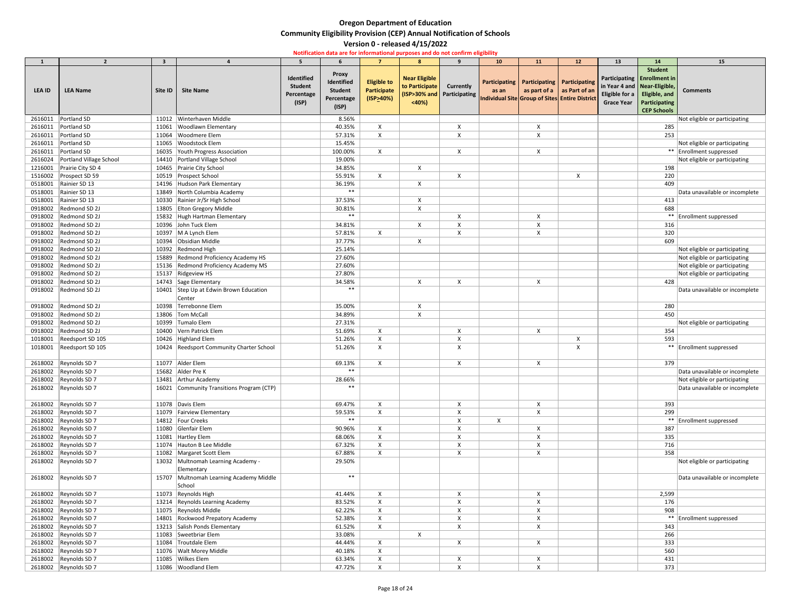|               | $\overline{\phantom{a}}$   | $\overline{\mathbf{3}}$ |                                                   |                                                     |                                                                     |                                                       | 8                                               | $\mathbf{q}$                                     | 10 <sup>°</sup> | <b>11</b>                                     | 12                                                                               | 13                                  | 14                                                                                                                                                      | 15                             |
|---------------|----------------------------|-------------------------|---------------------------------------------------|-----------------------------------------------------|---------------------------------------------------------------------|-------------------------------------------------------|-------------------------------------------------|--------------------------------------------------|-----------------|-----------------------------------------------|----------------------------------------------------------------------------------|-------------------------------------|---------------------------------------------------------------------------------------------------------------------------------------------------------|--------------------------------|
| <b>LEA ID</b> | <b>LEA Name</b>            | Site ID                 | <b>Site Name</b>                                  | Identified<br><b>Student</b><br>Percentage<br>(ISP) | <b>Proxy</b><br>Identified<br><b>Student</b><br>Percentage<br>(ISP) | <b>Eligible to</b><br><b>Participate</b><br>(ISP>40%) | <b>Near Eligible</b><br>to Participate<br>< 40% | <b>Currently</b><br>(ISP>30% and   Participating | as an           | Participating   Participating   Participating | as part of a $ $ as Part of an<br>Individual Site Group of Sites Entire District | Eligible for a<br><b>Grace Year</b> | <b>Student</b><br>Participating   Enrollment in<br>in Year 4 and   Near-Eligible,<br><b>Eligible, and</b><br><b>Participating</b><br><b>CEP Schools</b> | <b>Comments</b>                |
| 2616011       | Portland SD                |                         | 11012 Winterhaven Middle                          |                                                     | 8.56%                                                               |                                                       |                                                 |                                                  |                 |                                               |                                                                                  |                                     |                                                                                                                                                         | Not eligible or participating  |
| 2616011       | Portland SD                | 11061                   | <b>Woodlawn Elementary</b>                        |                                                     | 40.35%                                                              | X                                                     |                                                 |                                                  |                 |                                               |                                                                                  |                                     | 285                                                                                                                                                     |                                |
| 2616011       | Portland SD                | 11064                   | <b>Woodmere Elem</b>                              |                                                     | 57.31%                                                              | X                                                     |                                                 |                                                  |                 |                                               |                                                                                  |                                     | 253                                                                                                                                                     |                                |
| 2616011       | Portland SD                |                         | 11065 Woodstock Elem                              |                                                     | 15.45%                                                              |                                                       |                                                 |                                                  |                 |                                               |                                                                                  |                                     |                                                                                                                                                         | Not eligible or participating  |
| 2616011       | Portland SD                | 16035                   | Youth Progress Association                        |                                                     | 100.00%                                                             | $\boldsymbol{\mathsf{X}}$                             |                                                 | $\boldsymbol{\mathsf{X}}$                        |                 | $\boldsymbol{\mathsf{X}}$                     |                                                                                  |                                     |                                                                                                                                                         | ** Enrollment suppressed       |
| 2616024       | Portland Village School    |                         | 14410   Portland Village School                   |                                                     | 19.00%                                                              |                                                       |                                                 |                                                  |                 |                                               |                                                                                  |                                     |                                                                                                                                                         | Not eligible or participating  |
| 1216001       | Prairie City SD 4          |                         | 10465 Prairie City School                         |                                                     | 34.85%                                                              |                                                       | X                                               |                                                  |                 |                                               |                                                                                  |                                     | 198                                                                                                                                                     |                                |
| 1516002       | Prospect SD 59             |                         | 10519 Prospect School                             |                                                     | 55.91%                                                              | $\boldsymbol{\mathsf{X}}$                             |                                                 |                                                  |                 |                                               |                                                                                  |                                     | 220                                                                                                                                                     |                                |
| 0518001       | Rainier SD 13              |                         | 14196 Hudson Park Elementary                      |                                                     | 36.19%                                                              |                                                       |                                                 |                                                  |                 |                                               |                                                                                  |                                     | 409                                                                                                                                                     |                                |
| 0518001       | Rainier SD 13              |                         | 13849 North Columbia Academy                      |                                                     | $***$                                                               |                                                       |                                                 |                                                  |                 |                                               |                                                                                  |                                     |                                                                                                                                                         | Data unavailable or incomplete |
| 0518001       | Rainier SD 13              |                         | 10330 Rainier Jr/Sr High School                   |                                                     | 37.53%                                                              |                                                       |                                                 |                                                  |                 |                                               |                                                                                  |                                     | 413                                                                                                                                                     |                                |
| 0918002       | Redmond SD 2J              |                         | 13805 Elton Gregory Middle                        |                                                     | 30.81%                                                              |                                                       |                                                 |                                                  |                 |                                               |                                                                                  |                                     | 688                                                                                                                                                     |                                |
| 0918002       | Redmond SD 2J              |                         | 15832 Hugh Hartman Elementary                     |                                                     | $***$                                                               |                                                       |                                                 |                                                  |                 |                                               |                                                                                  |                                     |                                                                                                                                                         | **   Enrollment suppressed     |
| 0918002       | Redmond SD 2J              |                         | 10396 John Tuck Elem                              |                                                     | 34.81%                                                              |                                                       | $\boldsymbol{\mathsf{x}}$                       |                                                  |                 |                                               |                                                                                  |                                     | 316                                                                                                                                                     |                                |
| 0918002       | Redmond SD 2J              |                         | 10397   M A Lynch Elem                            |                                                     | 57.81%                                                              | X                                                     |                                                 |                                                  |                 |                                               |                                                                                  |                                     | 320                                                                                                                                                     |                                |
| 0918002       | Redmond SD 2J              |                         | 10394 Obsidian Middle                             |                                                     | 37.77%                                                              |                                                       | X                                               |                                                  |                 |                                               |                                                                                  |                                     | 609                                                                                                                                                     |                                |
| 0918002       | Redmond SD 2J              |                         | 10392 Redmond High                                |                                                     | 25.14%                                                              |                                                       |                                                 |                                                  |                 |                                               |                                                                                  |                                     |                                                                                                                                                         | Not eligible or participating  |
| 0918002       | Redmond SD 2J              |                         | 15889 Redmond Proficiency Academy HS              |                                                     | 27.60%                                                              |                                                       |                                                 |                                                  |                 |                                               |                                                                                  |                                     |                                                                                                                                                         | Not eligible or participating  |
| 0918002       | Redmond SD 2J              |                         | 15136 Redmond Proficiency Academy MS              |                                                     | 27.60%                                                              |                                                       |                                                 |                                                  |                 |                                               |                                                                                  |                                     |                                                                                                                                                         | Not eligible or participating  |
| 0918002       | Redmond SD 2J              |                         | 15137 Ridgeview HS                                |                                                     | 27.80%                                                              |                                                       |                                                 |                                                  |                 |                                               |                                                                                  |                                     |                                                                                                                                                         | Not eligible or participating  |
| 0918002       | Redmond SD 2J              |                         | 14743 Sage Elementary                             |                                                     | 34.58%                                                              |                                                       |                                                 |                                                  |                 |                                               |                                                                                  |                                     | 428                                                                                                                                                     |                                |
| 0918002       | Redmond SD 2J              |                         | 10401 Step Up at Edwin Brown Education            |                                                     | $***$                                                               |                                                       |                                                 |                                                  |                 |                                               |                                                                                  |                                     |                                                                                                                                                         | Data unavailable or incomplete |
|               |                            |                         | Center                                            |                                                     |                                                                     |                                                       |                                                 |                                                  |                 |                                               |                                                                                  |                                     |                                                                                                                                                         |                                |
|               | Redmond SD 2J              |                         | Terrebonne Elem                                   |                                                     |                                                                     |                                                       |                                                 |                                                  |                 |                                               |                                                                                  |                                     |                                                                                                                                                         |                                |
| 0918002       | 0918002 Redmond SD 2J      | 10398                   |                                                   |                                                     | 35.00%                                                              |                                                       |                                                 |                                                  |                 |                                               |                                                                                  |                                     | 280                                                                                                                                                     |                                |
|               |                            |                         | 13806   Tom McCall                                |                                                     | 34.89%                                                              |                                                       |                                                 |                                                  |                 |                                               |                                                                                  |                                     | 450                                                                                                                                                     |                                |
|               | 0918002   Redmond SD 2J    |                         | 10399 Tumalo Elem                                 |                                                     | 27.31%                                                              |                                                       |                                                 |                                                  |                 |                                               |                                                                                  |                                     |                                                                                                                                                         | Not eligible or participating  |
|               | 0918002   Redmond SD 2J    |                         | 10400 Vern Patrick Elem                           |                                                     | 51.69%                                                              | X                                                     |                                                 |                                                  |                 | X                                             |                                                                                  |                                     | 354                                                                                                                                                     |                                |
|               | 1018001 Reedsport SD 105   |                         | 10426 Highland Elem                               |                                                     | 51.26%                                                              | X                                                     |                                                 |                                                  |                 |                                               | $\boldsymbol{\mathsf{X}}$                                                        |                                     | 593                                                                                                                                                     |                                |
|               | 1018001   Reedsport SD 105 |                         | 10424 Reedsport Community Charter School          |                                                     | 51.26%                                                              | X                                                     |                                                 |                                                  |                 |                                               |                                                                                  |                                     |                                                                                                                                                         | ** Enrollment suppressed       |
|               | 2618002 Reynolds SD 7      |                         | 11077 Alder Elem                                  |                                                     | 69.13%                                                              | X                                                     |                                                 | X                                                |                 | X                                             |                                                                                  |                                     | 379                                                                                                                                                     |                                |
|               | 2618002 Reynolds SD 7      |                         | 15682 Alder Pre K                                 |                                                     | $***$                                                               |                                                       |                                                 |                                                  |                 |                                               |                                                                                  |                                     |                                                                                                                                                         | Data unavailable or incomplete |
|               | 2618002 Reynolds SD 7      |                         | 13481 Arthur Academy                              |                                                     | 28.66%                                                              |                                                       |                                                 |                                                  |                 |                                               |                                                                                  |                                     |                                                                                                                                                         | Not eligible or participating  |
|               | 2618002   Reynolds SD 7    |                         | 16021 Community Transitions Program (CTP)         |                                                     | $***$                                                               |                                                       |                                                 |                                                  |                 |                                               |                                                                                  |                                     |                                                                                                                                                         | Data unavailable or incomplete |
|               | 2618002 Reynolds SD 7      |                         | 11078 Davis Elem                                  |                                                     | 69.47%                                                              | X                                                     |                                                 | X                                                |                 | X                                             |                                                                                  |                                     | 393                                                                                                                                                     |                                |
|               | 2618002 Reynolds SD 7      |                         | 11079 Fairview Elementary                         |                                                     | 59.53%                                                              | $\boldsymbol{\mathsf{X}}$                             |                                                 | X                                                |                 | X                                             |                                                                                  |                                     | 299                                                                                                                                                     |                                |
|               | 2618002 Reynolds SD 7      |                         | 14812   Four Creeks                               |                                                     | $***$                                                               |                                                       |                                                 |                                                  | X               |                                               |                                                                                  |                                     |                                                                                                                                                         | ** Enrollment suppressed       |
|               | 2618002   Reynolds SD 7    |                         | 11080 Glenfair Elem                               |                                                     | 90.96%                                                              | X                                                     |                                                 |                                                  |                 | X                                             |                                                                                  |                                     | 387                                                                                                                                                     |                                |
|               | 2618002 Reynolds SD 7      |                         | 11081 Hartley Elem                                |                                                     | 68.06%                                                              | $\boldsymbol{\mathsf{X}}$                             |                                                 | $\boldsymbol{\mathsf{X}}$                        |                 | X                                             |                                                                                  |                                     | 335                                                                                                                                                     |                                |
|               | 2618002   Reynolds SD 7    |                         | 11074 Hauton B Lee Middle                         |                                                     | 67.32%                                                              |                                                       |                                                 |                                                  |                 |                                               |                                                                                  |                                     | 716                                                                                                                                                     |                                |
|               | 2618002   Reynolds SD 7    |                         | 11082   Margaret Scott Elem                       |                                                     | 67.88%                                                              | X                                                     |                                                 | X                                                |                 | X                                             |                                                                                  |                                     | 358                                                                                                                                                     |                                |
|               | 2618002 Reynolds SD 7      |                         | 13032 Multnomah Learning Academy -<br>Elementary  |                                                     | 29.50%                                                              |                                                       |                                                 |                                                  |                 |                                               |                                                                                  |                                     |                                                                                                                                                         | Not eligible or participating  |
|               | 2618002 Reynolds SD 7      |                         | 15707 Multnomah Learning Academy Middle<br>School |                                                     | $***$                                                               |                                                       |                                                 |                                                  |                 |                                               |                                                                                  |                                     |                                                                                                                                                         | Data unavailable or incomplete |
|               | 2618002   Reynolds SD 7    |                         | 11073 Reynolds High                               |                                                     | 41.44%                                                              | X                                                     |                                                 | X                                                |                 | X                                             |                                                                                  |                                     | 2,599                                                                                                                                                   |                                |
|               | 2618002 Reynolds SD 7      |                         | 13214 Reynolds Learning Academy                   |                                                     | 83.52%                                                              | X                                                     |                                                 |                                                  |                 | X                                             |                                                                                  |                                     | 176                                                                                                                                                     |                                |
|               | 2618002 Reynolds SD 7      |                         | 11075 Reynolds Middle                             |                                                     | 62.22%                                                              | $\boldsymbol{\mathsf{X}}$                             |                                                 |                                                  |                 |                                               |                                                                                  |                                     | 908                                                                                                                                                     |                                |
|               | 2618002   Reynolds SD 7    |                         | 14801 Rockwood Prepatory Academy                  |                                                     | 52.38%                                                              | X                                                     |                                                 |                                                  |                 |                                               |                                                                                  |                                     |                                                                                                                                                         | ** Enrollment suppressed       |
|               | 2618002 Reynolds SD 7      |                         | 13213 Salish Ponds Elementary                     |                                                     | 61.52%                                                              | X                                                     |                                                 | X                                                |                 |                                               |                                                                                  |                                     | 343                                                                                                                                                     |                                |
|               | 2618002 Reynolds SD 7      |                         | 11083 Sweetbriar Elem                             |                                                     | 33.08%                                                              |                                                       | $\boldsymbol{\mathsf{X}}$                       |                                                  |                 |                                               |                                                                                  |                                     | 266                                                                                                                                                     |                                |
|               | 2618002 Reynolds SD 7      |                         | 11084 Troutdale Elem                              |                                                     | 44.44%                                                              | X                                                     |                                                 |                                                  |                 | X                                             |                                                                                  |                                     | 333                                                                                                                                                     |                                |
|               | 2618002 Reynolds SD 7      |                         | 11076   Walt Morey Middle                         |                                                     | 40.18%                                                              | X                                                     |                                                 |                                                  |                 |                                               |                                                                                  |                                     | 560                                                                                                                                                     |                                |
|               | 2618002 Reynolds SD 7      |                         | 11085 Wilkes Elem                                 |                                                     | 63.34%                                                              | $\boldsymbol{\mathsf{X}}$                             |                                                 | $\boldsymbol{\mathsf{x}}$                        |                 | X                                             |                                                                                  |                                     | 431                                                                                                                                                     |                                |
|               | 2618002   Reynolds SD 7    |                         | 11086 Woodland Elem                               |                                                     | 47.72%                                                              | X                                                     |                                                 | X                                                |                 | X                                             |                                                                                  |                                     | 373                                                                                                                                                     |                                |
|               |                            |                         |                                                   |                                                     |                                                                     |                                                       |                                                 |                                                  |                 |                                               |                                                                                  |                                     |                                                                                                                                                         |                                |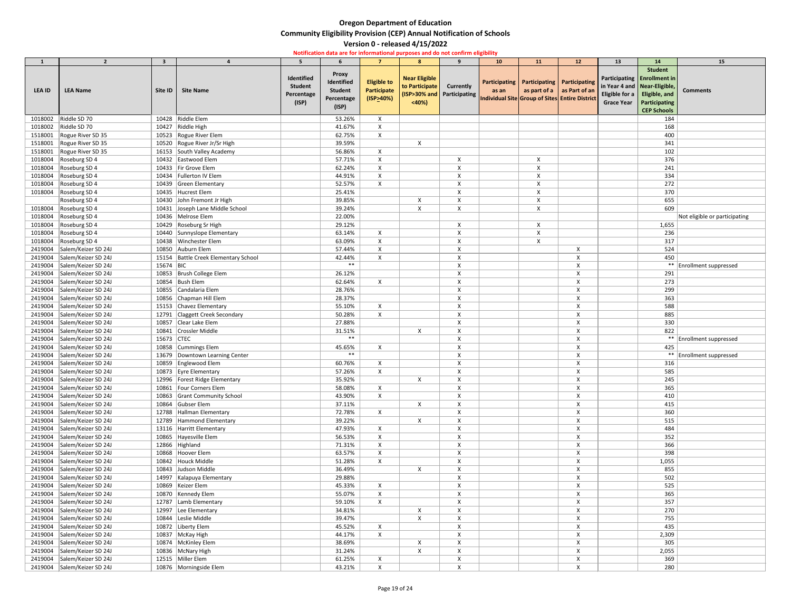| $\begin{array}{ c c c }\hline & 1 \\ \hline \end{array}$<br>LEA ID | $\overline{2}$<br><b>LEA Name</b> | -3<br>Site ID | <b>Site Name</b>                     | Identified<br><b>Student</b><br>Percentage<br>(ISP) | <b>Proxy</b><br>Identified<br><b>Student</b><br>Percentage | $\overline{7}$<br><b>Eligible to</b><br>Participate<br>$($ ISP>40%) | 8 <sup>°</sup><br><b>Near Eligible</b><br>to Participate<br>< 40% | 9<br><b>Currently</b><br>(ISP>30% and Participating | 10<br>as an | 11<br>Participating   Participating   Participating<br>Individual Site Group of Sites Entire District | 12<br>as part of a $\vert$ as Part of an | 13<br>in Year 4 and   Near-Eligible,<br>Eligible for a<br><b>Grace Year</b> | 14<br><b>Student</b><br>Participating   Enrollment in<br>Eligible, and<br>Participating | 15<br><b>Comments</b>         |
|--------------------------------------------------------------------|-----------------------------------|---------------|--------------------------------------|-----------------------------------------------------|------------------------------------------------------------|---------------------------------------------------------------------|-------------------------------------------------------------------|-----------------------------------------------------|-------------|-------------------------------------------------------------------------------------------------------|------------------------------------------|-----------------------------------------------------------------------------|-----------------------------------------------------------------------------------------|-------------------------------|
|                                                                    |                                   |               |                                      |                                                     | (ISP)                                                      |                                                                     |                                                                   |                                                     |             |                                                                                                       |                                          |                                                                             | <b>CEP Schools</b>                                                                      |                               |
| 1018002                                                            | Riddle SD 70                      |               | 10428 Riddle Elem                    |                                                     | 53.26%                                                     | $\mathsf{X}$                                                        |                                                                   |                                                     |             |                                                                                                       |                                          |                                                                             | 184                                                                                     |                               |
| 1018002                                                            | Riddle SD 70                      |               | 10427 Riddle High                    |                                                     | 41.67%                                                     | $\boldsymbol{\mathsf{X}}$                                           |                                                                   |                                                     |             |                                                                                                       |                                          |                                                                             | 168                                                                                     |                               |
| 1518001                                                            | Rogue River SD 35                 |               | 10523 Rogue River Elem               |                                                     | 62.75%                                                     | $\boldsymbol{\mathsf{X}}$                                           |                                                                   |                                                     |             |                                                                                                       |                                          |                                                                             | 400                                                                                     |                               |
| 1518001                                                            | Rogue River SD 35                 |               | 10520 Rogue River Jr/Sr High         |                                                     | 39.59%                                                     |                                                                     | $\boldsymbol{\mathsf{X}}$                                         |                                                     |             |                                                                                                       |                                          |                                                                             | 341                                                                                     |                               |
| 1518001                                                            | Rogue River SD 35                 |               | 16153 South Valley Academy           |                                                     | 56.86%                                                     | $\mathsf{X}$                                                        |                                                                   |                                                     |             |                                                                                                       |                                          |                                                                             | 102                                                                                     |                               |
| 1018004                                                            | Roseburg SD 4                     |               | 10432 Eastwood Elem                  |                                                     | 57.71%                                                     | $\boldsymbol{\mathsf{X}}$                                           |                                                                   | X                                                   |             | X                                                                                                     |                                          |                                                                             | 376                                                                                     |                               |
| 1018004                                                            | Roseburg SD 4                     |               | 10433 Fir Grove Elem                 |                                                     | 62.24%                                                     | X                                                                   |                                                                   | $\times$                                            |             |                                                                                                       |                                          |                                                                             | 241                                                                                     |                               |
| 1018004                                                            | Roseburg SD 4                     |               | 10434 Fullerton IV Elem              |                                                     | 44.91%                                                     | $\boldsymbol{\mathsf{X}}$                                           |                                                                   | X                                                   |             | X                                                                                                     |                                          |                                                                             | 334                                                                                     |                               |
| 1018004                                                            | Roseburg SD 4                     |               | 10439 Green Elementary               |                                                     | 52.57%                                                     | $\mathsf{X}$                                                        |                                                                   |                                                     |             |                                                                                                       |                                          |                                                                             | 272                                                                                     |                               |
| 1018004                                                            | Roseburg SD 4                     |               | 10435 Hucrest Elem                   |                                                     | 25.41%                                                     |                                                                     |                                                                   | X                                                   |             |                                                                                                       |                                          |                                                                             | 370                                                                                     |                               |
|                                                                    | Roseburg SD 4                     |               | 10430 John Fremont Jr High           |                                                     | 39.85%                                                     |                                                                     |                                                                   |                                                     |             |                                                                                                       |                                          |                                                                             | 655                                                                                     |                               |
| 1018004                                                            | Roseburg SD 4                     |               | 10431 Joseph Lane Middle School      |                                                     | 39.24%                                                     |                                                                     | X                                                                 | $\boldsymbol{\mathsf{x}}$                           |             | X                                                                                                     |                                          |                                                                             | 609                                                                                     |                               |
| 1018004                                                            | Roseburg SD 4                     |               | 10436 Melrose Elem                   |                                                     | 22.00%                                                     |                                                                     |                                                                   |                                                     |             |                                                                                                       |                                          |                                                                             |                                                                                         | Not eligible or participating |
| 1018004                                                            | Roseburg SD 4                     |               | 10429 Roseburg Sr High               |                                                     | 29.12%                                                     |                                                                     |                                                                   | X                                                   |             | X                                                                                                     |                                          |                                                                             | 1,655                                                                                   |                               |
| 1018004                                                            | Roseburg SD 4                     |               | 10440 Sunnyslope Elementary          |                                                     | 63.14%                                                     | X                                                                   |                                                                   |                                                     |             |                                                                                                       |                                          |                                                                             | 236                                                                                     |                               |
| 1018004                                                            | Roseburg SD 4                     |               | 10438 Winchester Elem                |                                                     | 63.09%                                                     | $\boldsymbol{\mathsf{X}}$                                           |                                                                   | $\boldsymbol{\mathsf{X}}$                           |             | X                                                                                                     |                                          |                                                                             | 317                                                                                     |                               |
| 2419004                                                            | Salem/Keizer SD 24J               |               | 10850 Auburn Elem                    |                                                     | 57.44%                                                     | $\boldsymbol{\mathsf{X}}$                                           |                                                                   |                                                     |             |                                                                                                       |                                          |                                                                             | 524                                                                                     |                               |
| 2419004                                                            | Salem/Keizer SD 24J               |               | 15154 Battle Creek Elementary School |                                                     | 42.44%                                                     | X                                                                   |                                                                   | X                                                   |             |                                                                                                       |                                          |                                                                             | 450                                                                                     |                               |
| 2419004                                                            | Salem/Keizer SD 24J               | 15674 BIC     |                                      |                                                     | $***$                                                      |                                                                     |                                                                   | $\boldsymbol{\mathsf{X}}$                           |             |                                                                                                       | X                                        |                                                                             |                                                                                         | ** Enrollment suppressed      |
| 2419004                                                            | Salem/Keizer SD 24J               |               | 10853 Brush College Elem             |                                                     | 26.12%                                                     |                                                                     |                                                                   |                                                     |             |                                                                                                       |                                          |                                                                             | 291                                                                                     |                               |
| 2419004                                                            | Salem/Keizer SD 24J               |               | 10854 Bush Elem                      |                                                     | 62.64%                                                     | $\mathsf{X}$                                                        |                                                                   | X                                                   |             |                                                                                                       |                                          |                                                                             | 273                                                                                     |                               |
| 2419004                                                            | Salem/Keizer SD 24J               |               | 10855 Candalaria Elem                |                                                     | 28.76%                                                     |                                                                     |                                                                   | X                                                   |             |                                                                                                       | X                                        |                                                                             | 299                                                                                     |                               |
| 2419004                                                            | Salem/Keizer SD 24J               |               | 10856 Chapman Hill Elem              |                                                     | 28.37%                                                     |                                                                     |                                                                   |                                                     |             |                                                                                                       |                                          |                                                                             | 363                                                                                     |                               |
| 2419004                                                            | Salem/Keizer SD 24J               |               | 15153 Chavez Elementary              |                                                     | 55.10%                                                     | X                                                                   |                                                                   | X                                                   |             |                                                                                                       |                                          |                                                                             | 588                                                                                     |                               |
|                                                                    | 2419004 Salem/Keizer SD 24J       |               | 12791 Claggett Creek Secondary       |                                                     | 50.28%                                                     |                                                                     |                                                                   |                                                     |             |                                                                                                       |                                          |                                                                             | 885                                                                                     |                               |
| 2419004                                                            | Salem/Keizer SD 24J               |               | 10857 Clear Lake Elem                |                                                     | 27.88%                                                     |                                                                     |                                                                   |                                                     |             |                                                                                                       |                                          |                                                                             | 330                                                                                     |                               |
| 2419004                                                            | Salem/Keizer SD 24J               |               | 10841 Crossler Middle                |                                                     | 31.51%                                                     |                                                                     | X                                                                 | X                                                   |             |                                                                                                       |                                          |                                                                             | 822                                                                                     |                               |
| 2419004                                                            | Salem/Keizer SD 24J               | 15673 CTEC    |                                      |                                                     | $***$                                                      |                                                                     |                                                                   | $\boldsymbol{\mathsf{x}}$                           |             |                                                                                                       |                                          |                                                                             |                                                                                         | ** Enrollment suppressed      |
| 2419004                                                            | Salem/Keizer SD 24J               |               | 10858 Cummings Elem                  |                                                     | 45.65%                                                     | X                                                                   |                                                                   |                                                     |             |                                                                                                       |                                          |                                                                             | 425                                                                                     |                               |
| 2419004                                                            | Salem/Keizer SD 24J               |               | 13679 Downtown Learning Center       |                                                     | $***$                                                      |                                                                     |                                                                   |                                                     |             |                                                                                                       |                                          |                                                                             |                                                                                         | ** Enrollment suppressed      |
| 2419004                                                            | Salem/Keizer SD 24J               |               | 10859 Englewood Elem                 |                                                     | 60.76%                                                     | X                                                                   |                                                                   | $\boldsymbol{\mathsf{x}}$                           |             |                                                                                                       |                                          |                                                                             | 316                                                                                     |                               |
| 2419004                                                            | Salem/Keizer SD 24J               |               | 10873 Eyre Elementary                |                                                     | 57.26%                                                     | X                                                                   |                                                                   | X                                                   |             |                                                                                                       |                                          |                                                                             | 585                                                                                     |                               |
| 2419004                                                            | Salem/Keizer SD 24J               |               | 12996   Forest Ridge Elementary      |                                                     | 35.92%                                                     |                                                                     | X                                                                 | X                                                   |             |                                                                                                       |                                          |                                                                             | 245                                                                                     |                               |
| 2419004                                                            | Salem/Keizer SD 24J               |               | 10861 Four Corners Elem              |                                                     | 58.08%                                                     | $\mathsf{X}$                                                        |                                                                   | $\boldsymbol{\mathsf{x}}$                           |             |                                                                                                       |                                          |                                                                             | 365                                                                                     |                               |
| 2419004                                                            | Salem/Keizer SD 24J               |               | 10863 Grant Community School         |                                                     | 43.90%                                                     | $\boldsymbol{\mathsf{X}}$                                           |                                                                   |                                                     |             |                                                                                                       |                                          |                                                                             | 410                                                                                     |                               |
| 2419004                                                            | Salem/Keizer SD 24J               |               | 10864 Gubser Elem                    |                                                     | 37.11%                                                     |                                                                     | X                                                                 |                                                     |             |                                                                                                       |                                          |                                                                             | 415                                                                                     |                               |
| 2419004                                                            | Salem/Keizer SD 24J               |               | 12788 Hallman Elementary             |                                                     | 72.78%                                                     | $\sf X$                                                             |                                                                   | X                                                   |             |                                                                                                       |                                          |                                                                             | 360                                                                                     |                               |
| 2419004                                                            | Salem/Keizer SD 24J               |               | 12789 Hammond Elementary             |                                                     | 39.22%                                                     |                                                                     | X                                                                 |                                                     |             |                                                                                                       |                                          |                                                                             | 515                                                                                     |                               |
| 2419004                                                            | Salem/Keizer SD 24J               |               | 13116 Harritt Elementary             |                                                     | 47.93%                                                     | X                                                                   |                                                                   |                                                     |             |                                                                                                       |                                          |                                                                             | 484                                                                                     |                               |
| 2419004                                                            | Salem/Keizer SD 24J               |               | 10865 Hayesville Elem                |                                                     | 56.53%                                                     | $\boldsymbol{\mathsf{X}}$                                           |                                                                   | X                                                   |             |                                                                                                       |                                          |                                                                             | 352                                                                                     |                               |
| 2419004                                                            | Salem/Keizer SD 24J               |               | 12866 Highland                       |                                                     | 71.31%                                                     | $\boldsymbol{\mathsf{X}}$                                           |                                                                   |                                                     |             |                                                                                                       |                                          |                                                                             | 366                                                                                     |                               |
| 2419004                                                            | Salem/Keizer SD 24J               |               | 10868 Hoover Elem                    |                                                     | 63.57%                                                     | X                                                                   |                                                                   | X                                                   |             |                                                                                                       |                                          |                                                                             | 398                                                                                     |                               |
| 2419004                                                            | Salem/Keizer SD 24J               |               | 10842 Houck Middle                   |                                                     | 51.28%                                                     | X                                                                   |                                                                   |                                                     |             |                                                                                                       |                                          |                                                                             | 1,055                                                                                   |                               |
| 2419004                                                            | Salem/Keizer SD 24J               |               | 10843 Judson Middle                  |                                                     | 36.49%                                                     |                                                                     | X                                                                 | $\boldsymbol{\mathsf{x}}$                           |             |                                                                                                       |                                          |                                                                             | 855                                                                                     |                               |
| 2419004                                                            | Salem/Keizer SD 24J               |               | 14997 Kalapuya Elementary            |                                                     | 29.88%                                                     |                                                                     |                                                                   | X                                                   |             |                                                                                                       | X                                        |                                                                             | 502                                                                                     |                               |
| 2419004                                                            | Salem/Keizer SD 24J               |               | 10869   Keizer Elem                  |                                                     | 45.33%                                                     | X                                                                   |                                                                   |                                                     |             |                                                                                                       |                                          |                                                                             | 525                                                                                     |                               |
| 2419004                                                            | Salem/Keizer SD 24J               |               | 10870 Kennedy Elem                   |                                                     | 55.07%                                                     | $\boldsymbol{\mathsf{X}}$                                           |                                                                   | $\boldsymbol{\mathsf{x}}$                           |             |                                                                                                       |                                          |                                                                             | 365                                                                                     |                               |
| 2419004                                                            | Salem/Keizer SD 24J               |               | 12787 Lamb Elementary                |                                                     | 59.10%                                                     | $\boldsymbol{\mathsf{X}}$                                           |                                                                   | X                                                   |             |                                                                                                       | X                                        |                                                                             | 357                                                                                     |                               |
| 2419004                                                            | Salem/Keizer SD 24J               |               | 12997   Lee Elementary               |                                                     | 34.81%                                                     |                                                                     |                                                                   |                                                     |             |                                                                                                       |                                          |                                                                             | 270                                                                                     |                               |
| 2419004                                                            | Salem/Keizer SD 24J               |               | 10844 Leslie Middle                  |                                                     | 39.47%                                                     |                                                                     | X                                                                 | X                                                   |             |                                                                                                       |                                          |                                                                             | 755                                                                                     |                               |
| 2419004                                                            | Salem/Keizer SD 24J               |               | 10872 Liberty Elem                   |                                                     | 45.52%                                                     | $\mathsf{X}$                                                        |                                                                   | X                                                   |             |                                                                                                       |                                          |                                                                             | 435                                                                                     |                               |
| 2419004                                                            | Salem/Keizer SD 24J               |               | 10837   McKay High                   |                                                     | 44.17%                                                     | $\boldsymbol{\mathsf{X}}$                                           |                                                                   |                                                     |             |                                                                                                       |                                          |                                                                             | 2,309                                                                                   |                               |
| 2419004                                                            | Salem/Keizer SD 24J               |               | 10874   McKinley Elem                |                                                     | 38.69%                                                     |                                                                     | X                                                                 | X                                                   |             |                                                                                                       |                                          |                                                                             | 305                                                                                     |                               |
| 2419004                                                            | Salem/Keizer SD 24J               |               | 10836 McNary High                    |                                                     | 31.24%                                                     |                                                                     | X                                                                 | X                                                   |             |                                                                                                       | X                                        |                                                                             | 2,055                                                                                   |                               |
| 2419004                                                            | Salem/Keizer SD 24J               |               | 12515 Miller Elem                    |                                                     | 61.25%                                                     | X                                                                   |                                                                   | X                                                   |             |                                                                                                       |                                          |                                                                             | 369                                                                                     |                               |
| 2419004                                                            | Salem/Keizer SD 24J               |               | 10876 Morningside Elem               |                                                     | 43.21%                                                     | X                                                                   |                                                                   | X                                                   |             |                                                                                                       | X                                        |                                                                             | 280                                                                                     |                               |
|                                                                    |                                   |               |                                      |                                                     |                                                            |                                                                     |                                                                   |                                                     |             |                                                                                                       |                                          |                                                                             |                                                                                         |                               |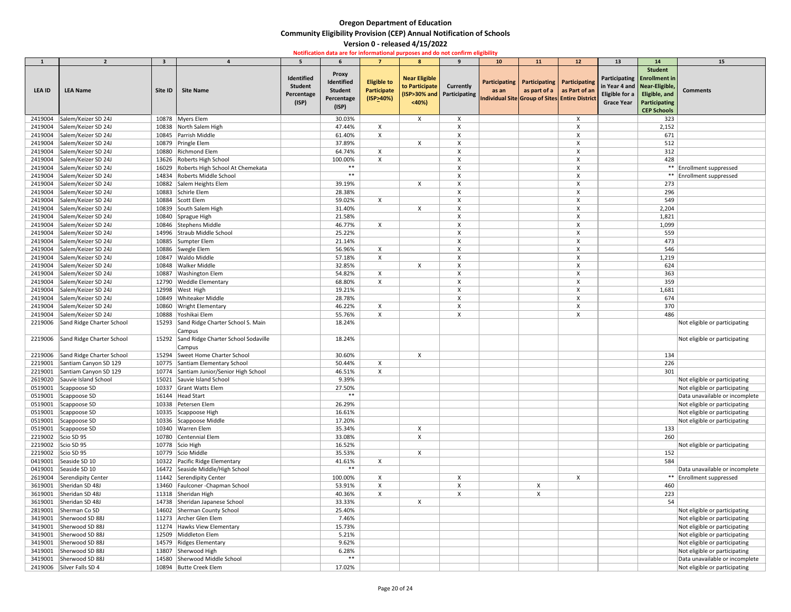| 1                  | $\overline{2}$                     | $3^{\circ}$ |                                                            | 5                                                   | 6                                                                   | $\overline{7}$                                        | 8                                               | $\mathbf{q}$                                     | 10 <sub>1</sub> | 11 | 12                                                                                                                                   | 13                                                                                          | 14                                                                                     | 15                                                             |
|--------------------|------------------------------------|-------------|------------------------------------------------------------|-----------------------------------------------------|---------------------------------------------------------------------|-------------------------------------------------------|-------------------------------------------------|--------------------------------------------------|-----------------|----|--------------------------------------------------------------------------------------------------------------------------------------|---------------------------------------------------------------------------------------------|----------------------------------------------------------------------------------------|----------------------------------------------------------------|
| <b>LEA ID</b>      | <b>LEA Name</b>                    | Site ID     | <b>Site Name</b>                                           | Identified<br><b>Student</b><br>Percentage<br>(ISP) | <b>Proxy</b><br>Identified<br><b>Student</b><br>Percentage<br>(ISP) | <b>Eligible to</b><br><b>Participate</b><br>(ISP>40%) | <b>Near Eligible</b><br>to Participate<br>< 40% | <b>Currently</b><br>(ISP>30% and   Participating | as an           |    | Participating   Participating   Participating<br>as part of $a \mid as$ Part of an<br>Individual Site Group of Sites Entire District | in Year 4 and   Near-Eligible,<br>Eligible for a $\vert$ Eligible, and<br><b>Grace Year</b> | <b>Student</b><br>Participating   Enrollment in<br>Participating<br><b>CEP Schools</b> | <b>Comments</b>                                                |
| 2419004            | Salem/Keizer SD 24J                |             | 10878 Myers Elem                                           |                                                     | 30.03%                                                              |                                                       | $\boldsymbol{\mathsf{X}}$                       | $\boldsymbol{\mathsf{X}}$                        |                 |    | X                                                                                                                                    |                                                                                             | 323                                                                                    |                                                                |
| 2419004            | Salem/Keizer SD 24J                |             | 10838 North Salem High                                     |                                                     | 47.44%                                                              | X                                                     |                                                 | $\boldsymbol{\mathsf{X}}$                        |                 |    |                                                                                                                                      |                                                                                             | 2,152                                                                                  |                                                                |
| 2419004            | Salem/Keizer SD 24J                |             | 10845 Parrish Middle                                       |                                                     | 61.40%                                                              | $\boldsymbol{\mathsf{X}}$                             |                                                 |                                                  |                 |    |                                                                                                                                      |                                                                                             | 671                                                                                    |                                                                |
| 2419004            | Salem/Keizer SD 24J                |             | 10879 Pringle Elem                                         |                                                     | 37.89%                                                              |                                                       |                                                 |                                                  |                 |    |                                                                                                                                      |                                                                                             | 512                                                                                    |                                                                |
| 2419004            | Salem/Keizer SD 24J                |             | 10880 Richmond Elem                                        |                                                     | 64.74%                                                              | X                                                     |                                                 |                                                  |                 |    |                                                                                                                                      |                                                                                             | 312                                                                                    |                                                                |
| 2419004            | Salem/Keizer SD 24J                |             | 13626 Roberts High School                                  |                                                     | 100.00%                                                             | X                                                     |                                                 |                                                  |                 |    |                                                                                                                                      |                                                                                             | 428                                                                                    |                                                                |
| 2419004            | Salem/Keizer SD 24J                |             | 16029 Roberts High School At Chemekata                     |                                                     | $***$                                                               |                                                       |                                                 |                                                  |                 |    |                                                                                                                                      |                                                                                             |                                                                                        | ** Enrollment suppressed                                       |
| 2419004            | Salem/Keizer SD 24J                |             | 14834 Roberts Middle School                                |                                                     | $***$                                                               |                                                       |                                                 |                                                  |                 |    |                                                                                                                                      |                                                                                             |                                                                                        | ** Enrollment suppressed                                       |
| 2419004            | Salem/Keizer SD 24J                |             | 10882 Salem Heights Elem                                   |                                                     | 39.19%                                                              |                                                       | X                                               |                                                  |                 |    |                                                                                                                                      |                                                                                             | 273                                                                                    |                                                                |
| 2419004            | Salem/Keizer SD 24J                |             | 10883 Schirle Elem                                         |                                                     | 28.38%                                                              |                                                       |                                                 |                                                  |                 |    |                                                                                                                                      |                                                                                             | 296                                                                                    |                                                                |
| 2419004            | Salem/Keizer SD 24J                |             | 10884 Scott Elem                                           |                                                     | 59.02%                                                              | X                                                     |                                                 |                                                  |                 |    |                                                                                                                                      |                                                                                             | 549                                                                                    |                                                                |
| 2419004            | Salem/Keizer SD 24J                |             | 10839 South Salem High                                     |                                                     | 31.40%                                                              |                                                       | $\boldsymbol{\mathsf{X}}$                       |                                                  |                 |    |                                                                                                                                      |                                                                                             | 2,204                                                                                  |                                                                |
| 2419004            | Salem/Keizer SD 24J                |             | 10840 Sprague High                                         |                                                     | 21.58%                                                              |                                                       |                                                 |                                                  |                 |    |                                                                                                                                      |                                                                                             | 1,821                                                                                  |                                                                |
| 2419004            | Salem/Keizer SD 24J                |             | 10846 Stephens Middle                                      |                                                     | 46.77%                                                              | X                                                     |                                                 |                                                  |                 |    |                                                                                                                                      |                                                                                             | 1,099                                                                                  |                                                                |
| 2419004            | Salem/Keizer SD 24J                |             | 14996 Straub Middle School                                 |                                                     | 25.22%                                                              |                                                       |                                                 |                                                  |                 |    |                                                                                                                                      |                                                                                             | 559                                                                                    |                                                                |
| 2419004            | Salem/Keizer SD 24J                |             | 10885 Sumpter Elem                                         |                                                     | 21.14%                                                              |                                                       |                                                 |                                                  |                 |    |                                                                                                                                      |                                                                                             | 473                                                                                    |                                                                |
| 2419004            | Salem/Keizer SD 24J                |             | 10886 Swegle Elem                                          |                                                     | 56.96%                                                              | X                                                     |                                                 | $\boldsymbol{\mathsf{X}}$                        |                 |    |                                                                                                                                      |                                                                                             | 546                                                                                    |                                                                |
| 2419004            | Salem/Keizer SD 24J                |             | 10847 Waldo Middle                                         |                                                     | 57.18%                                                              | $\boldsymbol{\mathsf{X}}$                             |                                                 |                                                  |                 |    |                                                                                                                                      |                                                                                             | 1,219                                                                                  |                                                                |
| 2419004            | Salem/Keizer SD 24J                |             | 10848   Walker Middle                                      |                                                     | 32.85%                                                              |                                                       | X                                               |                                                  |                 |    |                                                                                                                                      |                                                                                             | 624                                                                                    |                                                                |
| 2419004            | Salem/Keizer SD 24J                |             | 10887 Washington Elem                                      |                                                     | 54.82%                                                              | $\boldsymbol{\mathsf{X}}$                             |                                                 |                                                  |                 |    |                                                                                                                                      |                                                                                             | 363                                                                                    |                                                                |
| 2419004            | Salem/Keizer SD 24J                |             | 12790 Weddle Elementary                                    |                                                     | 68.80%                                                              | X                                                     |                                                 |                                                  |                 |    |                                                                                                                                      |                                                                                             | 359                                                                                    |                                                                |
| 2419004            | Salem/Keizer SD 24J                |             | 12998   West High                                          |                                                     | 19.21%                                                              |                                                       |                                                 |                                                  |                 |    |                                                                                                                                      |                                                                                             | 1,681                                                                                  |                                                                |
| 2419004            | Salem/Keizer SD 24J                |             | 10849 Whiteaker Middle                                     |                                                     | 28.78%                                                              |                                                       |                                                 |                                                  |                 |    |                                                                                                                                      |                                                                                             | 674                                                                                    |                                                                |
| 2419004            | Salem/Keizer SD 24J                |             | 10860 Wright Elementary                                    |                                                     | 46.22%                                                              | X                                                     |                                                 |                                                  |                 |    |                                                                                                                                      |                                                                                             | 370                                                                                    |                                                                |
|                    | 2419004   Salem/Keizer SD 24J      |             | 10888 Yoshikai Elem                                        |                                                     | 55.76%                                                              |                                                       |                                                 |                                                  |                 |    |                                                                                                                                      |                                                                                             | 486                                                                                    |                                                                |
|                    | 2219006 Sand Ridge Charter School  |             | 15293 Sand Ridge Charter School S. Main<br><b>Campus</b>   |                                                     | 18.24%                                                              |                                                       |                                                 |                                                  |                 |    |                                                                                                                                      |                                                                                             |                                                                                        | Not eligible or participating                                  |
|                    | 2219006 Sand Ridge Charter School  |             | 15292 Sand Ridge Charter School Sodaville<br><b>Campus</b> |                                                     | 18.24%                                                              |                                                       |                                                 |                                                  |                 |    |                                                                                                                                      |                                                                                             |                                                                                        | Not eligible or participating                                  |
| 2219006            | Sand Ridge Charter School          |             | 15294 Sweet Home Charter School                            |                                                     | 30.60%                                                              |                                                       | X                                               |                                                  |                 |    |                                                                                                                                      |                                                                                             | 134                                                                                    |                                                                |
| 2219001            | Santiam Canyon SD 129              |             | 10775 Santiam Elementary School                            |                                                     | 50.44%                                                              | X                                                     |                                                 |                                                  |                 |    |                                                                                                                                      |                                                                                             | 226                                                                                    |                                                                |
| 2219001            | Santiam Canyon SD 129              |             | 10774 Santiam Junior/Senior High School                    |                                                     | 46.51%                                                              | X                                                     |                                                 |                                                  |                 |    |                                                                                                                                      |                                                                                             | 301                                                                                    |                                                                |
| 2619020            | Sauvie Island School               |             | 15021 Sauvie Island School                                 |                                                     | 9.39%                                                               |                                                       |                                                 |                                                  |                 |    |                                                                                                                                      |                                                                                             |                                                                                        | Not eligible or participating                                  |
| 0519001            | Scappoose SD                       |             | 10337 Grant Watts Elem                                     |                                                     | 27.50%                                                              |                                                       |                                                 |                                                  |                 |    |                                                                                                                                      |                                                                                             |                                                                                        | Not eligible or participating                                  |
| 0519001            | Scappoose SD                       |             | 16144   Head Start                                         |                                                     | $***$                                                               |                                                       |                                                 |                                                  |                 |    |                                                                                                                                      |                                                                                             |                                                                                        | Data unavailable or incomplete                                 |
|                    | 0519001 Scappoose SD               |             | 10338 Petersen Elem                                        |                                                     | 26.29%                                                              |                                                       |                                                 |                                                  |                 |    |                                                                                                                                      |                                                                                             |                                                                                        | Not eligible or participating                                  |
|                    | 0519001 Scappoose SD               |             | 10335 Scappoose High                                       |                                                     | 16.61%                                                              |                                                       |                                                 |                                                  |                 |    |                                                                                                                                      |                                                                                             |                                                                                        | Not eligible or participating                                  |
|                    | 0519001 Scappoose SD               |             | 10336 Scappoose Middle                                     |                                                     | 17.20%                                                              |                                                       |                                                 |                                                  |                 |    |                                                                                                                                      |                                                                                             |                                                                                        | Not eligible or participating                                  |
|                    | 0519001 Scappoose SD               |             | 10340 Warren Elem                                          |                                                     | 35.34%                                                              |                                                       |                                                 |                                                  |                 |    |                                                                                                                                      |                                                                                             | 133                                                                                    |                                                                |
| 2219002            | Scio SD 95                         |             | 10780 Centennial Elem                                      |                                                     | 33.08%                                                              |                                                       |                                                 |                                                  |                 |    |                                                                                                                                      |                                                                                             | 260                                                                                    |                                                                |
|                    | 2219002 Scio SD 95                 |             | 10778 Scio High                                            |                                                     | 16.52%                                                              |                                                       |                                                 |                                                  |                 |    |                                                                                                                                      |                                                                                             |                                                                                        | Not eligible or participating                                  |
|                    | 2219002 Scio SD 95                 |             | 10779 Scio Middle                                          |                                                     | 35.53%                                                              |                                                       |                                                 |                                                  |                 |    |                                                                                                                                      |                                                                                             | 152                                                                                    |                                                                |
| 0419001            | Seaside SD 10                      |             | 10322 Pacific Ridge Elementary                             |                                                     | 41.61%<br>$***$                                                     | X                                                     |                                                 |                                                  |                 |    |                                                                                                                                      |                                                                                             | 584                                                                                    |                                                                |
| 0419001            | Seaside SD 10                      |             | 16472 Seaside Middle/High School                           |                                                     |                                                                     |                                                       |                                                 |                                                  |                 |    |                                                                                                                                      |                                                                                             |                                                                                        | Data unavailable or incomplete                                 |
|                    | 2619004 Serendipity Center         |             | 11442 Serendipity Center                                   |                                                     | 100.00%                                                             | X                                                     |                                                 |                                                  |                 |    |                                                                                                                                      |                                                                                             |                                                                                        | ** Enrollment suppressed                                       |
| 3619001            | Sheridan SD 48J                    |             | 13460   Faulconer - Chapman School                         |                                                     | 53.91%                                                              | $\boldsymbol{\mathsf{X}}$                             |                                                 |                                                  |                 |    |                                                                                                                                      |                                                                                             | 460                                                                                    |                                                                |
| 3619001            | Sheridan SD 48J<br>Sheridan SD 48J |             | 11318 Sheridan High                                        |                                                     | 40.36%                                                              |                                                       |                                                 |                                                  |                 |    |                                                                                                                                      |                                                                                             | 223                                                                                    |                                                                |
| 3619001            | Sherman Co SD                      |             | 14738 Sheridan Japanese School                             |                                                     | 33.33%                                                              |                                                       |                                                 |                                                  |                 |    |                                                                                                                                      |                                                                                             | 54                                                                                     |                                                                |
| 2819001<br>3419001 | Sherwood SD 88J                    |             | 14602 Sherman County School<br>11273 Archer Glen Elem      |                                                     | 25.40%<br>7.46%                                                     |                                                       |                                                 |                                                  |                 |    |                                                                                                                                      |                                                                                             |                                                                                        | Not eligible or participating                                  |
| 3419001            | Sherwood SD 88J                    |             | 11274 Hawks View Elementary                                |                                                     | 15.73%                                                              |                                                       |                                                 |                                                  |                 |    |                                                                                                                                      |                                                                                             |                                                                                        | Not eligible or participating<br>Not eligible or participating |
| 3419001            | Sherwood SD 88J                    |             | 12509 Middleton Elem                                       |                                                     | 5.21%                                                               |                                                       |                                                 |                                                  |                 |    |                                                                                                                                      |                                                                                             |                                                                                        | Not eligible or participating                                  |
| 3419001            | Sherwood SD 88J                    |             | 14579 Ridges Elementary                                    |                                                     | 9.62%                                                               |                                                       |                                                 |                                                  |                 |    |                                                                                                                                      |                                                                                             |                                                                                        | Not eligible or participating                                  |
| 3419001            | Sherwood SD 88J                    |             | 13807 Sherwood High                                        |                                                     | 6.28%                                                               |                                                       |                                                 |                                                  |                 |    |                                                                                                                                      |                                                                                             |                                                                                        | Not eligible or participating                                  |
|                    | 3419001 Sherwood SD 88J            |             | 14580 Sherwood Middle School                               |                                                     | $***$                                                               |                                                       |                                                 |                                                  |                 |    |                                                                                                                                      |                                                                                             |                                                                                        | Data unavailable or incomplete                                 |
|                    | 2419006 Silver Falls SD 4          |             | 10894 Butte Creek Elem                                     |                                                     | 17.02%                                                              |                                                       |                                                 |                                                  |                 |    |                                                                                                                                      |                                                                                             |                                                                                        | Not eligible or participating                                  |
|                    |                                    |             |                                                            |                                                     |                                                                     |                                                       |                                                 |                                                  |                 |    |                                                                                                                                      |                                                                                             |                                                                                        |                                                                |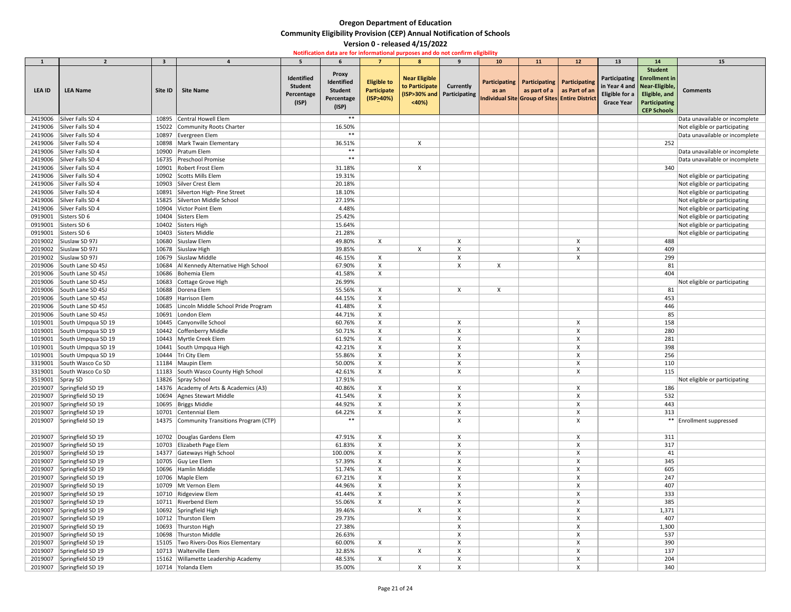|                  | $\overline{2}$             | $\overline{\mathbf{3}}$ |                                             | 5.                                                  |                                                                     |                                                              | 8                                               | $\mathbf{q}$                                   | 10 <sub>1</sub> | 11                                            | 12                                                                               | 13                                                                                    | 14                                                                                   | 15                             |
|------------------|----------------------------|-------------------------|---------------------------------------------|-----------------------------------------------------|---------------------------------------------------------------------|--------------------------------------------------------------|-------------------------------------------------|------------------------------------------------|-----------------|-----------------------------------------------|----------------------------------------------------------------------------------|---------------------------------------------------------------------------------------|--------------------------------------------------------------------------------------|--------------------------------|
| LEA ID           | <b>LEA Name</b>            | Site ID                 | <b>Site Name</b>                            | Identified<br><b>Student</b><br>Percentage<br>(ISP) | <b>Proxy</b><br>Identified<br><b>Student</b><br>Percentage<br>(ISP) | <b>Eligible to</b><br><b>Participate</b><br>$($ ISP $>$ 40%) | <b>Near Eligible</b><br>to Participate<br>< 40% | <b>Currently</b><br>(ISP>30% and Participating | as an           | Participating   Participating   Participating | as part of a $ $ as Part of an<br>Individual Site Group of Sites Entire District | in Year 4 and   Near-Eligible,<br>Eligible for a   Eligible, and<br><b>Grace Year</b> | <b>Student</b><br>Participating Enrollment in<br>Participating<br><b>CEP Schools</b> | <b>Comments</b>                |
| 2419006          | Silver Falls SD 4          | 10895                   | Central Howell Elem                         |                                                     | $***$                                                               |                                                              |                                                 |                                                |                 |                                               |                                                                                  |                                                                                       |                                                                                      | Data unavailable or incomplete |
| 2419006          | Silver Falls SD 4          | 15022                   | Community Roots Charter                     |                                                     | 16.50%                                                              |                                                              |                                                 |                                                |                 |                                               |                                                                                  |                                                                                       |                                                                                      | Not eligible or participating  |
|                  | 2419006 Silver Falls SD 4  |                         | 10897 Evergreen Elem                        |                                                     | $***$                                                               |                                                              |                                                 |                                                |                 |                                               |                                                                                  |                                                                                       |                                                                                      | Data unavailable or incomplete |
|                  | 2419006 Silver Falls SD 4  |                         | 10898   Mark Twain Elementary               |                                                     | 36.51%                                                              |                                                              | X                                               |                                                |                 |                                               |                                                                                  |                                                                                       | 252                                                                                  |                                |
| 2419006          | Silver Falls SD 4          |                         | 10900 Pratum Elem                           |                                                     | $***$                                                               |                                                              |                                                 |                                                |                 |                                               |                                                                                  |                                                                                       |                                                                                      | Data unavailable or incomplete |
| 2419006          | Silver Falls SD 4          |                         | 16735 Preschool Promise                     |                                                     | $***$                                                               |                                                              |                                                 |                                                |                 |                                               |                                                                                  |                                                                                       |                                                                                      | Data unavailable or incomplete |
|                  | 2419006 Silver Falls SD 4  |                         | 10901 Robert Frost Elem                     |                                                     | 31.18%                                                              |                                                              | X                                               |                                                |                 |                                               |                                                                                  |                                                                                       | 340                                                                                  |                                |
| 2419006          | Silver Falls SD 4          |                         | 10902 Scotts Mills Elem                     |                                                     | 19.31%                                                              |                                                              |                                                 |                                                |                 |                                               |                                                                                  |                                                                                       |                                                                                      | Not eligible or participating  |
| 2419006          | Silver Falls SD 4          |                         | 10903 Silver Crest Elem                     |                                                     | 20.18%                                                              |                                                              |                                                 |                                                |                 |                                               |                                                                                  |                                                                                       |                                                                                      | Not eligible or participating  |
|                  | 2419006 Silver Falls SD 4  |                         | 10891 Silverton High-Pine Street            |                                                     | 18.10%                                                              |                                                              |                                                 |                                                |                 |                                               |                                                                                  |                                                                                       |                                                                                      | Not eligible or participating  |
| 2419006          | Silver Falls SD 4          |                         | 15825 Silverton Middle School               |                                                     | 27.19%                                                              |                                                              |                                                 |                                                |                 |                                               |                                                                                  |                                                                                       |                                                                                      | Not eligible or participating  |
| 2419006          | Silver Falls SD 4          | 10904                   | Victor Point Elem                           |                                                     | 4.48%                                                               |                                                              |                                                 |                                                |                 |                                               |                                                                                  |                                                                                       |                                                                                      | Not eligible or participating  |
| 0919001          | Sisters SD 6               |                         | 10404 Sisters Elem                          |                                                     | 25.42%                                                              |                                                              |                                                 |                                                |                 |                                               |                                                                                  |                                                                                       |                                                                                      | Not eligible or participating  |
| 0919001          | Sisters SD 6               |                         | 10402 Sisters High                          |                                                     | 15.64%                                                              |                                                              |                                                 |                                                |                 |                                               |                                                                                  |                                                                                       |                                                                                      | Not eligible or participating  |
| 0919001          | Sisters SD 6               |                         | 10403 Sisters Middle                        |                                                     | 21.28%                                                              |                                                              |                                                 |                                                |                 |                                               |                                                                                  |                                                                                       |                                                                                      | Not eligible or participating  |
| 2019002          | Siuslaw SD 97J             |                         | 10680 Siuslaw Elem                          |                                                     | 49.80%                                                              | X                                                            |                                                 |                                                |                 |                                               |                                                                                  |                                                                                       | 488                                                                                  |                                |
| 2019002          | Siuslaw SD 97J             |                         | 10678 Siuslaw High                          |                                                     | 39.85%                                                              |                                                              |                                                 |                                                |                 |                                               | X                                                                                |                                                                                       | 409                                                                                  |                                |
| 2019002          | Siuslaw SD 97J             |                         | 10679 Siuslaw Middle                        |                                                     | 46.15%                                                              | $\boldsymbol{\mathsf{X}}$                                    |                                                 |                                                |                 |                                               |                                                                                  |                                                                                       | 299                                                                                  |                                |
| 2019006          | South Lane SD 45J          |                         | 10684   Al Kennedy Alternative High School  |                                                     | 67.90%                                                              | $\boldsymbol{\mathsf{X}}$                                    |                                                 |                                                | X               |                                               |                                                                                  |                                                                                       | 81                                                                                   |                                |
| 2019006          | South Lane SD 45J          |                         | 10686 Bohemia Elem                          |                                                     | 41.58%                                                              | X                                                            |                                                 |                                                |                 |                                               |                                                                                  |                                                                                       | 404                                                                                  |                                |
| 2019006          | South Lane SD 45J          | 10683                   | Cottage Grove High                          |                                                     | 26.99%                                                              |                                                              |                                                 |                                                |                 |                                               |                                                                                  |                                                                                       |                                                                                      | Not eligible or participating  |
| 2019006          | South Lane SD 45J          |                         | 10688 Dorena Elem                           |                                                     | 55.56%                                                              | X                                                            |                                                 | X                                              | X               |                                               |                                                                                  |                                                                                       | 81                                                                                   |                                |
| 2019006          | South Lane SD 45J          |                         | 10689 Harrison Elem                         |                                                     | 44.15%                                                              |                                                              |                                                 |                                                |                 |                                               |                                                                                  |                                                                                       | 453                                                                                  |                                |
| 2019006          | South Lane SD 45J          |                         | 10685   Lincoln Middle School Pride Program |                                                     | 41.48%                                                              |                                                              |                                                 |                                                |                 |                                               |                                                                                  |                                                                                       | 446                                                                                  |                                |
|                  | 2019006 South Lane SD 45J  |                         | 10691 London Elem                           |                                                     | 44.71%                                                              |                                                              |                                                 |                                                |                 |                                               |                                                                                  |                                                                                       | 85                                                                                   |                                |
|                  | 1019001 South Umpqua SD 19 |                         | 10445 Canyonville School                    |                                                     | 60.76%                                                              |                                                              |                                                 | $\boldsymbol{\mathsf{X}}$                      |                 |                                               | $\boldsymbol{\mathsf{X}}$                                                        |                                                                                       | 158                                                                                  |                                |
|                  | 1019001 South Umpqua SD 19 |                         | 10442 Coffenberry Middle                    |                                                     | 50.71%                                                              |                                                              |                                                 |                                                |                 |                                               |                                                                                  |                                                                                       | 280                                                                                  |                                |
|                  | 1019001 South Umpqua SD 19 |                         | 10443 Myrtle Creek Elem                     |                                                     | 61.92%                                                              | X                                                            |                                                 | $\boldsymbol{\mathsf{X}}$                      |                 |                                               |                                                                                  |                                                                                       | 281                                                                                  |                                |
|                  | 1019001 South Umpqua SD 19 |                         | 10441 South Umpqua High                     |                                                     | 42.21%                                                              | $\boldsymbol{\mathsf{X}}$                                    |                                                 |                                                |                 |                                               |                                                                                  |                                                                                       | 398                                                                                  |                                |
|                  | 1019001 South Umpqua SD 19 |                         | 10444 Tri City Elem                         |                                                     | 55.86%                                                              |                                                              |                                                 |                                                |                 |                                               |                                                                                  |                                                                                       | 256                                                                                  |                                |
|                  | 3319001 South Wasco Co SD  |                         | 11184 Maupin Elem                           |                                                     | 50.00%                                                              | X                                                            |                                                 |                                                |                 |                                               |                                                                                  |                                                                                       | 110                                                                                  |                                |
|                  | 3319001 South Wasco Co SD  |                         | 11183 South Wasco County High School        |                                                     | 42.61%                                                              | X                                                            |                                                 |                                                |                 |                                               |                                                                                  |                                                                                       | 115                                                                                  |                                |
| 3519001 Spray SD |                            |                         | 13826 Spray School                          |                                                     | 17.91%                                                              |                                                              |                                                 |                                                |                 |                                               |                                                                                  |                                                                                       |                                                                                      | Not eligible or participating  |
|                  | 2019007 Springfield SD 19  |                         | 14376 Academy of Arts & Academics (A3)      |                                                     | 40.86%                                                              | $\boldsymbol{\mathsf{X}}$                                    |                                                 |                                                |                 |                                               |                                                                                  |                                                                                       | 186                                                                                  |                                |
|                  | 2019007 Springfield SD 19  |                         | 10694 Agnes Stewart Middle                  |                                                     | 41.54%                                                              |                                                              |                                                 |                                                |                 |                                               |                                                                                  |                                                                                       | 532                                                                                  |                                |
|                  | 2019007 Springfield SD 19  |                         | 10695   Briggs Middle                       |                                                     | 44.92%                                                              | $\boldsymbol{\mathsf{X}}$                                    |                                                 |                                                |                 |                                               |                                                                                  |                                                                                       | 443                                                                                  |                                |
|                  | 2019007 Springfield SD 19  |                         | 10701 Centennial Elem                       |                                                     | 64.22%                                                              | $\boldsymbol{\mathsf{X}}$                                    |                                                 | $\boldsymbol{\mathsf{X}}$                      |                 |                                               |                                                                                  |                                                                                       | 313                                                                                  |                                |
| 2019007          | Springfield SD 19          |                         | 14375 Community Transitions Program (CTP)   |                                                     | $***$                                                               |                                                              |                                                 |                                                |                 |                                               | X                                                                                |                                                                                       |                                                                                      | ** Enrollment suppressed       |
|                  | 2019007 Springfield SD 19  |                         | 10702 Douglas Gardens Elem                  |                                                     | 47.91%                                                              | X                                                            |                                                 |                                                |                 |                                               | X                                                                                |                                                                                       | 311                                                                                  |                                |
|                  | 2019007 Springfield SD 19  |                         | 10703 Elizabeth Page Elem                   |                                                     | 61.83%                                                              |                                                              |                                                 |                                                |                 |                                               |                                                                                  |                                                                                       | 317                                                                                  |                                |
|                  | 2019007 Springfield SD 19  |                         | 14377 Gateways High School                  |                                                     | 100.00%                                                             | $\boldsymbol{\mathsf{X}}$                                    |                                                 |                                                |                 |                                               |                                                                                  |                                                                                       | 41                                                                                   |                                |
|                  | 2019007 Springfield SD 19  |                         | 10705 Guy Lee Elem                          |                                                     | 57.39%                                                              |                                                              |                                                 |                                                |                 |                                               |                                                                                  |                                                                                       | 345                                                                                  |                                |
| 2019007          | Springfield SD 19          |                         | 10696 Hamlin Middle                         |                                                     | 51.74%                                                              | X                                                            |                                                 |                                                |                 |                                               |                                                                                  |                                                                                       | 605                                                                                  |                                |
| 2019007          | Springfield SD 19          |                         | 10706 Maple Elem                            |                                                     | 67.21%                                                              |                                                              |                                                 |                                                |                 |                                               |                                                                                  |                                                                                       | 247                                                                                  |                                |
|                  | 2019007 Springfield SD 19  |                         | 10709 Mt Vernon Elem                        |                                                     | 44.96%                                                              | X                                                            |                                                 |                                                |                 |                                               |                                                                                  |                                                                                       | 407                                                                                  |                                |
| 2019007          | Springfield SD 19          |                         | 10710 Ridgeview Elem                        |                                                     | 41.44%                                                              |                                                              |                                                 |                                                |                 |                                               |                                                                                  |                                                                                       | 333                                                                                  |                                |
|                  | 2019007 Springfield SD 19  |                         | 10711 Riverbend Elem                        |                                                     | 55.06%                                                              | X                                                            |                                                 |                                                |                 |                                               |                                                                                  |                                                                                       | 385                                                                                  |                                |
|                  | 2019007 Springfield SD 19  |                         | 10692 Springfield High                      |                                                     | 39.46%                                                              |                                                              | $\boldsymbol{\mathsf{X}}$                       |                                                |                 |                                               |                                                                                  |                                                                                       | 1,371                                                                                |                                |
| 2019007          | Springfield SD 19          |                         | 10712 Thurston Elem                         |                                                     | 29.73%                                                              |                                                              |                                                 |                                                |                 |                                               |                                                                                  |                                                                                       | 407                                                                                  |                                |
| 2019007          | Springfield SD 19          |                         | 10693 Thurston High                         |                                                     | 27.38%                                                              |                                                              |                                                 |                                                |                 |                                               |                                                                                  |                                                                                       | 1,300                                                                                |                                |
|                  | 2019007 Springfield SD 19  |                         | 10698 Thurston Middle                       |                                                     | 26.63%                                                              |                                                              |                                                 |                                                |                 |                                               |                                                                                  |                                                                                       | 537                                                                                  |                                |
| 2019007          | Springfield SD 19          |                         | 15105 Two Rivers-Dos Rios Elementary        |                                                     | 60.00%                                                              | X                                                            |                                                 |                                                |                 |                                               |                                                                                  |                                                                                       | 390                                                                                  |                                |
| 2019007          | Springfield SD 19          |                         | 10713 Walterville Elem                      |                                                     | 32.85%                                                              |                                                              |                                                 |                                                |                 |                                               |                                                                                  |                                                                                       | 137                                                                                  |                                |
|                  | 2019007 Springfield SD 19  |                         | 15162 Willamette Leadership Academy         |                                                     | 48.53%                                                              | X                                                            |                                                 |                                                |                 |                                               |                                                                                  |                                                                                       | 204                                                                                  |                                |
| 2019007          | Springfield SD 19          |                         | 10714 Yolanda Elem                          |                                                     | 35.00%                                                              |                                                              | X                                               | X                                              |                 |                                               | X                                                                                |                                                                                       | 340                                                                                  |                                |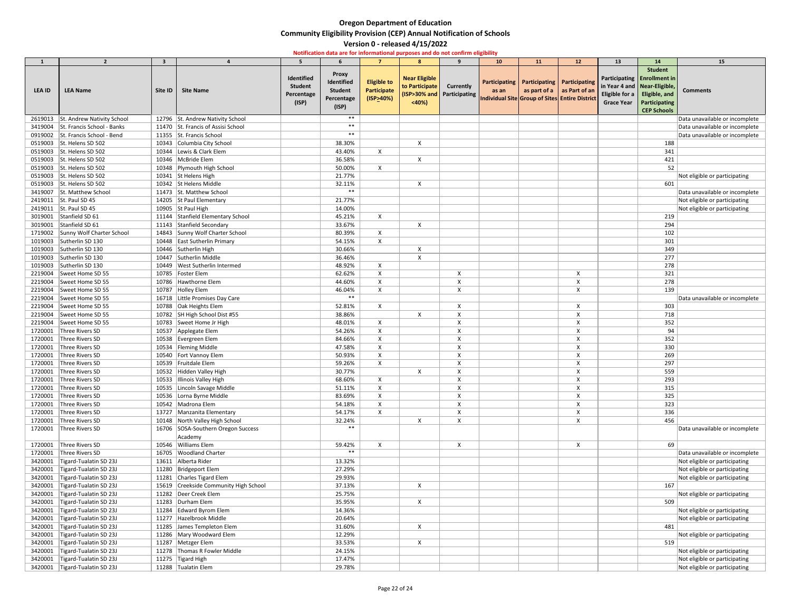|               | $\overline{2}$             | -3      |                                       | 5                                                   |                                                                     |                                                  |                                                                               | 9                | 10 <sup>°</sup> | <b>11</b>                                                                                                                             | 12 | 13                                                        | <b>14</b>                                                                                                                | 15                             |
|---------------|----------------------------|---------|---------------------------------------|-----------------------------------------------------|---------------------------------------------------------------------|--------------------------------------------------|-------------------------------------------------------------------------------|------------------|-----------------|---------------------------------------------------------------------------------------------------------------------------------------|----|-----------------------------------------------------------|--------------------------------------------------------------------------------------------------------------------------|--------------------------------|
| <b>LEA ID</b> | <b>LEA Name</b>            | Site ID | <b>Site Name</b>                      | Identified<br><b>Student</b><br>Percentage<br>(ISP) | <b>Proxy</b><br>Identified<br><b>Student</b><br>Percentage<br>(ISP) | <b>Eligible to</b><br>Participate<br>(ISP > 40%) | <b>Near Eligible</b><br>to Participate<br>(ISP>30% and Participating<br>< 40% | <b>Currently</b> | as an           | Participating   Participating   Participating<br>as part of a $\vert$ as Part of an<br>Individual Site Group of Sites Entire District |    | Eligible for a $\vert$ Eligible, and<br><b>Grace Year</b> | <b>Student</b><br>Participating   Enrollment in<br>in Year 4 and   Near-Eligible,<br>Participating<br><b>CEP Schools</b> | <b>Comments</b>                |
| 2619013       | St. Andrew Nativity School |         | 12796 St. Andrew Nativity School      |                                                     | $***$                                                               |                                                  |                                                                               |                  |                 |                                                                                                                                       |    |                                                           |                                                                                                                          | Data unavailable or incomplete |
| 3419004       | St. Francis School - Banks |         | 11470 St. Francis of Assisi School    |                                                     | $***$                                                               |                                                  |                                                                               |                  |                 |                                                                                                                                       |    |                                                           |                                                                                                                          | Data unavailable or incomplete |
| 0919002       | St. Francis School - Bend  |         | 11355 St. Francis School              |                                                     | $***$                                                               |                                                  |                                                                               |                  |                 |                                                                                                                                       |    |                                                           |                                                                                                                          | Data unavailable or incomplete |
|               | 0519003 St. Helens SD 502  |         | 10343 Columbia City School            |                                                     | 38.30%                                                              |                                                  | X                                                                             |                  |                 |                                                                                                                                       |    |                                                           | 188                                                                                                                      |                                |
| 0519003       | St. Helens SD 502          |         | 10344 Lewis & Clark Elem              |                                                     | 43.40%                                                              | $\sf X$                                          |                                                                               |                  |                 |                                                                                                                                       |    |                                                           | 341                                                                                                                      |                                |
| 0519003       | St. Helens SD 502          |         | 10346   McBride Elem                  |                                                     | 36.58%                                                              |                                                  | X                                                                             |                  |                 |                                                                                                                                       |    |                                                           | 421                                                                                                                      |                                |
| 0519003       | St. Helens SD 502          |         | 10348 Plymouth High School            |                                                     | 50.00%                                                              | $\mathsf{X}$                                     |                                                                               |                  |                 |                                                                                                                                       |    |                                                           | 52                                                                                                                       |                                |
| 0519003       | St. Helens SD 502          |         | 10341 St Helens High                  |                                                     | 21.77%                                                              |                                                  |                                                                               |                  |                 |                                                                                                                                       |    |                                                           |                                                                                                                          | Not eligible or participating  |
| 0519003       | St. Helens SD 502          |         | 10342 St Helens Middle                |                                                     | 32.11%                                                              |                                                  | $\sf X$                                                                       |                  |                 |                                                                                                                                       |    |                                                           | 601                                                                                                                      |                                |
|               | 3419007 St. Matthew School |         | 11473 St. Matthew School              |                                                     | $***$                                                               |                                                  |                                                                               |                  |                 |                                                                                                                                       |    |                                                           |                                                                                                                          | Data unavailable or incomplete |
| 2419011       | St. Paul SD 45             |         | 14205 St Paul Elementary              |                                                     | 21.77%                                                              |                                                  |                                                                               |                  |                 |                                                                                                                                       |    |                                                           |                                                                                                                          | Not eligible or participating  |
| 2419011       | St. Paul SD 45             |         | 10905 St Paul High                    |                                                     | 14.00%                                                              |                                                  |                                                                               |                  |                 |                                                                                                                                       |    |                                                           |                                                                                                                          | Not eligible or participating  |
| 3019001       | Stanfield SD 61            |         | 11144 Stanfield Elementary School     |                                                     | 45.21%                                                              | $\mathsf{X}$                                     |                                                                               |                  |                 |                                                                                                                                       |    |                                                           | 219                                                                                                                      |                                |
| 3019001       | Stanfield SD 61            |         | 11143 Stanfield Secondary             |                                                     | 33.67%                                                              |                                                  | X                                                                             |                  |                 |                                                                                                                                       |    |                                                           | 294                                                                                                                      |                                |
| 1719002       | Sunny Wolf Charter School  |         | 14843 Sunny Wolf Charter School       |                                                     | 80.39%                                                              | $\sf X$                                          |                                                                               |                  |                 |                                                                                                                                       |    |                                                           | 102                                                                                                                      |                                |
| 1019003       | Sutherlin SD 130           |         | 10448 East Sutherlin Primary          |                                                     | 54.15%                                                              | X                                                |                                                                               |                  |                 |                                                                                                                                       |    |                                                           | 301                                                                                                                      |                                |
| 1019003       | Sutherlin SD 130           |         | 10446 Sutherlin High                  |                                                     | 30.66%                                                              |                                                  | X                                                                             |                  |                 |                                                                                                                                       |    |                                                           | 349                                                                                                                      |                                |
| 1019003       | Sutherlin SD 130           |         | 10447 Sutherlin Middle                |                                                     | 36.46%                                                              |                                                  |                                                                               |                  |                 |                                                                                                                                       |    |                                                           | 277                                                                                                                      |                                |
| 1019003       | Sutherlin SD 130           |         | 10449   West Sutherlin Intermed       |                                                     | 48.92%                                                              | X                                                |                                                                               |                  |                 |                                                                                                                                       |    |                                                           | 278                                                                                                                      |                                |
| 2219004       | Sweet Home SD 55           |         | 10785   Foster Elem                   |                                                     | 62.62%                                                              | X                                                |                                                                               | X                |                 |                                                                                                                                       | X  |                                                           | 321                                                                                                                      |                                |
| 2219004       | Sweet Home SD 55           |         | 10786 Hawthorne Elem                  |                                                     | 44.60%                                                              | X                                                |                                                                               |                  |                 |                                                                                                                                       |    |                                                           | 278                                                                                                                      |                                |
| 2219004       | Sweet Home SD 55           |         | 10787 Holley Elem                     |                                                     | 46.04%                                                              | X                                                |                                                                               | X                |                 |                                                                                                                                       | X  |                                                           | 139                                                                                                                      |                                |
| 2219004       | Sweet Home SD 55           |         | 16718 Little Promises Day Care        |                                                     | $***$                                                               |                                                  |                                                                               |                  |                 |                                                                                                                                       |    |                                                           |                                                                                                                          | Data unavailable or incomplete |
| 2219004       | Sweet Home SD 55           |         | 10788 Oak Heights Elem                |                                                     | 52.81%                                                              | X                                                |                                                                               | X                |                 |                                                                                                                                       | X  |                                                           | 303                                                                                                                      |                                |
|               | 2219004 Sweet Home SD 55   |         | 10782 SH High School Dist #55         |                                                     | 38.86%                                                              |                                                  | X                                                                             |                  |                 |                                                                                                                                       |    |                                                           | 718                                                                                                                      |                                |
| 2219004       | Sweet Home SD 55           |         | 10783 Sweet Home Jr High              |                                                     | 48.01%                                                              | X                                                |                                                                               |                  |                 |                                                                                                                                       |    |                                                           | 352                                                                                                                      |                                |
| 1720001       | Three Rivers SD            |         | 10537 Applegate Elem                  |                                                     | 54.26%                                                              | X                                                |                                                                               |                  |                 |                                                                                                                                       |    |                                                           | 94                                                                                                                       |                                |
| 1720001       | Three Rivers SD            |         | 10538 Evergreen Elem                  |                                                     | 84.66%                                                              | X                                                |                                                                               | X                |                 |                                                                                                                                       | X  |                                                           | 352                                                                                                                      |                                |
| 1720001       | Three Rivers SD            |         | 10534 Fleming Middle                  |                                                     | 47.58%                                                              | X                                                |                                                                               |                  |                 |                                                                                                                                       |    |                                                           | 330                                                                                                                      |                                |
| 1720001       | Three Rivers SD            |         | 10540   Fort Vannoy Elem              |                                                     | 50.93%                                                              | X                                                |                                                                               |                  |                 |                                                                                                                                       |    |                                                           | 269                                                                                                                      |                                |
| 1720001       | Three Rivers SD            |         | 10539 Fruitdale Elem                  |                                                     | 59.26%                                                              | X                                                |                                                                               | X                |                 |                                                                                                                                       |    |                                                           | 297                                                                                                                      |                                |
| 1720001       | Three Rivers SD            |         | 10532 Hidden Valley High              |                                                     | 30.77%                                                              |                                                  | X                                                                             |                  |                 |                                                                                                                                       |    |                                                           | 559                                                                                                                      |                                |
| 1720001       | Three Rivers SD            |         | 10533   Illinois Valley High          |                                                     | 68.60%                                                              | X                                                |                                                                               | X                |                 |                                                                                                                                       |    |                                                           | 293                                                                                                                      |                                |
| 1720001       | Three Rivers SD            |         | 10535 Lincoln Savage Middle           |                                                     | 51.11%                                                              | X                                                |                                                                               | X                |                 |                                                                                                                                       |    |                                                           | 315                                                                                                                      |                                |
| 1720001       | Three Rivers SD            |         | 10536 Lorna Byrne Middle              |                                                     | 83.69%                                                              | X                                                |                                                                               |                  |                 |                                                                                                                                       |    |                                                           | 325                                                                                                                      |                                |
| 1720001       | Three Rivers SD            |         | 10542 Madrona Elem                    |                                                     | 54.18%                                                              | $\boldsymbol{\mathsf{X}}$                        |                                                                               | X                |                 |                                                                                                                                       |    |                                                           | 323                                                                                                                      |                                |
| 1720001       | Three Rivers SD            |         | 13727 Manzanita Elementary            |                                                     | 54.17%                                                              | X                                                |                                                                               | X                |                 |                                                                                                                                       |    |                                                           | 336                                                                                                                      |                                |
| 1720001       | Three Rivers SD            |         | 10148 North Valley High School        |                                                     | 32.24%                                                              |                                                  | X                                                                             | X                |                 |                                                                                                                                       |    |                                                           | 456                                                                                                                      |                                |
| 1720001       | Three Rivers SD            |         | 16706 SOSA-Southern Oregon Success    |                                                     | $***$                                                               |                                                  |                                                                               |                  |                 |                                                                                                                                       |    |                                                           |                                                                                                                          | Data unavailable or incomplete |
|               |                            |         | Academy                               |                                                     |                                                                     |                                                  |                                                                               |                  |                 |                                                                                                                                       |    |                                                           |                                                                                                                          |                                |
| 1720001       | Three Rivers SD            |         | 10546 Williams Elem                   |                                                     | 59.42%<br>$***$                                                     | $\mathsf{X}$                                     |                                                                               | $\mathsf{X}$     |                 |                                                                                                                                       | X  |                                                           | 69                                                                                                                       |                                |
| 1720001       | Three Rivers SD            |         | 16705 Woodland Charter                |                                                     |                                                                     |                                                  |                                                                               |                  |                 |                                                                                                                                       |    |                                                           |                                                                                                                          | Data unavailable or incomplete |
| 3420001       | Tigard-Tualatin SD 23J     |         | 13611 Alberta Rider                   |                                                     | 13.32%                                                              |                                                  |                                                                               |                  |                 |                                                                                                                                       |    |                                                           |                                                                                                                          | Not eligible or participating  |
| 3420001       | Tigard-Tualatin SD 23J     |         | 11280   Bridgeport Elem               |                                                     | 27.29%                                                              |                                                  |                                                                               |                  |                 |                                                                                                                                       |    |                                                           |                                                                                                                          | Not eligible or participating  |
| 3420001       | Tigard-Tualatin SD 23J     |         | 11281 Charles Tigard Elem             |                                                     | 29.93%                                                              |                                                  |                                                                               |                  |                 |                                                                                                                                       |    |                                                           |                                                                                                                          | Not eligible or participating  |
| 3420001       | Tigard-Tualatin SD 23J     |         | 15619 Creekside Community High School |                                                     | 37.13%                                                              |                                                  | X                                                                             |                  |                 |                                                                                                                                       |    |                                                           | 167                                                                                                                      |                                |
| 3420001       | Tigard-Tualatin SD 23J     |         | 11282   Deer Creek Elem               |                                                     | 25.75%                                                              |                                                  |                                                                               |                  |                 |                                                                                                                                       |    |                                                           |                                                                                                                          | Not eligible or participating  |
| 3420001       | Tigard-Tualatin SD 23J     |         | 11283 Durham Elem                     |                                                     | 35.95%                                                              |                                                  | X                                                                             |                  |                 |                                                                                                                                       |    |                                                           | 509                                                                                                                      |                                |
| 3420001       | Tigard-Tualatin SD 23J     |         | 11284 Edward Byrom Elem               |                                                     | 14.36%                                                              |                                                  |                                                                               |                  |                 |                                                                                                                                       |    |                                                           |                                                                                                                          | Not eligible or participating  |
| 3420001       | Tigard-Tualatin SD 23J     |         | 11277 Hazelbrook Middle               |                                                     | 20.64%                                                              |                                                  |                                                                               |                  |                 |                                                                                                                                       |    |                                                           |                                                                                                                          | Not eligible or participating  |
| 3420001       | Tigard-Tualatin SD 23J     |         | 11285 James Templeton Elem            |                                                     | 31.60%                                                              |                                                  | X                                                                             |                  |                 |                                                                                                                                       |    |                                                           | 481                                                                                                                      |                                |
| 3420001       | Tigard-Tualatin SD 23J     |         | 11286 Mary Woodward Elem              |                                                     | 12.29%                                                              |                                                  |                                                                               |                  |                 |                                                                                                                                       |    |                                                           |                                                                                                                          | Not eligible or participating  |
| 3420001       | Tigard-Tualatin SD 23J     |         | 11287   Metzger Elem                  |                                                     | 33.53%                                                              |                                                  | X                                                                             |                  |                 |                                                                                                                                       |    |                                                           | 519                                                                                                                      |                                |
| 3420001       | Tigard-Tualatin SD 23J     |         | 11278 Thomas R Fowler Middle          |                                                     | 24.15%                                                              |                                                  |                                                                               |                  |                 |                                                                                                                                       |    |                                                           |                                                                                                                          | Not eligible or participating  |
| 3420001       | Tigard-Tualatin SD 23J     |         | 11275 Tigard High                     |                                                     | 17.47%                                                              |                                                  |                                                                               |                  |                 |                                                                                                                                       |    |                                                           |                                                                                                                          | Not eligible or participating  |
| 3420001       | Tigard-Tualatin SD 23J     |         | 11288 Tualatin Elem                   |                                                     | 29.78%                                                              |                                                  |                                                                               |                  |                 |                                                                                                                                       |    |                                                           |                                                                                                                          | Not eligible or participating  |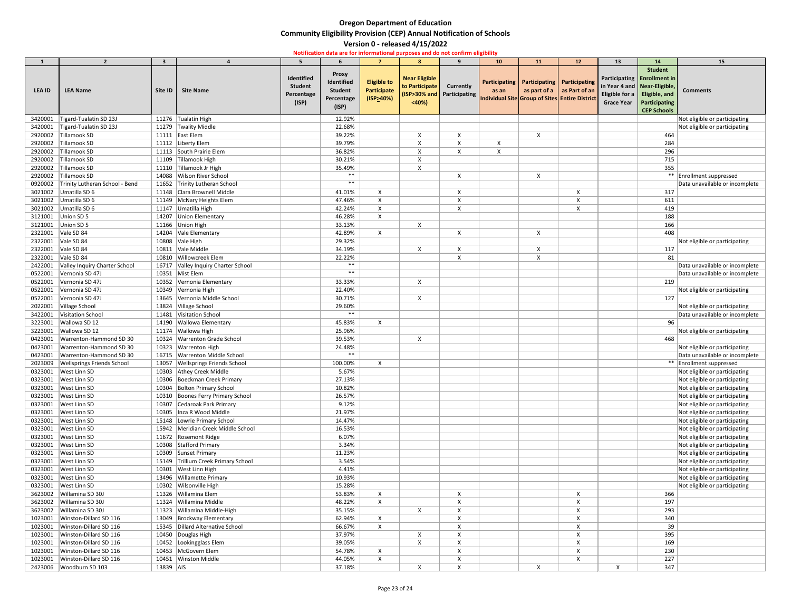| 1                  | $\overline{2}$                                   | 3         |                                                    | 5.                                                  | 6                                                                   |                                                       | 8                                               | 9                                                | 10 <sup>°</sup>                                         | <b>11</b>                                                                           | 12 | 13                                                                            | 14                                                                                                           | 15                             |
|--------------------|--------------------------------------------------|-----------|----------------------------------------------------|-----------------------------------------------------|---------------------------------------------------------------------|-------------------------------------------------------|-------------------------------------------------|--------------------------------------------------|---------------------------------------------------------|-------------------------------------------------------------------------------------|----|-------------------------------------------------------------------------------|--------------------------------------------------------------------------------------------------------------|--------------------------------|
| <b>LEA ID</b>      | <b>LEA Name</b>                                  | Site ID   | <b>Site Name</b>                                   | Identified<br><b>Student</b><br>Percentage<br>(ISP) | <b>Proxy</b><br>Identified<br><b>Student</b><br>Percentage<br>(ISP) | <b>Eligible to</b><br><b>Participate</b><br>(ISP>40%) | <b>Near Eligible</b><br>to Participate<br>$40%$ | <b>Currently</b><br>(ISP>30% and   Participating | as an<br>Individual Site Group of Sites Entire District | Participating   Participating   Participating<br>as part of a $\vert$ as Part of an |    | in Year 4 and   Near-Eligible,<br>Eligible for a $\vert$<br><b>Grace Year</b> | <b>Student</b><br>Participating Enrollment in<br>Eligible, and<br><b>Participating</b><br><b>CEP Schools</b> | <b>Comments</b>                |
| 3420001            | Tigard-Tualatin SD 23J                           |           | 11276 Tualatin High                                |                                                     | 12.92%                                                              |                                                       |                                                 |                                                  |                                                         |                                                                                     |    |                                                                               |                                                                                                              | Not eligible or participating  |
| 3420001            | Tigard-Tualatin SD 23J                           |           | 11279 Twality Middle                               |                                                     | 22.68%                                                              |                                                       |                                                 |                                                  |                                                         |                                                                                     |    |                                                                               |                                                                                                              | Not eligible or participating  |
| 2920002            | Tillamook SD                                     |           | 11111   East Elem                                  |                                                     | 39.22%                                                              |                                                       |                                                 |                                                  |                                                         |                                                                                     |    |                                                                               | 464                                                                                                          |                                |
| 2920002            | Tillamook SD                                     |           | 11112 Liberty Elem                                 |                                                     | 39.79%                                                              |                                                       |                                                 |                                                  |                                                         |                                                                                     |    |                                                                               | 284                                                                                                          |                                |
| 2920002            | Tillamook SD                                     |           | 11113 South Prairie Elem                           |                                                     | 36.82%                                                              |                                                       |                                                 | X                                                | X                                                       |                                                                                     |    |                                                                               | 296                                                                                                          |                                |
| 2920002            | Tillamook SD                                     |           | 11109 Tillamook High                               |                                                     | 30.21%                                                              |                                                       |                                                 |                                                  |                                                         |                                                                                     |    |                                                                               | 715                                                                                                          |                                |
| 2920002            | Tillamook SD                                     |           | 11110 Tillamook Jr High                            |                                                     | 35.49%                                                              |                                                       |                                                 |                                                  |                                                         |                                                                                     |    |                                                                               | 355                                                                                                          |                                |
| 2920002            | Tillamook SD                                     |           | 14088 Wilson River School                          |                                                     | $***$                                                               |                                                       |                                                 | $\boldsymbol{\mathsf{x}}$                        |                                                         | X                                                                                   |    |                                                                               |                                                                                                              | ** Enrollment suppressed       |
| 0920002            | Trinity Lutheran School - Bend                   |           | 11652 Trinity Lutheran School                      |                                                     | $***$                                                               |                                                       |                                                 |                                                  |                                                         |                                                                                     |    |                                                                               |                                                                                                              | Data unavailable or incomplete |
| 3021002            | Umatilla SD 6                                    |           | 11148 Clara Brownell Middle                        |                                                     | 41.01%                                                              | X                                                     |                                                 |                                                  |                                                         |                                                                                     |    |                                                                               | 317                                                                                                          |                                |
| 3021002            | Umatilla SD 6                                    |           | 11149 McNary Heights Elem                          |                                                     | 47.46%                                                              |                                                       |                                                 |                                                  |                                                         |                                                                                     |    |                                                                               | 611                                                                                                          |                                |
| 3021002            | Umatilla SD 6                                    |           | 11147 Umatilla High                                |                                                     | 42.24%                                                              |                                                       |                                                 |                                                  |                                                         |                                                                                     |    |                                                                               | 419                                                                                                          |                                |
| 3121001            | Union SD 5                                       |           | 14207 Union Elementary                             |                                                     | 46.28%                                                              | X                                                     |                                                 |                                                  |                                                         |                                                                                     |    |                                                                               | 188                                                                                                          |                                |
| 3121001            | Union SD 5                                       |           | 11166 Union High                                   |                                                     | 33.13%                                                              |                                                       | $\boldsymbol{\mathsf{X}}$                       |                                                  |                                                         |                                                                                     |    |                                                                               | 166                                                                                                          |                                |
| 2322001            | Vale SD 84                                       |           | 14204 Vale Elementary                              |                                                     | 42.89%                                                              | X                                                     |                                                 |                                                  |                                                         |                                                                                     |    |                                                                               | 408                                                                                                          |                                |
| 2322001            | Vale SD 84                                       |           | 10808 Vale High                                    |                                                     | 29.32%                                                              |                                                       |                                                 |                                                  |                                                         |                                                                                     |    |                                                                               |                                                                                                              | Not eligible or participating  |
| 2322001            | Vale SD 84                                       |           | 10811 Vale Middle                                  |                                                     | 34.19%                                                              |                                                       |                                                 |                                                  |                                                         |                                                                                     |    |                                                                               | 117                                                                                                          |                                |
| 2322001            | Vale SD 84                                       | 10810     | Willowcreek Elem                                   |                                                     | 22.22%                                                              |                                                       |                                                 |                                                  |                                                         |                                                                                     |    |                                                                               | 81                                                                                                           |                                |
| 2422001            | Valley Inquiry Charter School                    |           | 16717 Valley Inquiry Charter School                |                                                     | $***$                                                               |                                                       |                                                 |                                                  |                                                         |                                                                                     |    |                                                                               |                                                                                                              | Data unavailable or incomplete |
| 0522001            | Vernonia SD 47J                                  |           | 10351 Mist Elem                                    |                                                     | $***$                                                               |                                                       |                                                 |                                                  |                                                         |                                                                                     |    |                                                                               |                                                                                                              | Data unavailable or incomplete |
| 0522001            | Vernonia SD 47J                                  |           | 10352 Vernonia Elementary                          |                                                     | 33.33%                                                              |                                                       | $\boldsymbol{\mathsf{X}}$                       |                                                  |                                                         |                                                                                     |    |                                                                               | 219                                                                                                          |                                |
| 0522001            | Vernonia SD 47J                                  |           | 10349 Vernonia High                                |                                                     | 22.40%                                                              |                                                       |                                                 |                                                  |                                                         |                                                                                     |    |                                                                               |                                                                                                              | Not eligible or participating  |
| 0522001            | Vernonia SD 47J                                  | 13645     | Vernonia Middle School                             |                                                     | 30.71%                                                              |                                                       | X                                               |                                                  |                                                         |                                                                                     |    |                                                                               | 127                                                                                                          |                                |
| 2022001            | Village School                                   |           | 13824 Village School                               |                                                     | 29.60%                                                              |                                                       |                                                 |                                                  |                                                         |                                                                                     |    |                                                                               |                                                                                                              | Not eligible or participating  |
|                    | 3422001 Visitation School                        |           | 11481 Visitation School                            |                                                     | $***$                                                               |                                                       |                                                 |                                                  |                                                         |                                                                                     |    |                                                                               |                                                                                                              | Data unavailable or incomplete |
| 3223001            | Wallowa SD 12                                    |           | 14190 Wallowa Elementary                           |                                                     | 45.83%                                                              |                                                       |                                                 |                                                  |                                                         |                                                                                     |    |                                                                               | 96                                                                                                           |                                |
| 3223001            | Wallowa SD 12                                    | 11174     | <b>Wallowa High</b>                                |                                                     | 25.96%                                                              |                                                       |                                                 |                                                  |                                                         |                                                                                     |    |                                                                               |                                                                                                              | Not eligible or participating  |
| 0423001            | Warrenton-Hammond SD 30                          | 10324     | <b>Warrenton Grade School</b>                      |                                                     | 39.53%                                                              |                                                       | $\boldsymbol{\mathsf{X}}$                       |                                                  |                                                         |                                                                                     |    |                                                                               | 468                                                                                                          |                                |
| 0423001            | Warrenton-Hammond SD 30                          | 10323     | <b>Warrenton High</b>                              |                                                     | 24.48%                                                              |                                                       |                                                 |                                                  |                                                         |                                                                                     |    |                                                                               |                                                                                                              | Not eligible or participating  |
| 0423001            | Warrenton-Hammond SD 30                          |           | 16715   Warrenton Middle School                    |                                                     | $***$                                                               |                                                       |                                                 |                                                  |                                                         |                                                                                     |    |                                                                               |                                                                                                              | Data unavailable or incomplete |
| 2023009            | <b>Wellsprings Friends School</b>                | 13057     | <b>Wellsprings Friends School</b>                  |                                                     | 100.00%                                                             | $\mathsf{X}$                                          |                                                 |                                                  |                                                         |                                                                                     |    |                                                                               |                                                                                                              | ** Enrollment suppressed       |
| 0323001            | West Linn SD                                     |           | 10303 Athey Creek Middle                           |                                                     | 5.67%                                                               |                                                       |                                                 |                                                  |                                                         |                                                                                     |    |                                                                               |                                                                                                              | Not eligible or participating  |
| 0323001            | West Linn SD                                     | 10306     | Boeckman Creek Primary                             |                                                     | 27.13%                                                              |                                                       |                                                 |                                                  |                                                         |                                                                                     |    |                                                                               |                                                                                                              | Not eligible or participating  |
| 0323001            | West Linn SD                                     | 10304     | <b>Bolton Primary School</b>                       |                                                     | 10.82%                                                              |                                                       |                                                 |                                                  |                                                         |                                                                                     |    |                                                                               |                                                                                                              | Not eligible or participating  |
| 0323001            | West Linn SD                                     | 10310     | Boones Ferry Primary School                        |                                                     | 26.57%                                                              |                                                       |                                                 |                                                  |                                                         |                                                                                     |    |                                                                               |                                                                                                              | Not eligible or participating  |
| 0323001            | West Linn SD                                     | 10307     | Cedaroak Park Primary                              |                                                     | 9.12%                                                               |                                                       |                                                 |                                                  |                                                         |                                                                                     |    |                                                                               |                                                                                                              | Not eligible or participating  |
| 0323001            | West Linn SD                                     | 10305     | Inza R Wood Middle                                 |                                                     | 21.97%                                                              |                                                       |                                                 |                                                  |                                                         |                                                                                     |    |                                                                               |                                                                                                              | Not eligible or participating  |
| 0323001            | <b>West Linn SD</b>                              |           | 15148   Lowrie Primary School                      |                                                     | 14.47%                                                              |                                                       |                                                 |                                                  |                                                         |                                                                                     |    |                                                                               |                                                                                                              | Not eligible or participating  |
| 0323001            | <b>West Linn SD</b>                              | 15942     | Meridian Creek Middle School                       |                                                     | 16.53%                                                              |                                                       |                                                 |                                                  |                                                         |                                                                                     |    |                                                                               |                                                                                                              | Not eligible or participating  |
| 0323001            | West Linn SD                                     |           | 11672 Rosemont Ridge                               |                                                     | 6.07%                                                               |                                                       |                                                 |                                                  |                                                         |                                                                                     |    |                                                                               |                                                                                                              | Not eligible or participating  |
| 0323001            | West Linn SD                                     | 10308     | Stafford Primary                                   |                                                     | 3.34%                                                               |                                                       |                                                 |                                                  |                                                         |                                                                                     |    |                                                                               |                                                                                                              | Not eligible or participating  |
| 0323001            | <b>West Linn SD</b>                              |           | 10309 Sunset Primary                               |                                                     | 11.23%                                                              |                                                       |                                                 |                                                  |                                                         |                                                                                     |    |                                                                               |                                                                                                              | Not eligible or participating  |
| 0323001            | West Linn SD                                     | 15149     | Trillium Creek Primary School                      |                                                     | 3.54%                                                               |                                                       |                                                 |                                                  |                                                         |                                                                                     |    |                                                                               |                                                                                                              | Not eligible or participating  |
| 0323001            | <b>West Linn SD</b>                              | 10301     | <b>West Linn High</b>                              |                                                     | 4.41%                                                               |                                                       |                                                 |                                                  |                                                         |                                                                                     |    |                                                                               |                                                                                                              | Not eligible or participating  |
| 0323001            | West Linn SD                                     | 13496     | <b>Willamette Primary</b>                          |                                                     | 10.93%                                                              |                                                       |                                                 |                                                  |                                                         |                                                                                     |    |                                                                               |                                                                                                              | Not eligible or participating  |
| 0323001            | West Linn SD                                     | 10302     | Wilsonville High                                   |                                                     | 15.28%                                                              |                                                       |                                                 |                                                  |                                                         |                                                                                     |    |                                                                               |                                                                                                              | Not eligible or participating  |
| 3623002            | Willamina SD 30J                                 | 11326     | Willamina Elem                                     |                                                     | 53.83%                                                              | $\boldsymbol{\mathsf{X}}$                             |                                                 |                                                  |                                                         |                                                                                     |    |                                                                               | 366                                                                                                          |                                |
| 3623002            | Willamina SD 30J                                 |           | 11324 Willamina Middle                             |                                                     | 48.22%                                                              | X                                                     |                                                 |                                                  |                                                         |                                                                                     |    |                                                                               | 197                                                                                                          |                                |
| 3623002            | Willamina SD 30J                                 | 11323     | Willamina Middle-High                              |                                                     | 35.15%                                                              |                                                       | X                                               |                                                  |                                                         |                                                                                     |    |                                                                               | 293                                                                                                          |                                |
| 1023001            | Winston-Dillard SD 116                           |           | 13049 Brockway Elementary                          |                                                     | 62.94%                                                              | $\boldsymbol{\mathsf{X}}$                             |                                                 |                                                  |                                                         |                                                                                     |    |                                                                               | 340                                                                                                          |                                |
| 1023001            | Winston-Dillard SD 116                           |           | 15345   Dillard Alternative School                 |                                                     | 66.67%                                                              | X                                                     |                                                 |                                                  |                                                         |                                                                                     |    |                                                                               | 39                                                                                                           |                                |
| 1023001            | Winston-Dillard SD 116                           |           | 10450 Douglas High                                 |                                                     | 37.97%                                                              |                                                       |                                                 |                                                  |                                                         |                                                                                     |    |                                                                               | 395                                                                                                          |                                |
| 1023001            | Winston-Dillard SD 116<br>Winston-Dillard SD 116 |           | 10452   Lookingglass Elem<br>10453   McGovern Elem |                                                     | 39.05%                                                              |                                                       |                                                 |                                                  |                                                         |                                                                                     |    |                                                                               | 169                                                                                                          |                                |
| 1023001<br>1023001 | Winston-Dillard SD 116                           |           | 10451 Winston Middle                               |                                                     | 54.78%<br>44.05%                                                    | X                                                     |                                                 |                                                  |                                                         |                                                                                     |    |                                                                               | 230<br>227                                                                                                   |                                |
| 2423006            | Woodburn SD 103                                  | 13839 AIS |                                                    |                                                     | 37.18%                                                              | X                                                     |                                                 |                                                  |                                                         |                                                                                     |    |                                                                               | 347                                                                                                          |                                |
|                    |                                                  |           |                                                    |                                                     |                                                                     |                                                       |                                                 |                                                  |                                                         | X                                                                                   |    |                                                                               |                                                                                                              |                                |